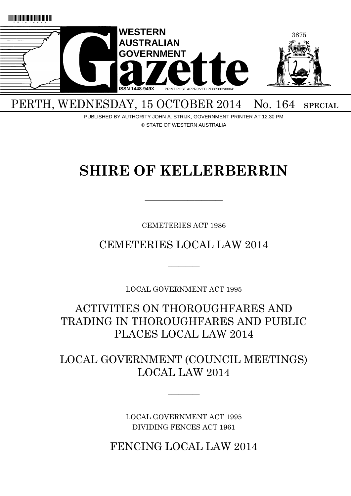

PERTH, WEDNESDAY, 15 OCTOBER 2014 No. 164 SPECIAL

PUBLISHED BY AUTHORITY JOHN A. STRIJK, GOVERNMENT PRINTER AT 12.30 PM © STATE OF WESTERN AUSTRALIA

# **SHIRE OF KELLERBERRIN**

CEMETERIES ACT 1986

 $\overline{\phantom{a}}$  , and the contract of the contract of the contract of the contract of the contract of the contract of the contract of the contract of the contract of the contract of the contract of the contract of the contrac

CEMETERIES LOCAL LAW 2014

 $\overline{\phantom{a}}$ 

LOCAL GOVERNMENT ACT 1995

ACTIVITIES ON THOROUGHFARES AND TRADING IN THOROUGHFARES AND PUBLIC PLACES LOCAL LAW 2014

LOCAL GOVERNMENT (COUNCIL MEETINGS) LOCAL LAW 2014

 $\overline{\phantom{a}}$ 

LOCAL GOVERNMENT ACT 1995 DIVIDING FENCES ACT 1961

FENCING LOCAL LAW 2014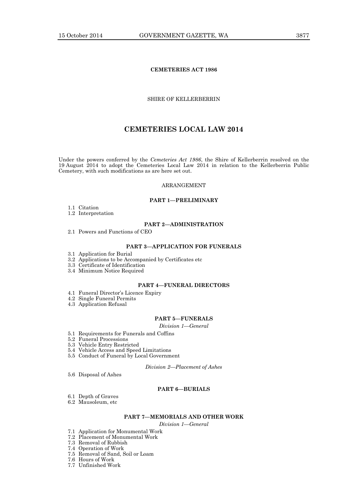### **CEMETERIES ACT 1986**

### SHIRE OF KELLERBERRIN

### **CEMETERIES LOCAL LAW 2014**

Under the powers conferred by the *Cemeteries Act 1986*, the Shire of Kellerberrin resolved on the 19 August 2014 to adopt the Cemeteries Local Law 2014 in relation to the Kellerberrin Public Cemetery, with such modifications as are here set out.

### ARRANGEMENT

### **PART 1—PRELIMINARY**

- 1.1 Citation
- 1.2 Interpretation

#### **PART 2—ADMINISTRATION**

2.1 Powers and Functions of CEO

#### **PART 3—APPLICATION FOR FUNERALS**

- 3.1 Application for Burial
- 3.2 Applications to be Accompanied by Certificates etc
- 3.3 Certificate of Identification
- 3.4 Minimum Notice Required

#### **PART 4—FUNERAL DIRECTORS**

- 4.1 Funeral Director's Licence Expiry
- 4.2 Single Funeral Permits
- 4.3 Application Refusal

### **PART 5—FUNERALS**

*Division 1—General*

- 5.1 Requirements for Funerals and Coffins
- 5.2 Funeral Processions
- 5.3 Vehicle Entry Restricted
- 5.4 Vehicle Access and Speed Limitations
- 5.5 Conduct of Funeral by Local Government

*Division 2—Placement of Ashes*

5.6 Disposal of Ashes

### **PART 6—BURIALS**

- 6.1 Depth of Graves
- 6.2 Mausoleum, etc

### **PART 7—MEMORIALS AND OTHER WORK**

*Division 1—General*

- 7.1 Application for Monumental Work
- 7.2 Placement of Monumental Work
- 7.3 Removal of Rubbish
- 7.4 Operation of Work
- 7.5 Removal of Sand, Soil or Loam

7.6 Hours of Work

7.7 Unfinished Work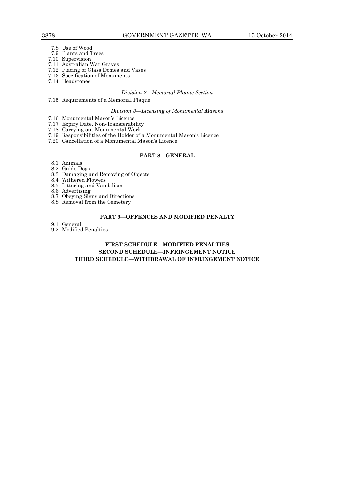- 7.8 Use of Wood
- 7.9 Plants and Trees
- 7.10 Supervision
- 7.11 Australian War Graves
- 7.12 Placing of Glass Domes and Vases
- 7.13 Specification of Monuments
- 7.14 Headstones

#### *Division 2—Memorial Plaque Section*

7.15 Requirements of a Memorial Plaque

### *Division 3—Licensing of Monumental Masons*

- 7.16 Monumental Mason's Licence
- 7.17 Expiry Date, Non-Transferability
- 7.18 Carrying out Monumental Work
- 7.19 Responsibilities of the Holder of a Monumental Mason's Licence
- 7.20 Cancellation of a Monumental Mason's Licence

#### **PART 8—GENERAL**

- 8.1 Animals
- 8.2 Guide Dogs
- 8.3 Damaging and Removing of Objects
- 8.4 Withered Flowers 8.5 Littering and Vandalism
- 8.6 Advertising
- 
- 8.7 Obeying Signs and Directions
- 8.8 Removal from the Cemetery

### **PART 9—OFFENCES AND MODIFIED PENALTY**

- 9.1 General
- 9.2 Modified Penalties

### **FIRST SCHEDULE—MODIFIED PENALTIES SECOND SCHEDULE—INFRINGEMENT NOTICE THIRD SCHEDULE—WITHDRAWAL OF INFRINGEMENT NOTICE**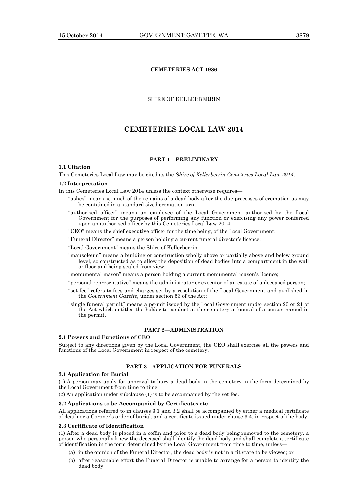### **CEMETERIES ACT 1986**

### SHIRE OF KELLERBERRIN

### **CEMETERIES LOCAL LAW 2014**

### **PART 1—PRELIMINARY**

### **1.1 Citation**

This Cemeteries Local Law may be cited as the *Shire of Kellerberrin Cemeteries Local Law 2014*.

#### **1.2 Interpretation**

In this Cemeteries Local Law 2014 unless the context otherwise requires—

- "ashes" means so much of the remains of a dead body after the due processes of cremation as may be contained in a standard sized cremation urn;
- "authorised officer" means an employee of the Local Government authorised by the Local Government for the purposes of performing any function or exercising any power conferred upon an authorised officer by this Cemeteries Local Law 2014

"CEO" means the chief executive officer for the time being, of the Local Government;

"Funeral Director" means a person holding a current funeral director's licence;

"Local Government" means the Shire of Kellerberrin;

"mausoleum" means a building or construction wholly above or partially above and below ground level, so constructed as to allow the deposition of dead bodies into a compartment in the wall or floor and being sealed from view;

"monumental mason" means a person holding a current monumental mason's licence;

"personal representative" means the administrator or executor of an estate of a deceased person;

- "set fee" refers to fees and charges set by a resolution of the Local Government and published in the *Government Gazette*, under section 53 of the Act;
- "single funeral permit" means a permit issued by the Local Government under section 20 or 21 of the Act which entitles the holder to conduct at the cemetery a funeral of a person named in the permit.

#### **PART 2—ADMINISTRATION**

#### **2.1 Powers and Functions of CEO**

Subject to any directions given by the Local Government, the CEO shall exercise all the powers and functions of the Local Government in respect of the cemetery.

#### **PART 3—APPLICATION FOR FUNERALS**

#### **3.1 Application for Burial**

(1) A person may apply for approval to bury a dead body in the cemetery in the form determined by the Local Government from time to time.

(2) An application under subclause (1) is to be accompanied by the set fee.

### **3.2 Applications to be Accompanied by Certificates etc**

All applications referred to in clauses 3.1 and 3.2 shall be accompanied by either a medical certificate of death or a Coroner's order of burial, and a certificate issued under clause 3.4, in respect of the body.

#### **3.3 Certificate of Identification**

(1) After a dead body is placed in a coffin and prior to a dead body being removed to the cemetery, a person who personally knew the deceased shall identify the dead body and shall complete a certificate of identification in the form determined by the Local Government from time to time, unless—

- (a) in the opinion of the Funeral Director, the dead body is not in a fit state to be viewed; or
- (b) after reasonable effort the Funeral Director is unable to arrange for a person to identify the dead body.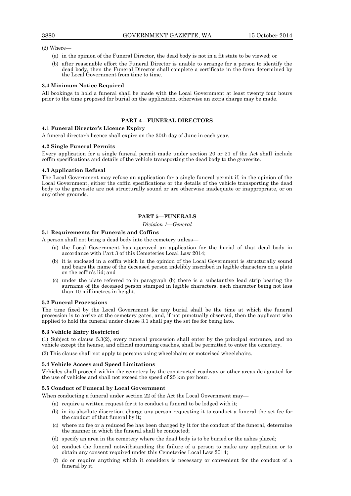### (2) Where—

- (a) in the opinion of the Funeral Director, the dead body is not in a fit state to be viewed; or
- (b) after reasonable effort the Funeral Director is unable to arrange for a person to identify the dead body, then the Funeral Director shall complete a certificate in the form determined by the Local Government from time to time.

### **3.4 Minimum Notice Required**

All bookings to hold a funeral shall be made with the Local Government at least twenty four hours prior to the time proposed for burial on the application, otherwise an extra charge may be made.

### **PART 4—FUNERAL DIRECTORS**

### **4.1 Funeral Director's Licence Expiry**

A funeral director's licence shall expire on the 30th day of June in each year.

### **4.2 Single Funeral Permits**

Every application for a single funeral permit made under section 20 or 21 of the Act shall include coffin specifications and details of the vehicle transporting the dead body to the gravesite.

### **4.3 Application Refusal**

The Local Government may refuse an application for a single funeral permit if, in the opinion of the Local Government, either the coffin specifications or the details of the vehicle transporting the dead body to the gravesite are not structurally sound or are otherwise inadequate or inappropriate, or on any other grounds.

### **PART 5—FUNERALS**

*Division 1—General*

### **5.1 Requirements for Funerals and Coffins**

A person shall not bring a dead body into the cemetery unless—

- (a) the Local Government has approved an application for the burial of that dead body in accordance with Part 3 of this Cemeteries Local Law 2014;
- (b) it is enclosed in a coffin which in the opinion of the Local Government is structurally sound and bears the name of the deceased person indelibly inscribed in legible characters on a plate on the coffin's lid; and
- (c) under the plate referred to in paragraph (b) there is a substantive lead strip bearing the surname of the deceased person stamped in legible characters, each character being not less than 10 millimetres in height.

#### **5.2 Funeral Processions**

The time fixed by the Local Government for any burial shall be the time at which the funeral procession is to arrive at the cemetery gates, and, if not punctually observed, then the applicant who applied to hold the funeral under clause 3.1 shall pay the set fee for being late.

#### **5.3 Vehicle Entry Restricted**

(1) Subject to clause 5.3(2), every funeral procession shall enter by the principal entrance, and no vehicle except the hearse, and official mourning coaches, shall be permitted to enter the cemetery.

(2) This clause shall not apply to persons using wheelchairs or motorised wheelchairs.

#### **5.4 Vehicle Access and Speed Limitations**

Vehicles shall proceed within the cemetery by the constructed roadway or other areas designated for the use of vehicles and shall not exceed the speed of 25 km per hour.

### **5.5 Conduct of Funeral by Local Government**

When conducting a funeral under section 22 of the Act the Local Government may—

- (a) require a written request for it to conduct a funeral to be lodged with it;
- (b) in its absolute discretion, charge any person requesting it to conduct a funeral the set fee for the conduct of that funeral by it;
- (c) where no fee or a reduced fee has been charged by it for the conduct of the funeral, determine the manner in which the funeral shall be conducted;
- (d) specify an area in the cemetery where the dead body is to be buried or the ashes placed;
- (e) conduct the funeral notwithstanding the failure of a person to make any application or to obtain any consent required under this Cemeteries Local Law 2014;
- (f) do or require anything which it considers is necessary or convenient for the conduct of a funeral by it.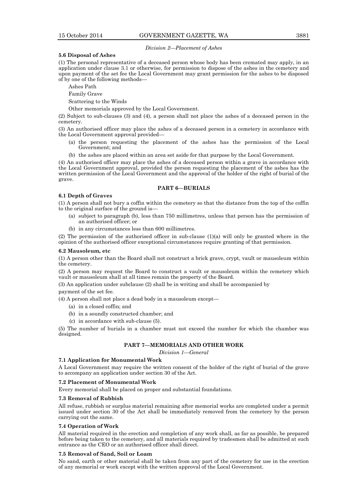*Division 2—Placement of Ashes*

### **5.6 Disposal of Ashes**

(1) The personal representative of a deceased person whose body has been cremated may apply, in an application under clause 3.1 or otherwise, for permission to dispose of the ashes in the cemetery and upon payment of the set fee the Local Government may grant permission for the ashes to be disposed of by one of the following methods—

Ashes Path

Family Grave

Scattering to the Winds

Other memorials approved by the Local Government.

(2) Subject to sub-clauses (3) and (4), a person shall not place the ashes of a deceased person in the cemetery.

(3) An authorised officer may place the ashes of a deceased person in a cemetery in accordance with the Local Government approval provided—

- (a) the person requesting the placement of the ashes has the permission of the Local Government; and
- (b) the ashes are placed within an area set aside for that purpose by the Local Government.

(4) An authorised officer may place the ashes of a deceased person within a grave in accordance with the Local Government approval, provided the person requesting the placement of the ashes has the written permission of the Local Government and the approval of the holder of the right of burial of the grave.

#### **PART 6—BURIALS**

#### **6.1 Depth of Graves**

(1) A person shall not bury a coffin within the cemetery so that the distance from the top of the coffin to the original surface of the ground is—

- (a) subject to paragraph (b), less than 750 millimetres, unless that person has the permission of an authorised officer; or
- (b) in any circumstances less than 600 millimetres.

(2) The permission of the authorised officer in sub-clause (1)(a) will only be granted where in the opinion of the authorised officer exceptional circumstances require granting of that permission.

#### **6.2 Mausoleum, etc**

(1) A person other than the Board shall not construct a brick grave, crypt, vault or mausoleum within the cemetery.

(2) A person may request the Board to construct a vault or mausoleum within the cemetery which vault or mausoleum shall at all times remain the property of the Board.

(3) An application under subclause (2) shall be in writing and shall be accompanied by

payment of the set fee.

(4) A person shall not place a dead body in a mausoleum except—

- (a) in a closed coffin; and
- (b) in a soundly constructed chamber; and
- (c) in accordance with sub-clause (5).

(5) The number of burials in a chamber must not exceed the number for which the chamber was designed.

### **PART 7—MEMORIALS AND OTHER WORK**

*Division 1—General*

### **7.1 Application for Monumental Work**

A Local Government may require the written consent of the holder of the right of burial of the grave to accompany an application under section 30 of the Act.

#### **7.2 Placement of Monumental Work**

Every memorial shall be placed on proper and substantial foundations.

#### **7.3 Removal of Rubbish**

All refuse, rubbish or surplus material remaining after memorial works are completed under a permit issued under section 30 of the Act shall be immediately removed from the cemetery by the person carrying out the same.

### **7.4 Operation of Work**

All material required in the erection and completion of any work shall, as far as possible, be prepared before being taken to the cemetery, and all materials required by tradesmen shall be admitted at such entrance as the CEO or an authorised officer shall direct.

### **7.5 Removal of Sand, Soil or Loam**

No sand, earth or other material shall be taken from any part of the cemetery for use in the erection of any memorial or work except with the written approval of the Local Government.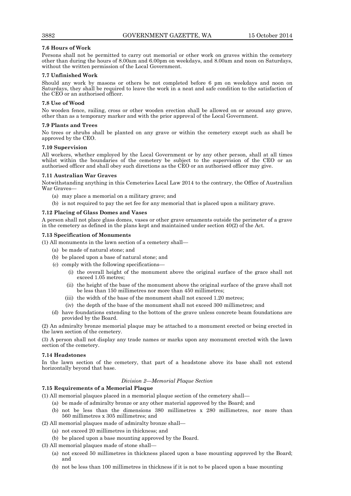### **7.6 Hours of Work**

Persons shall not be permitted to carry out memorial or other work on graves within the cemetery other than during the hours of 8.00am and 6.00pm on weekdays, and 8.00am and noon on Saturdays, without the written permission of the Local Government.

### **7.7 Unfinished Work**

Should any work by masons or others be not completed before 6 pm on weekdays and noon on Saturdays, they shall be required to leave the work in a neat and safe condition to the satisfaction of the CEO or an authorised officer.

### **7.8 Use of Wood**

No wooden fence, railing, cross or other wooden erection shall be allowed on or around any grave, other than as a temporary marker and with the prior approval of the Local Government.

### **7.9 Plants and Trees**

No trees or shrubs shall be planted on any grave or within the cemetery except such as shall be approved by the CEO.

### **7.10 Supervision**

All workers, whether employed by the Local Government or by any other person, shall at all times whilst within the boundaries of the cemetery be subject to the supervision of the CEO or an authorised officer and shall obey such directions as the CEO or an authorised officer may give.

### **7.11 Australian War Graves**

Notwithstanding anything in this Cemeteries Local Law 2014 to the contrary, the Office of Australian War Graves—

- (a) may place a memorial on a military grave; and
- (b) is not required to pay the set fee for any memorial that is placed upon a military grave.

### **7.12 Placing of Glass Domes and Vases**

A person shall not place glass domes, vases or other grave ornaments outside the perimeter of a grave in the cemetery as defined in the plans kept and maintained under section  $40(2)$  of the Act.

### **7.13 Specification of Monuments**

(1) All monuments in the lawn section of a cemetery shall—

- (a) be made of natural stone; and
- (b) be placed upon a base of natural stone; and
- (c) comply with the following specifications—
	- (i) the overall height of the monument above the original surface of the grace shall not exceed 1.05 metres;
	- (ii) the height of the base of the monument above the original surface of the grave shall not be less than 150 millimetres nor more than 450 millimetres;
	- (iii) the width of the base of the monument shall not exceed 1.20 metres;
	- (iv) the depth of the base of the monument shall not exceed 300 millimetres; and
- (d) have foundations extending to the bottom of the grave unless concrete beam foundations are provided by the Board.

(2) An admiralty bronze memorial plaque may be attached to a monument erected or being erected in the lawn section of the cemetery.

(3) A person shall not display any trade names or marks upon any monument erected with the lawn section of the cemetery.

### **7.14 Headstones**

In the lawn section of the cemetery, that part of a headstone above its base shall not extend horizontally beyond that base.

### *Division 2—Memorial Plaque Section*

### **7.15 Requirements of a Memorial Plaque**

(1) All memorial plaques placed in a memorial plaque section of the cemetery shall—

- (a) be made of admiralty bronze or any other material approved by the Board; and
- (b) not be less than the dimensions 380 millimetres x 280 millimetres, nor more than 560 millimetres x 305 millimetres; and
- (2) All memorial plaques made of admiralty bronze shall—
	- (a) not exceed 20 millimetres in thickness; and
	- (b) be placed upon a base mounting approved by the Board.

(3) All memorial plaques made of stone shall—

- (a) not exceed 50 millimetres in thickness placed upon a base mounting approved by the Board; and
- (b) not be less than 100 millimetres in thickness if it is not to be placed upon a base mounting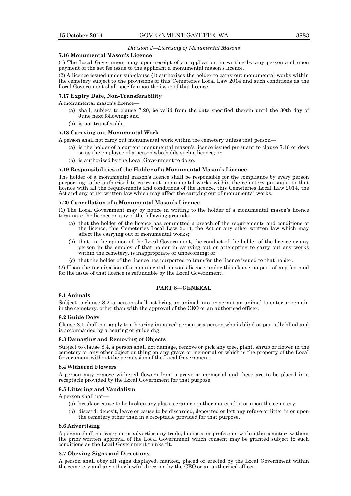### *Division 3—Licensing of Monumental Masons*

#### **7.16 Monumental Mason's Licence**

(1) The Local Government may upon receipt of an application in writing by any person and upon payment of the set fee issue to the applicant a monumental mason's licence.

(2) A licence issued under sub-clause (1) authorises the holder to carry out monumental works within the cemetery subject to the provisions of this Cemeteries Local Law 2014 and such conditions as the Local Government shall specify upon the issue of that licence.

#### **7.17 Expiry Date, Non-Transferability**

A monumental mason's licence—

- (a) shall, subject to clause 7.20, be valid from the date specified therein until the 30th day of June next following; and
- (b) is not transferable.

#### **7.18 Carrying out Monumental Work**

A person shall not carry out monumental work within the cemetery unless that person—

- (a) is the holder of a current monumental mason's licence issued pursuant to clause 7.16 or does so as the employee of a person who holds such a licence; or
- (b) is authorised by the Local Government to do so.

#### **7.19 Responsibilities of the Holder of a Monumental Mason's Licence**

The holder of a monumental mason's licence shall be responsible for the compliance by every person purporting to be authorised to carry out monumental works within the cemetery pursuant to that licence with all the requirements and conditions of the licence, this Cemeteries Local Law 2014, the Act and any other written law which may affect the carrying out of monumental works.

#### **7.20 Cancellation of a Monumental Mason's Licence**

(1) The Local Government may by notice in writing to the holder of a monumental mason's licence terminate the licence on any of the following grounds—

- (a) that the holder of the licence has committed a breach of the requirements and conditions of the licence, this Cemeteries Local Law 2014, the Act or any other written law which may affect the carrying out of monumental works;
- (b) that, in the opinion of the Local Government, the conduct of the holder of the licence or any person in the employ of that holder in carrying out or attempting to carry out any works within the cemetery, is inappropriate or unbecoming; or
- (c) that the holder of the licence has purported to transfer the licence issued to that holder.

(2) Upon the termination of a monumental mason's licence under this clause no part of any fee paid for the issue of that licence is refundable by the Local Government.

### **PART 8—GENERAL**

#### **8.1 Animals**

Subject to clause 8.2, a person shall not bring an animal into or permit an animal to enter or remain in the cemetery, other than with the approval of the CEO or an authorised officer.

#### **8.2 Guide Dogs**

Clause 8.1 shall not apply to a hearing impaired person or a person who is blind or partially blind and is accompanied by a hearing or guide dog.

### **8.3 Damaging and Removing of Objects**

Subject to clause 8.4, a person shall not damage, remove or pick any tree, plant, shrub or flower in the cemetery or any other object or thing on any grave or memorial or which is the property of the Local Government without the permission of the Local Government.

#### **8.4 Withered Flowers**

A person may remove withered flowers from a grave or memorial and these are to be placed in a receptacle provided by the Local Government for that purpose.

### **8.5 Littering and Vandalism**

A person shall not—

- (a) break or cause to be broken any glass, ceramic or other material in or upon the cemetery;
- (b) discard, deposit, leave or cause to be discarded, deposited or left any refuse or litter in or upon the cemetery other than in a receptacle provided for that purpose.

### **8.6 Advertising**

A person shall not carry on or advertise any trade, business or profession within the cemetery without the prior written approval of the Local Government which consent may be granted subject to such conditions as the Local Government thinks fit.

### **8.7 Obeying Signs and Directions**

A person shall obey all signs displayed, marked, placed or erected by the Local Government within the cemetery and any other lawful direction by the CEO or an authorised officer.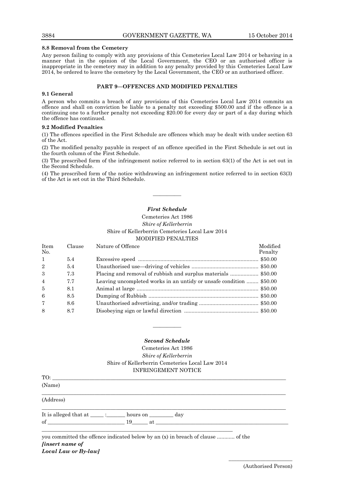### **8.8 Removal from the Cemetery**

Any person failing to comply with any provisions of this Cemeteries Local Law 2014 or behaving in a manner that in the opinion of the Local Government, the CEO or an authorised officer is inappropriate in the cemetery may in addition to any penalty provided by this Cemeteries Local Law 2014, be ordered to leave the cemetery by the Local Government, the CEO or an authorised officer.

### **PART 9—OFFENCES AND MODIFIED PENALTIES**

### **9.1 General**

A person who commits a breach of any provisions of this Cemeteries Local Law 2014 commits an offence and shall on conviction be liable to a penalty not exceeding \$500.00 and if the offence is a continuing one to a further penalty not exceeding \$20.00 for every day or part of a day during which the offence has continued.

### **9.2 Modified Penalties**

(1) The offences specified in the First Schedule are offences which may be dealt with under section 63 of the Act.

(2) The modified penalty payable in respect of an offence specified in the First Schedule is set out in the fourth column of the First Schedule.

(3) The prescribed form of the infringement notice referred to in section 63(1) of the Act is set out in the Second Schedule.

(4) The prescribed form of the notice withdrawing an infringement notice referred to in section 63(3) of the Act is set out in the Third Schedule.

### *First Schedule*

————

### Cemeteries Act 1986 *Shire of Kellerberrin* Shire of Kellerberrin Cemeteries Local Law 2014 MODIFIED PENALTIES

| <b>Item</b><br>No. | Clause | Nature of Offence                                                   | Modified<br>Penalty |
|--------------------|--------|---------------------------------------------------------------------|---------------------|
| $\overline{1}$     | 5.4    |                                                                     |                     |
| 2                  | 5.4    |                                                                     |                     |
| 3                  | 7.3    |                                                                     |                     |
| $\overline{4}$     | 7.7    | Leaving uncompleted works in an untidy or unsafe condition  \$50.00 |                     |
| $\overline{5}$     | 8.1    |                                                                     |                     |
| -6                 | 8.5    |                                                                     |                     |
| $\overline{7}$     | 8.6    |                                                                     |                     |
| 8                  | 8.7    |                                                                     |                     |

### *Second Schedule*

————

Cemeteries Act 1986 *Shire of Kellerberrin* Shire of Kellerberrin Cemeteries Local Law 2014 INFRINGEMENT NOTICE

| TO:       |                                                                                 |
|-----------|---------------------------------------------------------------------------------|
| (Name)    |                                                                                 |
| (Address) |                                                                                 |
|           | It is alleged that at ______ : ________ hours on ___________ day                |
|           | of $\qquad \qquad 19 \qquad \qquad$ at                                          |
|           | you committed the offence indicated below by an (x) in breach of clause  of the |

*[insert name of*

*Local Law or By-law]*

\_\_\_\_\_\_\_\_\_\_\_\_\_\_\_\_\_\_\_\_\_\_\_\_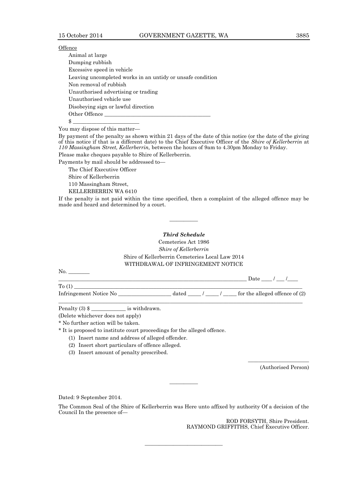### **Offence**

Animal at large Dumping rubbish Excessive speed in vehicle Leaving uncompleted works in an untidy or unsafe condition Non removal of rubbish Unauthorised advertising or trading Unauthorised vehicle use Disobeying sign or lawful direction Other Offence  $\frac{1}{2}$   $\frac{1}{2}$   $\frac{1}{2}$   $\frac{1}{2}$   $\frac{1}{2}$   $\frac{1}{2}$   $\frac{1}{2}$   $\frac{1}{2}$   $\frac{1}{2}$   $\frac{1}{2}$   $\frac{1}{2}$   $\frac{1}{2}$   $\frac{1}{2}$   $\frac{1}{2}$   $\frac{1}{2}$   $\frac{1}{2}$   $\frac{1}{2}$   $\frac{1}{2}$   $\frac{1}{2}$   $\frac{1}{2}$   $\frac{1}{2}$   $\frac{1}{2}$ 

You may dispose of this matter—

By payment of the penalty as shown within 21 days of the date of this notice (or the date of the giving of this notice if that is a different date) to the Chief Executive Officer of the *Shire of Kellerberrin* at *110 Massingham Street, Kellerberrin,* between the hours of 9am to 4.30pm Monday to Friday.

Please make cheques payable to Shire of Kellerberrin.

Payments by mail should be addressed to—

The Chief Executive Officer

Shire of Kellerberrin

110 Massingham Street,

KELLERBERRIN WA 6410

If the penalty is not paid within the time specified, then a complaint of the alleged offence may be made and heard and determined by a court.

### *Third Schedule*

————

Cemeteries Act 1986 *Shire of Kellerberrin* Shire of Kellerberrin Cemeteries Local Law 2014 WITHDRAWAL OF INFRINGEMENT NOTICE

No. \_\_\_\_\_\_\_\_

\_\_\_\_\_\_\_\_\_\_\_\_\_\_\_\_\_\_\_\_\_\_\_\_\_\_\_\_\_\_\_\_\_\_\_\_\_\_\_\_\_\_\_\_\_\_\_\_\_\_\_\_\_\_\_\_\_\_\_\_\_\_\_\_\_\_\_\_\_\_\_ Date \_\_\_\_ / \_\_\_ /\_\_\_\_  $To (1)$ Infringement Notice No  $\qquad \qquad$  dated  $/$   $/$  for the alleged offence of (2)

 $\_$  ,  $\_$  ,  $\_$  ,  $\_$  ,  $\_$  ,  $\_$  ,  $\_$  ,  $\_$  ,  $\_$  ,  $\_$  ,  $\_$  ,  $\_$  ,  $\_$  ,  $\_$  ,  $\_$  ,  $\_$  ,  $\_$  ,  $\_$  ,  $\_$  ,  $\_$  ,  $\_$  ,  $\_$  ,  $\_$  ,  $\_$  ,  $\_$  ,  $\_$  ,  $\_$  ,  $\_$  ,  $\_$  ,  $\_$  ,  $\_$  ,  $\_$  ,  $\_$  ,  $\_$  ,  $\_$  ,  $\_$  ,  $\_$  ,

Penalty (3) \$ is withdrawn.

(Delete whichever does not apply)

\* No further action will be taken.

\* It is proposed to institute court proceedings for the alleged offence.

(1) Insert name and address of alleged offender.

(2) Insert short particulars of offence alleged.

(3) Insert amount of penalty prescribed.

(Authorised Person)

\_\_\_\_\_\_\_\_\_\_\_\_\_\_\_\_\_\_\_\_\_\_\_

Dated: 9 September 2014.

The Common Seal of the Shire of Kellerberrin was Here unto affixed by authority Of a decision of the Council In the presence of—

———————————

————

ROD FORSYTH, Shire President. RAYMOND GRIFFITHS, Chief Executive Officer.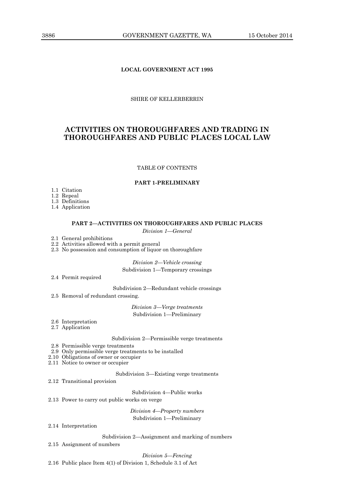### **LOCAL GOVERNMENT ACT 1995**

### SHIRE OF KELLERBERRIN

### **ACTIVITIES ON THOROUGHFARES AND TRADING IN THOROUGHFARES AND PUBLIC PLACES LOCAL LAW**

### TABLE OF CONTENTS

### **PART 1-PRELIMINARY**

1.1 Citation

1.2 Repeal

1.3 Definitions

1.4 Application

### **PART 2—ACTIVITIES ON THOROUGHFARES AND PUBLIC PLACES**

*Division 1—General*

2.1 General prohibitions

2.2 Activities allowed with a permit general

2.3 No possession and consumption of liquor on thoroughfare

*Division 2—Vehicle crossing* Subdivision 1—Temporary crossings

2.4 Permit required

Subdivision 2—Redundant vehicle crossings

2.5 Removal of redundant crossing.

*Division 3—Verge treatments* Subdivision 1—Preliminary

2.6 Interpretation

2.7 Application

Subdivision 2—Permissible verge treatments

- 2.8 Permissible verge treatments
- 2.9 Only permissible verge treatments to be installed

2.10 Obligations of owner or occupier

2.11 Notice to owner or occupier

Subdivision 3—Existing verge treatments

2.12 Transitional provision

Subdivision 4—Public works

2.13 Power to carry out public works on verge

*Division 4—Property numbers* Subdivision 1—Preliminary

#### 2.14 Interpretation

Subdivision 2—Assignment and marking of numbers

2.15 Assignment of numbers

### *Division 5—Fencing*

2.16 Public place Item 4(1) of Division 1, Schedule 3.1 of Act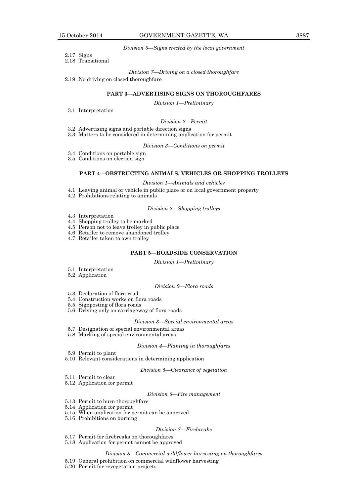#### *Division 6—Signs erected by the local government*

- 2.17 Signs
- 2.18 Transitional

#### *Division 7—Driving on a closed thoroughfare*

2.19 No driving on closed thoroughfare

### **PART 3—ADVERTISING SIGNS ON THOROUGHFARES**

*Division 1—Preliminary*

3.1 Interpretation

#### *Division 2—Permit*

- 3.2 Advertising signs and portable direction signs
- 3.3 Matters to be considered in determining application for permit

#### *Division 3—Conditions on permit*

- 3.4 Conditions on portable sign
- 3.5 Conditions on election sign

#### **PART 4—OBSTRUCTING ANIMALS, VEHICLES OR SHOPPING TROLLEYS**

#### *Division 1—Animals and vehicles*

- 4.1 Leaving animal or vehicle in public place or on local government property
- 4.2 Prohibitions relating to animals

### *Division 2—Shopping trolleys*

- 4.3 Interpretation
- 4.4 Shopping trolley to be marked
- 4.5 Person not to leave trolley in public place
- 4.6 Retailer to remove abandoned trolley
- 4.7 Retailer taken to own trolley

#### **PART 5—ROADSIDE CONSERVATION**

*Division 1—Preliminary*

- 5.1 Interpretation
- 5.2 Application

### *Division 2—Flora roads*

- 5.3 Declaration of flora road
- 5.4 Construction works on flora roads
- 5.5 Signposting of flora roads
- 5.6 Driving only on carriageway of flora roads

#### *Division 3—Special environmental areas*

- 5.7 Designation of special environmental areas
- 5.8 Marking of special environmental areas

### *Division 4—Planting in thoroughfares*

- 5.9 Permit to plant
- 5.10 Relevant considerations in determining application

### *Division 5—Clearance of vegetation*

- 5.11 Permit to clear
- 5.12 Application for permit

#### *Division 6—Fire management*

- 5.13 Permit to burn thoroughfare
- 5.14 Application for permit
- 5.15 When application for permit can be approved
- 5.16 Prohibitions on burning

#### *Division 7—Firebreaks*

- 5.17 Permit for firebreaks on thoroughfares
- 5.18 Application for permit cannot be approved

### *Division 8—Commercial wildflower harvesting on thoroughfares*

- 5.19 General prohibition on commercial wildflower harvesting
- 5.20 Permit for revegetation projects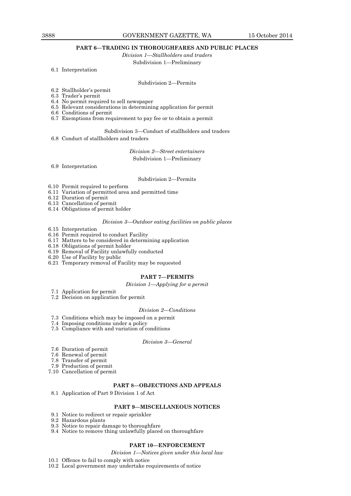### 3888 GOVERNMENT GAZETTE, WA 15 October 2014

### **PART 6—TRADING IN THOROUGHFARES AND PUBLIC PLACES**

*Division 1—Stallholders and traders*

Subdivision 1—Preliminary

6.1 Interpretation

#### Subdivision 2—Permits

- 6.2 Stallholder's permit
- 6.3 Trader's permit
- 6.4 No permit required to sell newspaper
- 6.5 Relevant considerations in determining application for permit
- 6.6 Conditions of permit
- 6.7 Exemptions from requirement to pay fee or to obtain a permit

### Subdivision 3—Conduct of stallholders and traders

6.8 Conduct of stallholders and traders

*Division 2—Street entertainers* Subdivision 1—Preliminary

6.9 Interpretation

#### Subdivision 2—Permits

- 6.10 Permit required to perform
- 6.11 Variation of permitted area and permitted time
- 6.12 Duration of permit
- 6.13 Cancellation of permit
- 6.14 Obligations of permit holder

### *Division 3—Outdoor eating facilities on public places*

- 6.15 Interpretation
- 6.16 Permit required to conduct Facility
- 6.17 Matters to be considered in determining application
- 6.18 Obligations of permit holder
- 6.19 Removal of Facility unlawfully conducted
- 6.20 Use of Facility by public
- 6.21 Temporary removal of Facility may be requested

### **PART 7—PERMITS**

*Division 1—Applying for a permit*

- 7.1 Application for permit
- 7.2 Decision on application for permit

#### *Division 2—Conditions*

- 7.3 Conditions which may be imposed on a permit
- 7.4 Imposing conditions under a policy
- 7.5 Compliance with and variation of conditions

#### *Division 3—General*

- 7.6 Duration of permit
- 7.6 Renewal of permit
- 7.8 Transfer of permit
- 7.9 Production of permit
- 7.10 Cancellation of permit

### **PART 8—OBJECTIONS AND APPEALS**

8.1 Application of Part 9 Division 1 of Act

### **PART 9—MISCELLANEOUS NOTICES**

- 9.1 Notice to redirect or repair sprinkler
- 9.2 Hazardous plants
- 9.3 Notice to repair damage to thoroughfare
- 9.4 Notice to remove thing unlawfully placed on thoroughfare

#### **PART 10—ENFORCEMENT**

*Division 1—Notices given under this local law*

- 10.1 Offence to fail to comply with notice
- 10.2 Local government may undertake requirements of notice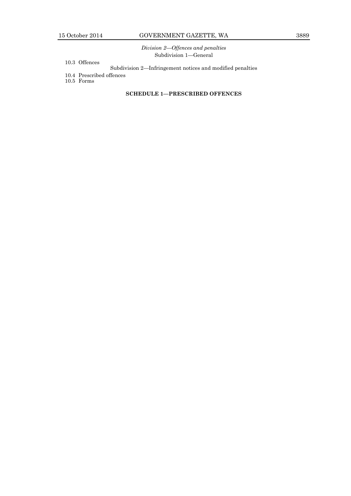*Division 2—Offences and penalties* Subdivision 1—General

- 10.3 Offences
	- Subdivision 2—Infringement notices and modified penalties
- 10.4 Prescribed offences
- 10.5 Forms

### **SCHEDULE 1—PRESCRIBED OFFENCES**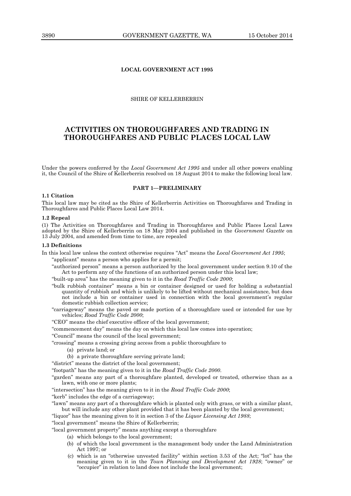### **LOCAL GOVERNMENT ACT 1995**

### SHIRE OF KELLERBERRIN

### **ACTIVITIES ON THOROUGHFARES AND TRADING IN THOROUGHFARES AND PUBLIC PLACES LOCAL LAW**

Under the powers conferred by the *Local Government Act 1995* and under all other powers enabling it, the Council of the Shire of Kellerberrin resolved on 18 August 2014 to make the following local law.

#### **PART 1—PRELIMINARY**

### **1.1 Citation**

This local law may be cited as the Shire of Kellerberrin Activities on Thoroughfares and Trading in Thoroughfares and Public Places Local Law 2014.

#### **1.2 Repeal**

(1) The Activities on Thoroughfares and Trading in Thoroughfares and Public Places Local Laws adopted by the Shire of Kellerberrin on 18 May 2004 and published in the *Government Gazette* on 13 July 2004, and amended from time to time, are repealed

#### **1.3 Definitions**

In this local law unless the context otherwise requires "Act" means the *Local Government Act 1995*;

"applicant" means a person who applies for a permit;

"authorized person" means a person authorized by the local government under section 9.10 of the Act to perform any of the functions of an authorized person under this local law;

"built-up area" has the meaning given to it in the *Road Traffic Code 2000*;

- "bulk rubbish container" means a bin or container designed or used for holding a substantial quantity of rubbish and which is unlikely to be lifted without mechanical assistance, but does not include a bin or container used in connection with the local government's regular domestic rubbish collection service;
- "carriageway" means the paved or made portion of a thoroughfare used or intended for use by vehicles; *Road Traffic Code 2000*;

"CEO" means the chief executive officer of the local government;

"commencement day" means the day on which this local law comes into operation;

"Council" means the council of the local government;

"crossing" means a crossing giving access from a public thoroughfare to

- (a) private land; or
- (b) a private thoroughfare serving private land;

"district" means the district of the local government;

"footpath" has the meaning given to it in the *Road Traffic Code 2000*.

"garden" means any part of a thoroughfare planted, developed or treated, otherwise than as a lawn, with one or more plants;

"intersection" has the meaning given to it in the *Road Traffic Code 2000*;

"kerb" includes the edge of a carriageway;

"lawn" means any part of a thoroughfare which is planted only with grass, or with a similar plant, but will include any other plant provided that it has been planted by the local government;

"liquor" has the meaning given to it in section 3 of the *Liquor Licensing Act 1988*;

"local government" means the Shire of Kellerberrin;

"local government property" means anything except a thoroughfare

- (a) which belongs to the local government;
- (b) of which the local government is the management body under the Land Administration Act 1997; or
- (c) which is an "otherwise unvested facility" within section 3.53 of the Act; "lot" has the meaning given to it in the *Town Planning and Development Act 1928*; "owner" or "occupier" in relation to land does not include the local government;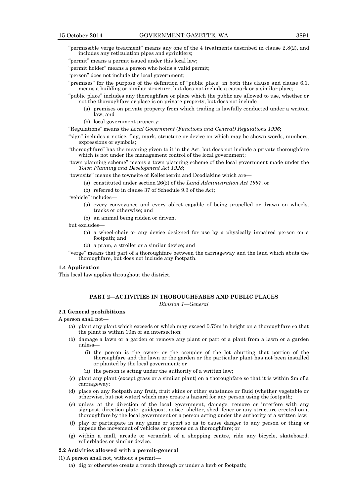"permissible verge treatment" means any one of the 4 treatments described in clause 2.8(2), and includes any reticulation pipes and sprinklers;

"permit" means a permit issued under this local law;

"permit holder" means a person who holds a valid permit;

"person" does not include the local government;

"premises" for the purpose of the definition of "public place" in both this clause and clause 6.1, means a building or similar structure, but does not include a carpark or a similar place;

"public place" includes any thoroughfare or place which the public are allowed to use, whether or not the thoroughfare or place is on private property, but does not include

- (a) premises on private property from which trading is lawfully conducted under a written law; and
- (b) local government property;

"Regulations" means the *Local Government (Functions and General) Regulations 1996*;

"sign" includes a notice, flag, mark, structure or device on which may be shown words, numbers, expressions or symbols;

"thoroughfare" has the meaning given to it in the Act, but does not include a private thoroughfare which is not under the management control of the local government;

"town planning scheme" means a town planning scheme of the local government made under the *Town Planning and Development Act 1928*;

"townsite" means the townsite of Kellerberrin and Doodlakine which are—

(a) constituted under section 26(2) of the *Land Administration Act 1997*; or

(b) referred to in clause 37 of Schedule 9.3 of the Act;

"vehicle" includes—

- (a) every conveyance and every object capable of being propelled or drawn on wheels, tracks or otherwise; and
- (b) an animal being ridden or driven,

but excludes—

- (a) a wheel-chair or any device designed for use by a physically impaired person on a footpath; and
- (b) a pram, a stroller or a similar device; and

"verge" means that part of a thoroughfare between the carriageway and the land which abuts the thoroughfare, but does not include any footpath.

### **1.4 Application**

This local law applies throughout the district.

#### **PART 2—ACTIVITIES IN THOROUGHFARES AND PUBLIC PLACES**

*Division 1—General*

### **2.1 General prohibitions**

A person shall not—

- (a) plant any plant which exceeds or which may exceed 0.75m in height on a thoroughfare so that the plant is within 10m of an intersection;
- (b) damage a lawn or a garden or remove any plant or part of a plant from a lawn or a garden unless—
	- (i) the person is the owner or the occupier of the lot abutting that portion of the thoroughfare and the lawn or the garden or the particular plant has not been installed or planted by the local government; or
	- (ii) the person is acting under the authority of a written law;
- (c) plant any plant (except grass or a similar plant) on a thoroughfare so that it is within 2m of a carriageway;
- (d) place on any footpath any fruit, fruit skins or other substance or fluid (whether vegetable or otherwise, but not water) which may create a hazard for any person using the footpath;
- (e) unless at the direction of the local government, damage, remove or interfere with any signpost, direction plate, guidepost, notice, shelter, shed, fence or any structure erected on a thoroughfare by the local government or a person acting under the authority of a written law;
- (f) play or participate in any game or sport so as to cause danger to any person or thing or impede the movement of vehicles or persons on a thoroughfare; or
- (g) within a mall, arcade or verandah of a shopping centre, ride any bicycle, skateboard, rollerblades or similar device.

### **2.2 Activities allowed with a permit-general**

(1) A person shall not, without a permit—

(a) dig or otherwise create a trench through or under a kerb or footpath;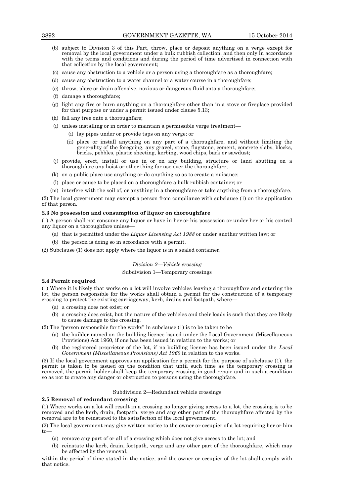- (b) subject to Division 3 of this Part, throw, place or deposit anything on a verge except for removal by the local government under a bulk rubbish collection, and then only in accordance with the terms and conditions and during the period of time advertised in connection with that collection by the local government;
- (c) cause any obstruction to a vehicle or a person using a thoroughfare as a thoroughfare;
- (d) cause any obstruction to a water channel or a water course in a thoroughfare;
- (e) throw, place or drain offensive, noxious or dangerous fluid onto a thoroughfare;
- (f) damage a thoroughfare;
- (g) light any fire or burn anything on a thoroughfare other than in a stove or fireplace provided for that purpose or under a permit issued under clause 5.13;
- (h) fell any tree onto a thoroughfare;
- (i) unless installing or in order to maintain a permissible verge treatment—
	- (i) lay pipes under or provide taps on any verge; or
	- (ii) place or install anything on any part of a thoroughfare, and without limiting the generality of the foregoing, any gravel, stone, flagstone, cement, concrete slabs, blocks, bricks, pebbles, plastic sheeting, kerbing, wood chips, bark or sawdust;
- (j) provide, erect, install or use in or on any building, structure or land abutting on a thoroughfare any hoist or other thing for use over the thoroughfare;
- (k) on a public place use anything or do anything so as to create a nuisance;
- (l) place or cause to be placed on a thoroughfare a bulk rubbish container; or
- (m) interfere with the soil of, or anything in a thoroughfare or take anything from a thoroughfare.

(2) The local government may exempt a person from compliance with subclause (1) on the application of that person.

#### **2.3 No possession and consumption of liquor on thoroughfare**

(1) A person shall not consume any liquor or have in her or his possession or under her or his control any liquor on a thoroughfare unless—

- (a) that is permitted under the *Liquor Licensing Act 1988* or under another written law; or
- (b) the person is doing so in accordance with a permit.

(2) Subclause (1) does not apply where the liquor is in a sealed container.

### *Division 2—Vehicle crossing*

#### Subdivision 1—Temporary crossings

### **2.4 Permit required**

(1) Where it is likely that works on a lot will involve vehicles leaving a thoroughfare and entering the lot, the person responsible for the works shall obtain a permit for the construction of a temporary crossing to protect the existing carriageway, kerb, drains and footpath, where—

- (a) a crossing does not exist; or
- (b) a crossing does exist, but the nature of the vehicles and their loads is such that they are likely to cause damage to the crossing.
- (2) The "person responsible for the works" in subclause (1) is to be taken to be
	- (a) the builder named on the building licence issued under the Local Government (Miscellaneous Provisions) Act 1960, if one has been issued in relation to the works; or
	- (b) the registered proprietor of the lot, if no building licence has been issued under the *Local Government (Miscellaneous Provisions) Act 1960* in relation to the works.

(3) If the local government approves an application for a permit for the purpose of subclause (1), the permit is taken to be issued on the condition that until such time as the temporary crossing is removed, the permit holder shall keep the temporary crossing in good repair and in such a condition so as not to create any danger or obstruction to persons using the thoroughfare.

### Subdivision 2—Redundant vehicle crossings

#### **2.5 Removal of redundant crossing**

(1) Where works on a lot will result in a crossing no longer giving access to a lot, the crossing is to be removed and the kerb, drain, footpath, verge and any other part of the thoroughfare affected by the removal are to be reinstated to the satisfaction of the local government.

(2) The local government may give written notice to the owner or occupier of a lot requiring her or him to—

- (a) remove any part of or all of a crossing which does not give access to the lot; and
- (b) reinstate the kerb, drain, footpath, verge and any other part of the thoroughfare, which may be affected by the removal,

within the period of time stated in the notice, and the owner or occupier of the lot shall comply with that notice.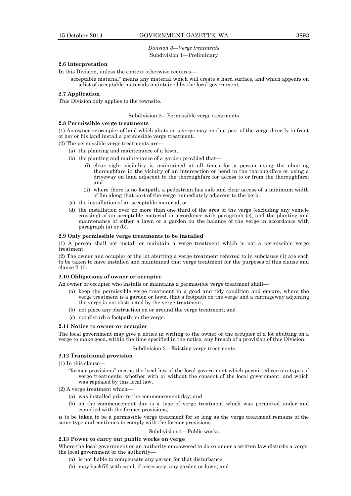### *Division 3—Verge treatments* Subdivision 1—Preliminary

### **2.6 Interpretation**

In this Division, unless the context otherwise requires—

"acceptable material" means any material which will create a hard surface, and which appears on a list of acceptable materials maintained by the local government.

### **2.7 Application**

This Division only applies to the townsite.

#### Subdivision 2—Permissible verge treatments

#### **2.8 Permissible verge treatments**

(1) An owner or occupier of land which abuts on a verge may on that part of the verge directly in front of her or his land install a permissible verge treatment.

(2) The permissible verge treatments are—

- (a) the planting and maintenance of a lawn;
- (b) the planting and maintenance of a garden provided that—
	- (i) clear sight visibility is maintained at all times for a person using the abutting thoroughfare in the vicinity of an intersection or bend in the thoroughfare or using a driveway on land adjacent to the thoroughfare for access to or from the thoroughfare; and
	- (ii) where there is no footpath, a pedestrian has safe and clear access of a minimum width of 2m along that part of the verge immediately adjacent to the kerb;
- (c) the installation of an acceptable material; or
- (d) the installation over no more than one third of the area of the verge (excluding any vehicle crossing) of an acceptable material in accordance with paragraph (c), and the planting and maintenance of either a lawn or a garden on the balance of the verge in accordance with paragraph (a) or (b).

#### **2.9 Only permissible verge treatments to be installed**

(1) A person shall not install or maintain a verge treatment which is not a permissible verge treatment.

(2) The owner and occupier of the lot abutting a verge treatment referred to in subclause (1) are each to be taken to have installed and maintained that verge treatment for the purposes of this clause and clause 2.10.

#### **2.10 Obligations of owner or occupier**

An owner or occupier who installs or maintains a permissible verge treatment shall—

- (a) keep the permissible verge treatment in a good and tidy condition and ensure, where the verge treatment is a garden or lawn, that a footpath on the verge and a carriageway adjoining the verge is not obstructed by the verge treatment;
- (b) not place any obstruction on or around the verge treatment; and
- (c) not disturb a footpath on the verge.

#### **2.11 Notice to owner or occupier**

The local government may give a notice in writing to the owner or the occupier of a lot abutting on a verge to make good, within the time specified in the notice, any breach of a provision of this Division.

#### Subdivision 3—Existing verge treatments

### **2.12 Transitional provision**

 $(1)$  In this clause

- "former provisions" means the local law of the local government which permitted certain types of verge treatments, whether with or without the consent of the local government, and which was repealed by this local law.
- (2) A verge treatment which—
	- (a) was installed prior to the commencement day; and
	- (b) on the commencement day is a type of verge treatment which was permitted under and complied with the former provisions,

is to be taken to be a permissible verge treatment for so long as the verge treatment remains of the same type and continues to comply with the former provisions.

#### Subdivision 4—Public works

#### **2.13 Power to carry out public works on verge**

Where the local government or an authority empowered to do so under a written law disturbs a verge, the local government or the authority—

- (a) is not liable to compensate any person for that disturbance;
- (b) may backfill with sand, if necessary, any garden or lawn; and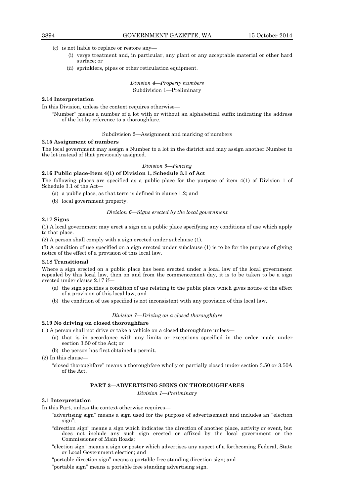- (c) is not liable to replace or restore any—
	- (i) verge treatment and, in particular, any plant or any acceptable material or other hard surface; or
	- (ii) sprinklers, pipes or other reticulation equipment.

*Division 4—Property numbers* Subdivision 1—Preliminary

### **2.14 Interpretation**

In this Division, unless the context requires otherwise—

"Number" means a number of a lot with or without an alphabetical suffix indicating the address of the lot by reference to a thoroughfare.

### Subdivision 2—Assignment and marking of numbers

#### **2.15 Assignment of numbers**

The local government may assign a Number to a lot in the district and may assign another Number to the lot instead of that previously assigned.

### *Division 5—Fencing*

**2.16 Public place-Item 4(1) of Division 1, Schedule 3.1 of Act**

The following places are specified as a public place for the purpose of item 4(1) of Division 1 of Schedule 3.1 of the Act—

- (a) a public place, as that term is defined in clause 1.2; and
- (b) local government property.

#### *Division 6—Signs erected by the local government*

#### **2.17 Signs**

(1) A local government may erect a sign on a public place specifying any conditions of use which apply to that place.

(2) A person shall comply with a sign erected under subclause (1).

(3) A condition of use specified on a sign erected under subclause (1) is to be for the purpose of giving notice of the effect of a provision of this local law.

#### **2.18 Transitional**

Where a sign erected on a public place has been erected under a local law of the local government repealed by this local law, then on and from the commencement day, it is to be taken to be a sign erected under clause 2.17 if—

- (a) the sign specifies a condition of use relating to the public place which gives notice of the effect of a provision of this local law; and
- (b) the condition of use specified is not inconsistent with any provision of this local law.

### *Division 7—Driving on a closed thoroughfare*

### **2.19 No driving on closed thoroughfare**

(1) A person shall not drive or take a vehicle on a closed thoroughfare unless—

- (a) that is in accordance with any limits or exceptions specified in the order made under section 3.50 of the Act; or
- (b) the person has first obtained a permit.

(2) In this clause—

"closed thoroughfare" means a thoroughfare wholly or partially closed under section 3.50 or 3.50A of the Act.

### **PART 3—ADVERTISING SIGNS ON THOROUGHFARES**

*Division 1—Preliminary*

#### **3.1 Interpretation**

In this Part, unless the context otherwise requires—

- "advertising sign" means a sign used for the purpose of advertisement and includes an "election sign";
- "direction sign" means a sign which indicates the direction of another place, activity or event, but does not include any such sign erected or affixed by the local government or the Commissioner of Main Roads;
- "election sign" means a sign or poster which advertises any aspect of a forthcoming Federal, State or Local Government election; and

"portable direction sign" means a portable free standing direction sign; and

"portable sign" means a portable free standing advertising sign.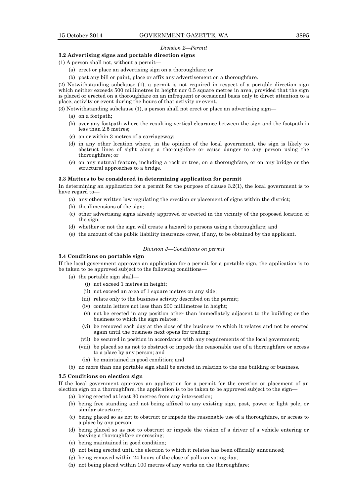### *Division 2—Permit*

### **3.2 Advertising signs and portable direction signs**

(1) A person shall not, without a permit—

- (a) erect or place an advertising sign on a thoroughfare; or
- (b) post any bill or paint, place or affix any advertisement on a thoroughfare.

(2) Notwithstanding subclause (1), a permit is not required in respect of a portable direction sign which neither exceeds 500 millimetres in height nor 0.5 square metres in area, provided that the sign is placed or erected on a thoroughfare on an infrequent or occasional basis only to direct attention to a place, activity or event during the hours of that activity or event.

(3) Notwithstanding subclause (1), a person shall not erect or place an advertising sign—

- (a) on a footpath;
- (b) over any footpath where the resulting vertical clearance between the sign and the footpath is less than 2.5 metres;
- (c) on or within 3 metres of a carriageway;
- (d) in any other location where, in the opinion of the local government, the sign is likely to obstruct lines of sight along a thoroughfare or cause danger to any person using the thoroughfare; or
- (e) on any natural feature, including a rock or tree, on a thoroughfare, or on any bridge or the structural approaches to a bridge.

#### **3.3 Matters to be considered in determining application for permit**

In determining an application for a permit for the purpose of clause 3.2(1), the local government is to have regard to-

- (a) any other written law regulating the erection or placement of signs within the district;
- (b) the dimensions of the sign;
- (c) other advertising signs already approved or erected in the vicinity of the proposed location of the sign;
- (d) whether or not the sign will create a hazard to persons using a thoroughfare; and
- (e) the amount of the public liability insurance cover, if any, to be obtained by the applicant.

#### *Division 3—Conditions on permit*

### **3.4 Conditions on portable sign**

If the local government approves an application for a permit for a portable sign, the application is to be taken to be approved subject to the following conditions—

- (a) the portable sign shall—
	- (i) not exceed 1 metres in height;
	- (ii) not exceed an area of 1 square metres on any side;
	- (iii) relate only to the business activity described on the permit;
	- (iv) contain letters not less than 200 millimetres in height;
	- (v) not be erected in any position other than immediately adjacent to the building or the business to which the sign relates;
	- (vi) be removed each day at the close of the business to which it relates and not be erected again until the business next opens for trading;
	- (vii) be secured in position in accordance with any requirements of the local government;
	- (viii) be placed so as not to obstruct or impede the reasonable use of a thoroughfare or access to a place by any person; and
		- (ix) be maintained in good condition; and
- (b) no more than one portable sign shall be erected in relation to the one building or business.

#### **3.5 Conditions on election sign**

If the local government approves an application for a permit for the erection or placement of an election sign on a thoroughfare, the application is to be taken to be approved subject to the sign—

- (a) being erected at least 30 metres from any intersection;
- (b) being free standing and not being affixed to any existing sign, post, power or light pole, or similar structure;
- (c) being placed so as not to obstruct or impede the reasonable use of a thoroughfare, or access to a place by any person;
- (d) being placed so as not to obstruct or impede the vision of a driver of a vehicle entering or leaving a thoroughfare or crossing;
- (e) being maintained in good condition;
- (f) not being erected until the election to which it relates has been officially announced;
- (g) being removed within 24 hours of the close of polls on voting day;
- (h) not being placed within 100 metres of any works on the thoroughfare;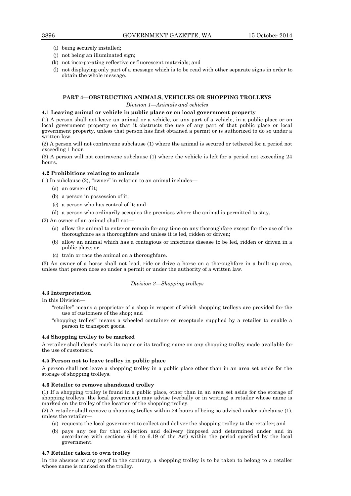- (i) being securely installed;
- (j) not being an illuminated sign;
- (k) not incorporating reflective or fluorescent materials; and
- (l) not displaying only part of a message which is to be read with other separate signs in order to obtain the whole message.

## **PART 4—OBSTRUCTING ANIMALS, VEHICLES OR SHOPPING TROLLEYS**

### *Division 1—Animals and vehicles*

### **4.1 Leaving animal or vehicle in public place or on local government property**

(1) A person shall not leave an animal or a vehicle, or any part of a vehicle, in a public place or on local government property so that it obstructs the use of any part of that public place or local government property, unless that person has first obtained a permit or is authorized to do so under a written law.

(2) A person will not contravene subclause (1) where the animal is secured or tethered for a period not exceeding 1 hour.

(3) A person will not contravene subclause (1) where the vehicle is left for a period not exceeding 24 hours.

### **4.2 Prohibitions relating to animals**

(1) In subclause (2), "owner" in relation to an animal includes—

- (a) an owner of it;
- (b) a person in possession of it;
- (c) a person who has control of it; and
- (d) a person who ordinarily occupies the premises where the animal is permitted to stay.

(2) An owner of an animal shall not—

- (a) allow the animal to enter or remain for any time on any thoroughfare except for the use of the thoroughfare as a thoroughfare and unless it is led, ridden or driven;
- (b) allow an animal which has a contagious or infectious disease to be led, ridden or driven in a public place; or
- (c) train or race the animal on a thoroughfare.

(3) An owner of a horse shall not lead, ride or drive a horse on a thoroughfare in a built-up area, unless that person does so under a permit or under the authority of a written law.

#### *Division 2—Shopping trolleys*

### **4.3 Interpretation**

In this Division—

- "retailer" means a proprietor of a shop in respect of which shopping trolleys are provided for the use of customers of the shop; and
- "shopping trolley" means a wheeled container or receptacle supplied by a retailer to enable a person to transport goods.

#### **4.4 Shopping trolley to be marked**

A retailer shall clearly mark its name or its trading name on any shopping trolley made available for the use of customers.

#### **4.5 Person not to leave trolley in public place**

A person shall not leave a shopping trolley in a public place other than in an area set aside for the storage of shopping trolleys.

#### **4.6 Retailer to remove abandoned trolley**

(1) If a shopping trolley is found in a public place, other than in an area set aside for the storage of shopping trolleys, the local government may advise (verbally or in writing) a retailer whose name is marked on the trolley of the location of the shopping trolley.

(2) A retailer shall remove a shopping trolley within 24 hours of being so advised under subclause (1), unless the retailer—

- (a) requests the local government to collect and deliver the shopping trolley to the retailer; and
- (b) pays any fee for that collection and delivery (imposed and determined under and in accordance with sections 6.16 to 6.19 of the Act) within the period specified by the local government.

### **4.7 Retailer taken to own trolley**

In the absence of any proof to the contrary, a shopping trolley is to be taken to belong to a retailer whose name is marked on the trolley.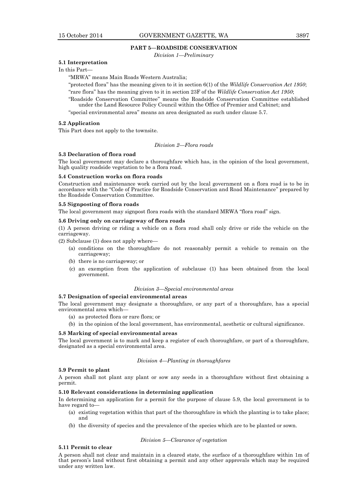#### **PART 5—ROADSIDE CONSERVATION**

*Division 1—Preliminary*

### **5.1 Interpretation**

### In this Part—

"MRWA" means Main Roads Western Australia;

"protected flora" has the meaning given to it in section 6(1) of the *Wildlife Conservation Act 1950*; "rare flora" has the meaning given to it in section 23F of the *Wildlife Conservation Act 1950*;

"Roadside Conservation Committee" means the Roadside Conservation Committee established

under the Land Resource Policy Council within the Office of Premier and Cabinet; and "special environmental area" means an area designated as such under clause 5.7.

### **5.2 Application**

This Part does not apply to the townsite.

*Division 2—Flora roads*

#### **5.3 Declaration of flora road**

The local government may declare a thoroughfare which has, in the opinion of the local government, high quality roadside vegetation to be a flora road.

### **5.4 Construction works on flora roads**

Construction and maintenance work carried out by the local government on a flora road is to be in accordance with the "Code of Practice for Roadside Conservation and Road Maintenance" prepared by the Roadside Conservation Committee.

#### **5.5 Signposting of flora roads**

The local government may signpost flora roads with the standard MRWA "flora road" sign.

#### **5.6 Driving only on carriageway of flora roads**

(1) A person driving or riding a vehicle on a flora road shall only drive or ride the vehicle on the carriageway.

(2) Subclause (1) does not apply where—

- (a) conditions on the thoroughfare do not reasonably permit a vehicle to remain on the carriageway;
- (b) there is no carriageway; or
- (c) an exemption from the application of subclause (1) has been obtained from the local government.

#### *Division 3—Special environmental areas*

### **5.7 Designation of special environmental areas**

The local government may designate a thoroughfare, or any part of a thoroughfare, has a special environmental area which—

- (a) as protected flora or rare flora; or
- (b) in the opinion of the local government, has environmental, aesthetic or cultural significance.

#### **5.8 Marking of special environmental areas**

The local government is to mark and keep a register of each thoroughfare, or part of a thoroughfare, designated as a special environmental area.

### *Division 4—Planting in thoroughfares*

### **5.9 Permit to plant**

A person shall not plant any plant or sow any seeds in a thoroughfare without first obtaining a permit.

### **5.10 Relevant considerations in determining application**

In determining an application for a permit for the purpose of clause 5.9, the local government is to have regard to—

- (a) existing vegetation within that part of the thoroughfare in which the planting is to take place; and
- (b) the diversity of species and the prevalence of the species which are to be planted or sown.

### *Division 5—Clearance of vegetation*

### **5.11 Permit to clear**

A person shall not clear and maintain in a cleared state, the surface of a thoroughfare within 1m of that person's land without first obtaining a permit and any other approvals which may be required under any written law.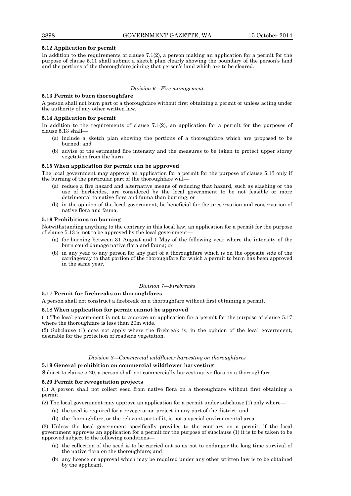### **5.12 Application for permit**

In addition to the requirements of clause  $7.1(2)$ , a person making an application for a permit for the purpose of clause 5.11 shall submit a sketch plan clearly showing the boundary of the person's land and the portions of the thoroughfare joining that person's land which are to be cleared.

### *Division 6—Fire management*

#### **5.13 Permit to burn thoroughfare**

A person shall not burn part of a thoroughfare without first obtaining a permit or unless acting under the authority of any other written law.

### **5.14 Application for permit**

In addition to the requirements of clause  $7.1(2)$ , an application for a permit for the purposes of clause 5.13 shall—

- (a) include a sketch plan showing the portions of a thoroughfare which are proposed to be burned; and
- (b) advise of the estimated fire intensity and the measures to be taken to protect upper storey vegetation from the burn.

### **5.15 When application for permit can be approved**

The local government may approve an application for a permit for the purpose of clause 5.13 only if the burning of the particular part of the thoroughfare will—

- (a) reduce a fire hazard and alternative means of reducing that hazard, such as slashing or the use of herbicides, are considered by the local government to be not feasible or more detrimental to native flora and fauna than burning; or
- (b) in the opinion of the local government, be beneficial for the preservation and conservation of native flora and fauna.

### **5.16 Prohibitions on burning**

Notwithstanding anything to the contrary in this local law, an application for a permit for the purpose of clause 5.13 is not to be approved by the local government—

- (a) for burning between 31 August and 1 May of the following year where the intensity of the burn could damage native flora and fauna; or
- (b) in any year to any person for any part of a thoroughfare which is on the opposite side of the carriageway to that portion of the thoroughfare for which a permit to burn has been approved in the same year.

### *Division 7—Firebreaks*

### **5.17 Permit for firebreaks on thoroughfares**

A person shall not construct a firebreak on a thoroughfare without first obtaining a permit.

### **5.18 When application for permit cannot be approved**

(1) The local government is not to approve an application for a permit for the purpose of clause 5.17 where the thoroughfare is less than 20m wide.

(2) Subclause (1) does not apply where the firebreak is, in the opinion of the local government, desirable for the protection of roadside vegetation.

#### *Division 8—Commercial wildflower harvesting on thoroughfares*

### **5.19 General prohibition on commercial wildflower harvesting**

Subject to clause 5.20, a person shall not commercially harvest native flora on a thoroughfare.

### **5.20 Permit for revegetation projects**

(1) A person shall not collect seed from native flora on a thoroughfare without first obtaining a permit.

(2) The local government may approve an application for a permit under subclause (1) only where—

- (a) the seed is required for a revegetation project in any part of the district; and
- (b) the thoroughfare, or the relevant part of it, is not a special environmental area.

(3) Unless the local government specifically provides to the contrary on a permit, if the local government approves an application for a permit for the purpose of subclause (1) it is to be taken to be approved subject to the following conditions—

- (a) the collection of the seed is to be carried out so as not to endanger the long time survival of the native flora on the thoroughfare; and
- (b) any licence or approval which may be required under any other written law is to be obtained by the applicant.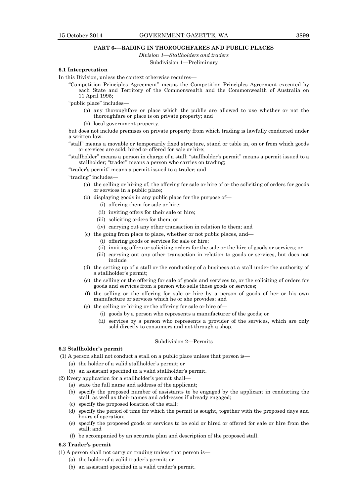### **PART 6-—RADING IN THOROUGHFARES AND PUBLIC PLACES**

*Division 1—Stallholders and traders*

Subdivision 1—Preliminary

### **6.1 Interpretation**

- In this Division, unless the context otherwise requires—
	- "Competition Principles Agreement" means the Competition Principles Agreement executed by each State and Territory of the Commonwealth and the Commonwealth of Australia on 11 April 1995;

"public place" includes—

(a) any thoroughfare or place which the public are allowed to use whether or not the thoroughfare or place is on private property; and

(b) local government property,

but does not include premises on private property from which trading is lawfully conducted under a written law.

"stall" means a movable or temporarily fixed structure, stand or table in, on or from which goods or services are sold, hired or offered for sale or hire;

"stallholder" means a person in charge of a stall; "stallholder's permit" means a permit issued to a stallholder; "trader" means a person who carries on trading;

"trader's permit" means a permit issued to a trader; and

"trading" includes—

- (a) the selling or hiring of, the offering for sale or hire of or the soliciting of orders for goods or services in a public place;
- (b) displaying goods in any public place for the purpose of—
	- (i) offering them for sale or hire;
	- (ii) inviting offers for their sale or hire;
	- (iii) soliciting orders for them; or
	- (iv) carrying out any other transaction in relation to them; and
- (c) the going from place to place, whether or not public places, and—
	- (i) offering goods or services for sale or hire;
	- (ii) inviting offers or soliciting orders for the sale or the hire of goods or services; or
	- (iii) carrying out any other transaction in relation to goods or services, but does not include
- (d) the setting up of a stall or the conducting of a business at a stall under the authority of a stallholder's permit;
- (e) the selling or the offering for sale of goods and services to, or the soliciting of orders for goods and services from a person who sells those goods or services;
- (f) the selling or the offering for sale or hire by a person of goods of her or his own manufacture or services which he or she provides; and
- (g) the selling or hiring or the offering for sale or hire of—
	- (i) goods by a person who represents a manufacturer of the goods; or
	- (ii) services by a person who represents a provider of the services, which are only sold directly to consumers and not through a shop.

#### Subdivision 2—Permits

#### **6.2 Stallholder's permit**

(1) A person shall not conduct a stall on a public place unless that person is—

- (a) the holder of a valid stallholder's permit; or
- (b) an assistant specified in a valid stallholder's permit.
- (2) Every application for a stallholder's permit shall—
	- (a) state the full name and address of the applicant;
	- (b) specify the proposed number of assistants to be engaged by the applicant in conducting the stall, as well as their names and addresses if already engaged;
	- (c) specify the proposed location of the stall;
	- (d) specify the period of time for which the permit is sought, together with the proposed days and hours of operation;
	- (e) specify the proposed goods or services to be sold or hired or offered for sale or hire from the stall; and
	- (f) be accompanied by an accurate plan and description of the proposed stall.

### **6.3 Trader's permit**

- (1) A person shall not carry on trading unless that person is—
	- (a) the holder of a valid trader's permit; or
	- (b) an assistant specified in a valid trader's permit.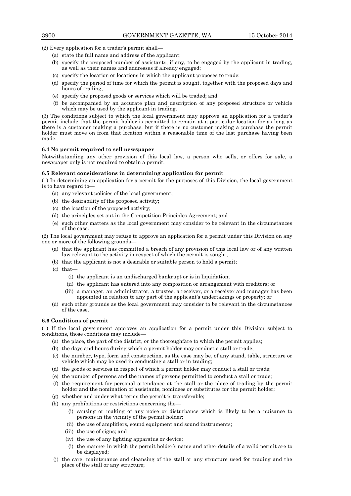(2) Every application for a trader's permit shall—

- (a) state the full name and address of the applicant;
- (b) specify the proposed number of assistants, if any, to be engaged by the applicant in trading, as well as their names and addresses if already engaged;
- (c) specify the location or locations in which the applicant proposes to trade;
- (d) specify the period of time for which the permit is sought, together with the proposed days and hours of trading;
- (e) specify the proposed goods or services which will be traded; and
- (f) be accompanied by an accurate plan and description of any proposed structure or vehicle which may be used by the applicant in trading.

(3) The conditions subject to which the local government may approve an application for a trader's permit include that the permit holder is permitted to remain at a particular location for as long as there is a customer making a purchase, but if there is no customer making a purchase the permit holder must move on from that location within a reasonable time of the last purchase having been made.

#### **6.4 No permit required to sell newspaper**

Notwithstanding any other provision of this local law, a person who sells, or offers for sale, a newspaper only is not required to obtain a permit.

### **6.5 Relevant considerations in determining application for permit**

(1) In determining an application for a permit for the purposes of this Division, the local government is to have regard to—

- (a) any relevant policies of the local government;
- (b) the desirability of the proposed activity;
- (c) the location of the proposed activity;
- (d) the principles set out in the Competition Principles Agreement; and
- (e) such other matters as the local government may consider to be relevant in the circumstances of the case.

(2) The local government may refuse to approve an application for a permit under this Division on any one or more of the following grounds—

- (a) that the applicant has committed a breach of any provision of this local law or of any written law relevant to the activity in respect of which the permit is sought;
- (b) that the applicant is not a desirable or suitable person to hold a permit;
- (c) that—
	- (i) the applicant is an undischarged bankrupt or is in liquidation;
	- (ii) the applicant has entered into any composition or arrangement with creditors; or
	- (iii) a manager, an administrator, a trustee, a receiver, or a receiver and manager has been appointed in relation to any part of the applicant's undertakings or property; or
- (d) such other grounds as the local government may consider to be relevant in the circumstances of the case.

#### **6.6 Conditions of permit**

(1) If the local government approves an application for a permit under this Division subject to conditions, those conditions may include—

- (a) the place, the part of the district, or the thoroughfare to which the permit applies;
- (b) the days and hours during which a permit holder may conduct a stall or trade;
- (c) the number, type, form and construction, as the case may be, of any stand, table, structure or vehicle which may be used in conducting a stall or in trading;
- (d) the goods or services in respect of which a permit holder may conduct a stall or trade;
- (e) the number of persons and the names of persons permitted to conduct a stall or trade;
- (f) the requirement for personal attendance at the stall or the place of trading by the permit holder and the nomination of assistants, nominees or substitutes for the permit holder;
- (g) whether and under what terms the permit is transferable;
- (h) any prohibitions or restrictions concerning the—
	- (i) causing or making of any noise or disturbance which is likely to be a nuisance to persons in the vicinity of the permit holder;
	- (ii) the use of amplifiers, sound equipment and sound instruments;
	- (iii) the use of signs; and
	- (iv) the use of any lighting apparatus or device;
	- (i) the manner in which the permit holder's name and other details of a valid permit are to be displayed;
- (j) the care, maintenance and cleansing of the stall or any structure used for trading and the place of the stall or any structure;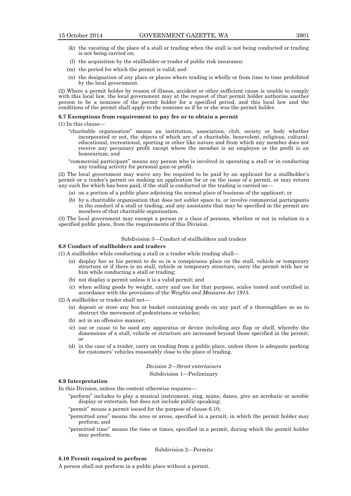- 
- (k) the vacating of the place of a stall or trading when the stall is not being conducted or trading is not being carried on;
- (l) the acquisition by the stallholder or trader of public risk insurance;
- (m) the period for which the permit is valid; and
- (n) the designation of any place or places where trading is wholly or from time to time prohibited by the local government.

(2) Where a permit holder by reason of illness, accident or other sufficient cause is unable to comply with this local law, the local government may at the request of that permit holder authorize another person to be a nominee of the permit holder for a specified period, and this local law and the conditions of the permit shall apply to the nominee as if he or she was the permit holder.

#### **6.7 Exemptions from requirement to pay fee or to obtain a permit**

- (1) In this clause—
	- "charitable organisation" means an institution, association, club, society or body whether incorporated or not, the objects of which are of a charitable, benevolent, religious, cultural, educational, recreational, sporting or other like nature and from which any member does not receive any pecuniary profit except where the member is an employee or the profit is an honorarium; and
	- "commercial participant" means any person who is involved in operating a stall or in conducting any trading activity for personal gain or profit.

(2) The local government may waive any fee required to be paid by an applicant for a stallholder's permit or a trader's permit on making an application for or on the issue of a permit, or may return any such fee which has been paid, if the stall is conducted or the trading is carried on—

- (a) on a portion of a public place adjoining the normal place of business of the applicant; or
- (b) by a charitable organisation that does not sublet space to, or involve commercial participants in the conduct of a stall or trading, and any assistants that may be specified in the permit are members of that charitable organisation.

(3) The local government may exempt a person or a class of persons, whether or not in relation to a specified public place, from the requirements of this Division.

### Subdivision 3—Conduct of stallholders and traders

### **6.8 Conduct of stallholders and traders**

(1) A stallholder while conducting a stall or a trader while trading shall—

- (a) display her or his permit to do so in a conspicuous place on the stall, vehicle or temporary structure or if there is no stall, vehicle or temporary structure, carry the permit with her or him while conducting a stall or trading;
- (b) not display a permit unless it is a valid permit; and
- (c) when selling goods by weight, carry and use for that purpose, scales tested and certified in accordance with the provisions of the *Weights and Measures Act 1915*.
- $(2)$  A stallholder or trader shall not-
	- (a) deposit or store any box or basket containing goods on any part of a thoroughfare so as to obstruct the movement of pedestrians or vehicles;
	- (b) act in an offensive manner;
	- (c) use or cause to be used any apparatus or device including any flap or shelf, whereby the dimensions of a stall, vehicle or structure are increased beyond those specified in the permit; or
	- (d) in the case of a trader, carry on trading from a public place, unless there is adequate parking for customers' vehicles reasonably close to the place of trading.

#### *Division 2—Street entertainers*

#### Subdivision 1—Preliminary

#### **6.9 Interpretation**

In this Division, unless the context otherwise requires—

- "perform" includes to play a musical instrument, sing, mime, dance, give an acrobatic or aerobic display or entertain, but does not include public speaking;
- "permit" means a permit issued for the purpose of clause 6.10;
- "permitted area" means the area or areas, specified in a permit, in which the permit holder may perform; and
- "permitted time" means the time or times, specified in a permit, during which the permit holder may perform.

### Subdivision 2—Permits

#### **6.10 Permit required to perform**

A person shall not perform in a public place without a permit.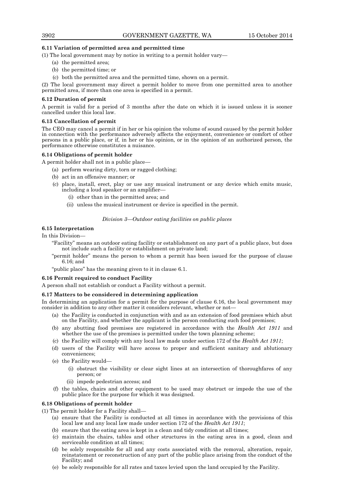### **6.11 Variation of permitted area and permitted time**

(1) The local government may by notice in writing to a permit holder vary—

- (a) the permitted area;
- (b) the permitted time; or
- (c) both the permitted area and the permitted time, shown on a permit.

(2) The local government may direct a permit holder to move from one permitted area to another permitted area, if more than one area is specified in a permit.

### **6.12 Duration of permit**

A permit is valid for a period of 3 months after the date on which it is issued unless it is sooner cancelled under this local law.

### **6.13 Cancellation of permit**

The CEO may cancel a permit if in her or his opinion the volume of sound caused by the permit holder in connection with the performance adversely affects the enjoyment, convenience or comfort of other persons in a public place, or if, in her or his opinion, or in the opinion of an authorized person, the performance otherwise constitutes a nuisance.

#### **6.14 Obligations of permit holder**

A permit holder shall not in a public place—

- (a) perform wearing dirty, torn or ragged clothing;
- (b) act in an offensive manner; or
- (c) place, install, erect, play or use any musical instrument or any device which emits music, including a loud speaker or an amplifier—
	- (i) other than in the permitted area; and
	- (ii) unless the musical instrument or device is specified in the permit.

### *Division 3—Outdoor eating facilities on public places*

### **6.15 Interpretation**

In this Division—

- "Facility" means an outdoor eating facility or establishment on any part of a public place, but does not include such a facility or establishment on private land;
- "permit holder" means the person to whom a permit has been issued for the purpose of clause 6.16; and
- "public place" has the meaning given to it in clause 6.1.

#### **6.16 Permit required to conduct Facility**

A person shall not establish or conduct a Facility without a permit.

### **6.17 Matters to be considered in determining application**

In determining an application for a permit for the purpose of clause 6.16, the local government may consider in addition to any other matter it considers relevant, whether or not—

- (a) the Facility is conducted in conjunction with and as an extension of food premises which abut on the Facility, and whether the applicant is the person conducting such food premises;
- (b) any abutting food premises are registered in accordance with the *Health Act 1911* and whether the use of the premises is permitted under the town planning scheme;
- (c) the Facility will comply with any local law made under section 172 of the *Health Act 1911*;
- (d) users of the Facility will have access to proper and sufficient sanitary and ablutionary conveniences;
- (e) the Facility would—
	- (i) obstruct the visibility or clear sight lines at an intersection of thoroughfares of any person; or
	- (ii) impede pedestrian access; and
- (f) the tables, chairs and other equipment to be used may obstruct or impede the use of the public place for the purpose for which it was designed.

### **6.18 Obligations of permit holder**

(1) The permit holder for a Facility shall—

- (a) ensure that the Facility is conducted at all times in accordance with the provisions of this local law and any local law made under section 172 of the *Health Act 1911*;
- (b) ensure that the eating area is kept in a clean and tidy condition at all times;
- (c) maintain the chairs, tables and other structures in the eating area in a good, clean and serviceable condition at all times;
- (d) be solely responsible for all and any costs associated with the removal, alteration, repair, reinstatement or reconstruction of any part of the public place arising from the conduct of the Facility; and
- (e) be solely responsible for all rates and taxes levied upon the land occupied by the Facility.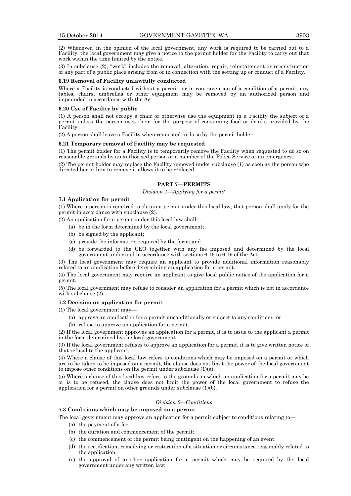(2) Whenever, in the opinion of the local government, any work is required to be carried out to a Facility, the local government may give a notice to the permit holder for the Facility to carry out that work within the time limited by the notice.

(3) In subclause (2), "work" includes the removal, alteration, repair, reinstatement or reconstruction of any part of a public place arising from or in connection with the setting up or conduct of a Facility.

### **6.19 Removal of Facility unlawfully conducted**

Where a Facility is conducted without a permit, or in contravention of a condition of a permit, any tables, chairs, umbrellas or other equipment may be removed by an authorized person and impounded in accordance with the Act.

#### **6.20 Use of Facility by public**

(1) A person shall not occupy a chair or otherwise use the equipment in a Facility the subject of a permit unless the person uses them for the purpose of consuming food or drinks provided by the Facility.

(2) A person shall leave a Facility when requested to do so by the permit holder.

### **6.21 Temporary removal of Facility may be requested**

(1) The permit holder for a Facility is to temporarily remove the Facility when requested to do so on reasonable grounds by an authorised person or a member of the Police Service or an emergency.

(2) The permit holder may replace the Facility removed under subclause (1) as soon as the person who directed her or him to remove it allows it to be replaced.

### **PART 7—PERMITS**

*Division 1—Applying for a permit*

#### **7.1 Application for permit**

(1) Where a person is required to obtain a permit under this local law, that person shall apply for the permit in accordance with subclause (2).

(2) An application for a permit under this local law shall—

- (a) be in the form determined by the local government;
- (b) be signed by the applicant;
- (c) provide the information required by the form; and
- (d) be forwarded to the CEO together with any fee imposed and determined by the local government under and in accordance with sections 6.16 to 6.19 of the Act.

(3) The local government may require an applicant to provide additional information reasonably related to an application before determining an application for a permit.

(4) The local government may require an applicant to give local public notice of the application for a permit.

(5) The local government may refuse to consider an application for a permit which is not in accordance with subclause (2).

### **7.2 Decision on application for permit**

(1) The local government may—

- (a) approve an application for a permit unconditionally or subject to any conditions; or
- (b) refuse to approve an application for a permit.

(2) If the local government approves an application for a permit, it is to issue to the applicant a permit in the form determined by the local government.

(3) If the local government refuses to approve an application for a permit, it is to give written notice of that refusal to the applicant.

(4) Where a clause of this local law refers to conditions which may be imposed on a permit or which are to be taken to be imposed on a permit, the clause does not limit the power of the local government to impose other conditions on the permit under subclause (1)(a).

(5) Where a clause of this local law refers to the grounds on which an application for a permit may be or is to be refused, the clause does not limit the power of the local government to refuse the application for a permit on other grounds under subclause (1)(b).

### *Division 2—Conditions*

### **7.3 Conditions which may be imposed on a permit**

The local government may approve an application for a permit subject to conditions relating to—

- (a) the payment of a fee;
- (b) the duration and commencement of the permit;
- (c) the commencement of the permit being contingent on the happening of an event;
- (d) the rectification, remedying or restoration of a situation or circumstance reasonably related to the application;
- (e) the approval of another application for a permit which may be required by the local government under any written law;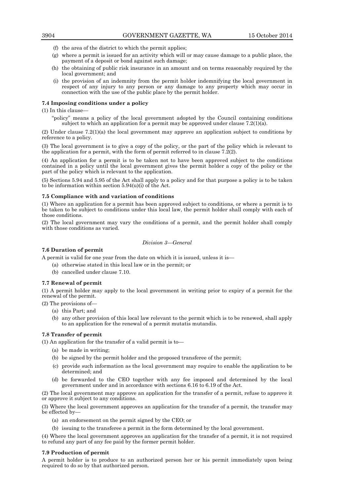- (f) the area of the district to which the permit applies;
- (g) where a permit is issued for an activity which will or may cause damage to a public place, the payment of a deposit or bond against such damage;
- (h) the obtaining of public risk insurance in an amount and on terms reasonably required by the local government; and
- (i) the provision of an indemnity from the permit holder indemnifying the local government in respect of any injury to any person or any damage to any property which may occur in connection with the use of the public place by the permit holder.

### **7.4 Imposing conditions under a policy**

(1) In this clause—

"policy" means a policy of the local government adopted by the Council containing conditions subject to which an application for a permit may be approved under clause 7.2(1)(a).

(2) Under clause 7.2(1)(a) the local government may approve an application subject to conditions by reference to a policy.

(3) The local government is to give a copy of the policy, or the part of the policy which is relevant to the application for a permit, with the form of permit referred to in clause  $7.\overline{2}(2)$ .

(4) An application for a permit is to be taken not to have been approved subject to the conditions contained in a policy until the local government gives the permit holder a copy of the policy or the part of the policy which is relevant to the application.

(5) Sections 5.94 and 5.95 of the Act shall apply to a policy and for that purpose a policy is to be taken to be information within section  $5.94(u)(i)$  of the Act.

### **7.5 Compliance with and variation of conditions**

(1) Where an application for a permit has been approved subject to conditions, or where a permit is to be taken to be subject to conditions under this local law, the permit holder shall comply with each of those conditions.

(2) The local government may vary the conditions of a permit, and the permit holder shall comply with those conditions as varied.

### *Division 3—General*

### **7.6 Duration of permit**

A permit is valid for one year from the date on which it is issued, unless it is—

(a) otherwise stated in this local law or in the permit; or

(b) cancelled under clause 7.10.

### **7.7 Renewal of permit**

(1) A permit holder may apply to the local government in writing prior to expiry of a permit for the renewal of the permit.

(2) The provisions of—

- (a) this Part; and
- (b) any other provision of this local law relevant to the permit which is to be renewed, shall apply to an application for the renewal of a permit mutatis mutandis.

### **7.8 Transfer of permit**

(1) An application for the transfer of a valid permit is to—

- (a) be made in writing;
- (b) be signed by the permit holder and the proposed transferee of the permit;
- (c) provide such information as the local government may require to enable the application to be determined; and
- (d) be forwarded to the CEO together with any fee imposed and determined by the local government under and in accordance with sections 6.16 to 6.19 of the Act.

(2) The local government may approve an application for the transfer of a permit, refuse to approve it or approve it subject to any conditions.

(3) Where the local government approves an application for the transfer of a permit, the transfer may be effected by—

- (a) an endorsement on the permit signed by the CEO; or
- (b) issuing to the transferee a permit in the form determined by the local government.

(4) Where the local government approves an application for the transfer of a permit, it is not required to refund any part of any fee paid by the former permit holder.

### **7.9 Production of permit**

A permit holder is to produce to an authorized person her or his permit immediately upon being required to do so by that authorized person.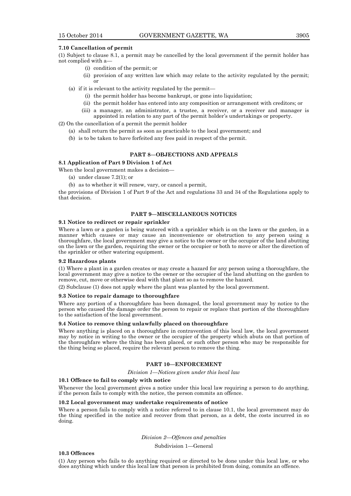#### **7.10 Cancellation of permit**

or

(1) Subject to clause 8.1, a permit may be cancelled by the local government if the permit holder has not complied with a—

- (i) condition of the permit; or
- (ii) provision of any written law which may relate to the activity regulated by the permit;
- (a) if it is relevant to the activity regulated by the permit—
	- (i) the permit holder has become bankrupt, or gone into liquidation;
	- (ii) the permit holder has entered into any composition or arrangement with creditors; or
	- (iii) a manager, an administrator, a trustee, a receiver, or a receiver and manager is appointed in relation to any part of the permit holder's undertakings or property.

(2) On the cancellation of a permit the permit holder

- (a) shall return the permit as soon as practicable to the local government; and
- (b) is to be taken to have forfeited any fees paid in respect of the permit.

### **PART 8—OBJECTIONS AND APPEALS**

#### **8.1 Application of Part 9 Division 1 of Act**

When the local government makes a decision—

- (a) under clause 7.2(1); or
- (b) as to whether it will renew, vary, or cancel a permit,

the provisions of Division 1 of Part 9 of the Act and regulations 33 and 34 of the Regulations apply to that decision.

### **PART 9—MISCELLANEOUS NOTICES**

#### **9.1 Notice to redirect or repair sprinkler**

Where a lawn or a garden is being watered with a sprinkler which is on the lawn or the garden, in a manner which causes or may cause an inconvenience or obstruction to any person using a thoroughfare, the local government may give a notice to the owner or the occupier of the land abutting on the lawn or the garden, requiring the owner or the occupier or both to move or alter the direction of the sprinkler or other watering equipment.

#### **9.2 Hazardous plants**

(1) Where a plant in a garden creates or may create a hazard for any person using a thoroughfare, the local government may give a notice to the owner or the occupier of the land abutting on the garden to remove, cut, move or otherwise deal with that plant so as to remove the hazard.

(2) Subclause (1) does not apply where the plant was planted by the local government.

### **9.3 Notice to repair damage to thoroughfare**

Where any portion of a thoroughfare has been damaged, the local government may by notice to the person who caused the damage order the person to repair or replace that portion of the thoroughfare to the satisfaction of the local government.

#### **9.4 Notice to remove thing unlawfully placed on thoroughfare**

Where anything is placed on a thoroughfare in contravention of this local law, the local government may by notice in writing to the owner or the occupier of the property which abuts on that portion of the thoroughfare where the thing has been placed, or such other person who may be responsible for the thing being so placed, require the relevant person to remove the thing.

### **PART 10—ENFORCEMENT**

*Division 1—Notices given under this local law*

### **10.1 Offence to fail to comply with notice**

Whenever the local government gives a notice under this local law requiring a person to do anything, if the person fails to comply with the notice, the person commits an offence.

### **10.2 Local government may undertake requirements of notice**

Where a person fails to comply with a notice referred to in clause 10.1, the local government may do the thing specified in the notice and recover from that person, as a debt, the costs incurred in so doing.

*Division 2—Offences and penalties*

Subdivision 1—General

### **10.3 Offences**

(1) Any person who fails to do anything required or directed to be done under this local law, or who does anything which under this local law that person is prohibited from doing, commits an offence.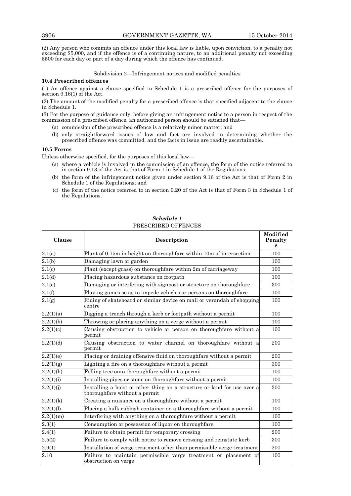(2) Any person who commits an offence under this local law is liable, upon conviction, to a penalty not exceeding \$5,000, and if the offence is of a continuing nature, to an additional penalty not exceeding \$500 for each day or part of a day during which the offence has continued.

Subdivision 2—Infringement notices and modified penalties

### **10.4 Prescribed offences**

(1) An offence against a clause specified in Schedule 1 is a prescribed offence for the purposes of section 9.16(1) of the Act.

(2) The amount of the modified penalty for a prescribed offence is that specified adjacent to the clause in Schedule 1.

(3) For the purpose of guidance only, before giving an infringement notice to a person in respect of the commission of a prescribed offence, an authorized person should be satisfied that—

- (a) commission of the prescribed offence is a relatively minor matter; and
- (b) only straightforward issues of law and fact are involved in determining whether the prescribed offence was committed, and the facts in issue are readily ascertainable.

### **10.5 Forms**

Unless otherwise specified, for the purposes of this local law—

- (a) where a vehicle is involved in the commission of an offence, the form of the notice referred to in section 9.13 of the Act is that of Form 1 in Schedule 1 of the Regulations;
- (b) the form of the infringement notice given under section 9.16 of the Act is that of Form 2 in Schedule 1 of the Regulations; and
- (c) the form of the notice referred to in section 9.20 of the Act is that of Form 3 in Schedule 1 of the Regulations.

| Schedule 1          |
|---------------------|
| PRESCRIBED OFFENCES |

————

| Clause    | Description                                                                                              |     |
|-----------|----------------------------------------------------------------------------------------------------------|-----|
| 2.1(a)    | Plant of 0.75m in height on thoroughfare within 10m of intersection                                      | 100 |
| 2.1(b)    | Damaging lawn or garden                                                                                  | 100 |
| 2.1(c)    | Plant (except grass) on thoroughfare within 2m of carriageway                                            | 100 |
| 2.1(d)    | Placing hazardous substance on footpath                                                                  | 100 |
| 2.1(e)    | Damaging or interfering with signpost or structure on thoroughfare                                       | 300 |
| 2.1(f)    | Playing games so as to impede vehicles or persons on thoroughfare                                        | 100 |
| 2.1(g)    | Riding of skateboard or similar device on mall or verandah of shopping<br>centre                         | 100 |
| 2.2(1)(a) | Digging a trench through a kerb or footpath without a permit                                             | 100 |
| 2.2(1)(b) | Throwing or placing anything on a verge without a permit                                                 | 100 |
| 2.2(1)(c) | Causing obstruction to vehicle or person on thoroughfare without a<br>permit                             | 100 |
| 2.2(1)(d) | Causing obstruction to water channel on thoroughfare without a<br>permit                                 | 200 |
| 2.2(1)(e) | Placing or draining offensive fluid on thoroughfare without a permit                                     | 200 |
| 2.2(1)(g) | Lighting a fire on a thoroughfare without a permit                                                       | 300 |
| 2.2(1)(h) | Felling tree onto thoroughfare without a permit                                                          | 100 |
| 2.2(1)(i) | Installing pipes or stone on thoroughfare without a permit                                               | 100 |
| 2.2(1)(j) | Installing a hoist or other thing on a structure or land for use over a<br>thoroughfare without a permit | 300 |
| 2.2(1)(k) | Creating a nuisance on a thoroughfare without a permit                                                   | 100 |
| 2.2(1)(1) | Placing a bulk rubbish container on a thoroughfare without a permit                                      | 100 |
| 2.2(1)(m) | Interfering with anything on a thoroughfare without a permit                                             | 100 |
| 2.3(1)    | Consumption or possession of liquor on thoroughfare                                                      | 100 |
| 2.4(1)    | Failure to obtain permit for temporary crossing                                                          | 200 |
| 2.5(2)    | Failure to comply with notice to remove crossing and reinstate kerb                                      | 300 |
| 2.9(1)    | Installation of verge treatment other than permissible verge treatment                                   | 200 |
| 2.10      | Failure to maintain permissible verge treatment or placement of<br>obstruction on verge                  | 100 |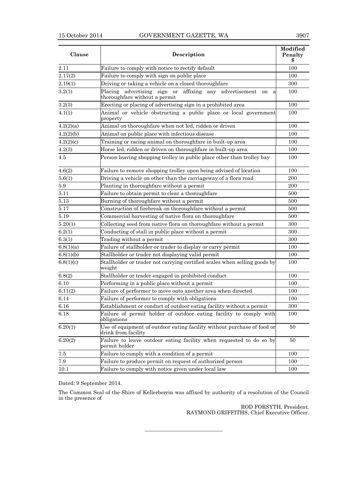| Clause    | Description                                                                                              |     |  |  |  |
|-----------|----------------------------------------------------------------------------------------------------------|-----|--|--|--|
| 2.11      | Failure to comply with notice to rectify default                                                         |     |  |  |  |
| 2.17(2)   | Failure to comply with sign on public place                                                              | 100 |  |  |  |
| 2.19(1)   | Driving or taking a vehicle on a closed thoroughfare                                                     | 300 |  |  |  |
| 3.2(1)    | Placing advertising sign or<br>affixing any<br>advertisement<br>on<br>a<br>thoroughfare without a permit | 100 |  |  |  |
| 3.2(3)    | Erecting or placing of advertising sign in a prohibited area                                             | 100 |  |  |  |
| 4.1(1)    | Animal or vehicle obstructing a public place or local government<br>property                             | 100 |  |  |  |
| 4.2(2)(a) | Animal on thoroughfare when not led, ridden or driven                                                    | 100 |  |  |  |
| 4.2(2)(b) | Animal on public place with infectious disease                                                           | 100 |  |  |  |
| 4.2(2)(c) | Training or racing animal on thoroughfare in built-up area                                               | 100 |  |  |  |
| 4.2(3)    | Horse led, ridden or driven on thoroughfare in built-up area                                             | 100 |  |  |  |
| 4.5       | Person leaving shopping trolley in public place other than trolley bay                                   | 100 |  |  |  |
| 4.6(2)    | Failure to remove shopping trolley upon being advised of location                                        | 100 |  |  |  |
| 5.6(1)    | Driving a vehicle on other than the carriageway of a flora road                                          | 200 |  |  |  |
| 5.9       | Planting in thoroughfare without a permit                                                                | 200 |  |  |  |
| 5.11      | Failure to obtain permit to clear a thoroughfare                                                         | 500 |  |  |  |
| 5.13      | Burning of thoroughfare without a permit                                                                 | 500 |  |  |  |
| 5.17      | Construction of firebreak on thoroughfare without a permit                                               | 500 |  |  |  |
| 5.19      | Commercial harvesting of native flora on thoroughfare                                                    | 500 |  |  |  |
| 5.20(1)   | Collecting seed from native flora on thoroughfare without a permit                                       | 300 |  |  |  |
| 6.2(1)    | Conducting of stall in public place without a permit                                                     | 300 |  |  |  |
| 6.3(1)    | Trading without a permit                                                                                 | 300 |  |  |  |
| 6.8(1)(a) | Failure of stallholder or trader to display or carry permit                                              | 100 |  |  |  |
| 6.8(1)(b) | Stallholder or trader not displaying valid permit                                                        | 100 |  |  |  |
| 6.8(1)(c) | Stallholder or trader not carrying certified scales when selling goods by<br>weight                      | 100 |  |  |  |
| 6.8(2)    | Stallholder or trader engaged in prohibited conduct                                                      | 100 |  |  |  |
| 6.10      | Performing in a public place without a permit                                                            | 100 |  |  |  |
| 6.11(2)   | Failure of performer to move onto another area when directed                                             | 100 |  |  |  |
| 6.14      | Failure of performer to comply with obligations                                                          | 100 |  |  |  |
| 6.16      | Establishment or conduct of outdoor eating facility without a permit                                     | 300 |  |  |  |
| 6.18      | Failure of permit holder of outdoor eating facility to comply with<br>obligations                        | 100 |  |  |  |
| 6.20(1)   | Use of equipment of outdoor eating facility without purchase of food or<br>drink from facility           | 50  |  |  |  |
| 6.20(2)   | Failure to leave outdoor eating facility when requested to do so by<br>permit holder                     | 50  |  |  |  |
| $7.5\,$   | Failure to comply with a condition of a permit                                                           | 100 |  |  |  |
| 7.9       | Failure to produce permit on request of authorized person                                                | 100 |  |  |  |
| 10.1      | Failure to comply with notice given under local law                                                      | 100 |  |  |  |

Dated: 9 September 2014.

The Common Seal of the Shire of Kellerberrin was affixed by authority of a resolution of the Council in the presence of

———————————

ROD FORSYTH, President. RAYMOND GRIFFITHS, Chief Executive Officer.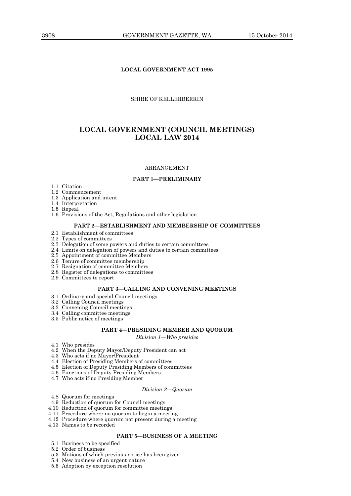### **LOCAL GOVERNMENT ACT 1995**

### SHIRE OF KELLERBERRIN

### **LOCAL GOVERNMENT (COUNCIL MEETINGS) LOCAL LAW 2014**

### ARRANGEMENT

### **PART 1—PRELIMINARY**

- 1.1 Citation
- 1.2 Commencement
- 1.3 Application and intent
- 1.4 Interpretation
- 1.5 Repeal
- 1.6 Provisions of the Act, Regulations and other legislation

### **PART 2—ESTABLISHMENT AND MEMBERSHIP OF COMMITTEES**

- 2.1 Establishment of committees
- 2.2 Types of committees
- 2.3 Delegation of some powers and duties to certain committees
- 2.4 Limits on delegation of powers and duties to certain committees
- 2.5 Appointment of committee Members
- 2.6 Tenure of committee membership
- 2.7 Resignation of committee Members
- 2.8 Register of delegations to committees
- 2.9 Committees to report

### **PART 3—CALLING AND CONVENING MEETINGS**

- 3.1 Ordinary and special Council meetings
- 3.2 Calling Council meetings
- 3.3 Convening Council meetings
- 3.4 Calling committee meetings
- 3.5 Public notice of meetings

#### **PART 4—PRESIDING MEMBER AND QUORUM**

*Division 1—Who presides*

- 4.1 Who presides
- 4.2 When the Deputy Mayor/Deputy President can act
- 4.3 Who acts if no Mayor/President
- 4.4 Election of Presiding Members of committees
- 4.5 Election of Deputy Presiding Members of committees
- 4.6 Functions of Deputy Presiding Members
- 4.7 Who acts if no Presiding Member

#### *Division 2—Quorum*

- 4.8 Quorum for meetings
- 4.9 Reduction of quorum for Council meetings
- 4.10 Reduction of quorum for committee meetings
- 4.11 Procedure where no quorum to begin a meeting
- 4.12 Procedure where quorum not present during a meeting
- 4.13 Names to be recorded

### **PART 5—BUSINESS OF A MEETING**

- 5.1 Business to be specified
- 5.2 Order of business
- 5.3 Motions of which previous notice has been given
- 5.4 New business of an urgent nature
- 5.5 Adoption by exception resolution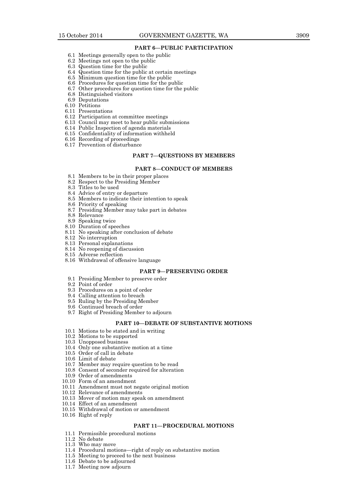### **PART 6—PUBLIC PARTICIPATION**

- 6.1 Meetings generally open to the public
- 6.2 Meetings not open to the public
- 6.3 Question time for the public
- 6.4 Question time for the public at certain meetings
- 6.5 Minimum question time for the public
- 6.6 Procedures for question time for the public
- 6.7 Other procedures for question time for the public
- 6.8 Distinguished visitors
- 6.9 Deputations
- 6.10 Petitions
- 6.11 Presentations
- 6.12 Participation at committee meetings
- 6.13 Council may meet to hear public submissions
- 6.14 Public Inspection of agenda materials
- 6.15 Confidentiality of information withheld
- 6.16 Recording of proceedings
- 6.17 Prevention of disturbance

#### **PART 7—QUESTIONS BY MEMBERS**

#### **PART 8—CONDUCT OF MEMBERS**

- 8.1 Members to be in their proper places
- 8.2 Respect to the Presiding Member
- 8.3 Titles to be used
- 8.4 Advice of entry or departure
- 8.5 Members to indicate their intention to speak
- 8.6 Priority of speaking
- 8.7 Presiding Member may take part in debates
- 8.8 Relevance
- 8.9 Speaking twice
- 8.10 Duration of speeches
- 8.11 No speaking after conclusion of debate
- 8.12 No interruption
- 8.13 Personal explanations
- 8.14 No reopening of discussion
- 8.15 Adverse reflection
- 8.16 Withdrawal of offensive language

### **PART 9—PRESERVING ORDER**

- 9.1 Presiding Member to preserve order
- 9.2 Point of order
- 9.3 Procedures on a point of order
- 9.4 Calling attention to breach
- 9.5 Ruling by the Presiding Member
- 9.6 Continued breach of order
- 9.7 Right of Presiding Member to adjourn

#### **PART 10—DEBATE OF SUBSTANTIVE MOTIONS**

- 10.1 Motions to be stated and in writing
- 10.2 Motions to be supported
- 10.3 Unopposed business
- 10.4 Only one substantive motion at a time
- 10.5 Order of call in debate
- 10.6 Limit of debate
- 10.7 Member may require question to be read
- 10.8 Consent of seconder required for alteration
- 10.9 Order of amendments
- 10.10 Form of an amendment
- 10.11 Amendment must not negate original motion
- 10.12 Relevance of amendments
- 10.13 Mover of motion may speak on amendment
- 10.14 Effect of an amendment
- 10.15 Withdrawal of motion or amendment
- 10.16 Right of reply

### **PART 11—PROCEDURAL MOTIONS**

- 11.1 Permissible procedural motions
- 11.2 No debate
- 11.3 Who may move
- 11.4 Procedural motions—right of reply on substantive motion
- 11.5 Meeting to proceed to the next business
- 11.6 Debate to be adjourned
- 11.7 Meeting now adjourn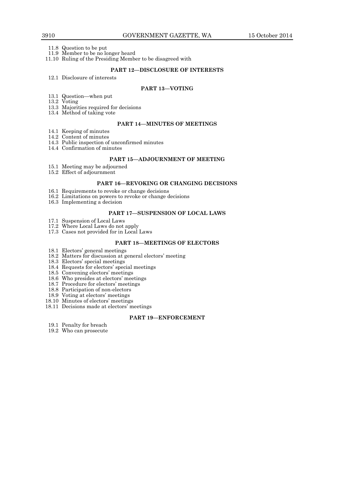11.8 Question to be put

11.9 Member to be no longer heard

11.10 Ruling of the Presiding Member to be disagreed with

### **PART 12—DISCLOSURE OF INTERESTS**

12.1 Disclosure of interests

### **PART 13—VOTING**

- 13.1 Question—when put
- 13.2 Voting
- 13.3 Majorities required for decisions
- 13.4 Method of taking vote

### **PART 14—MINUTES OF MEETINGS**

- 14.1 Keeping of minutes 14.2 Content of minutes
- 14.3 Public inspection of unconfirmed minutes
- 14.4 Confirmation of minutes

#### **PART 15—ADJOURNMENT OF MEETING**

- 15.1 Meeting may be adjourned
- 15.2 Effect of adjournment

### **PART 16—REVOKING OR CHANGING DECISIONS**

- 16.1 Requirements to revoke or change decisions
- 16.2 Limitations on powers to revoke or change decisions
- 16.3 Implementing a decision

#### **PART 17—SUSPENSION OF LOCAL LAWS**

- 17.1 Suspension of Local Laws
- 17.2 Where Local Laws do not apply
- 17.3 Cases not provided for in Local Laws

### **PART 18—MEETINGS OF ELECTORS**

- 18.1 Electors' general meetings
- 18.2 Matters for discussion at general electors' meeting
- 18.3 Electors' special meetings
- 18.4 Requests for electors' special meetings
- 18.5 Convening electors' meetings
- 18.6 Who presides at electors' meetings
- 18.7 Procedure for electors' meetings
- 18.8 Participation of non-electors
- 18.9 Voting at electors' meetings
- 18.10 Minutes of electors' meetings
- 18.11 Decisions made at electors' meetings

#### **PART 19—ENFORCEMENT**

- 19.1 Penalty for breach
- 19.2 Who can prosecute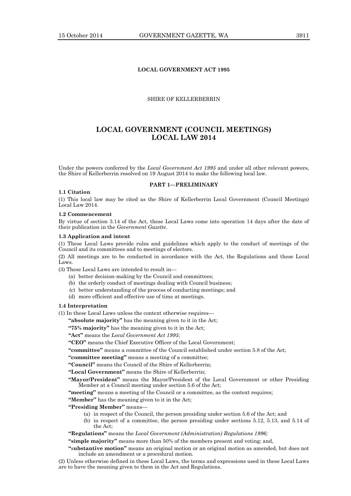### **LOCAL GOVERNMENT ACT 1995**

### SHIRE OF KELLERBERRIN

### **LOCAL GOVERNMENT (COUNCIL MEETINGS) LOCAL LAW 2014**

Under the powers conferred by the *Local Government Act 1995* and under all other relevant powers, the Shire of Kellerberrin resolved on 19 August 2014 to make the following local law.

### **PART 1—PRELIMINARY**

### **1.1 Citation**

(1) This local law may be cited as the Shire of Kellerberrin Local Government (Council Meetings) Local Law 2014.

#### **1.2 Commencement**

By virtue of section 3.14 of the Act, these Local Laws come into operation 14 days after the date of their publication in the *Government Gazette*.

### **1.3 Application and intent**

(1) These Local Laws provide rules and guidelines which apply to the conduct of meetings of the Council and its committees and to meetings of electors.

(2) All meetings are to be conducted in accordance with the Act, the Regulations and these Local Laws.

(3) These Local Laws are intended to result in—

- (a) better decision-making by the Council and committees;
- (b) the orderly conduct of meetings dealing with Council business;
- (c) better understanding of the process of conducting meetings; and
- (d) more efficient and effective use of time at meetings.

### **1.4 Interpretation**

(1) In these Local Laws unless the context otherwise requires—

**"absolute majority"** has the meaning given to it in the Act;

**"75% majority"** has the meaning given to it in the Act;

**"Act"** means the *Local Government Act 1995*;

**"CEO"** means the Chief Executive Officer of the Local Government;

**"committee"** means a committee of the Council established under section 5.8 of the Act;

**"committee meeting"** means a meeting of a committee;

**"Council"** means the Council of the Shire of Kellerberrin;

**"Local Government"** means the Shire of Kellerberrin;

**"Mayor/President"** means the Mayor/President of the Local Government or other Presiding Member at a Council meeting under section 5.6 of the Act;

**"meeting"** means a meeting of the Council or a committee, as the context requires;

**"Member"** has the meaning given to it in the Act;

**"Presiding Member"** means—

- (a) in respect of the Council, the person presiding under section 5.6 of the Act; and
- (b) in respect of a committee, the person presiding under sections 5.12, 5.13, and 5.14 of the Act;

**"Regulations"** means the *Local Government (Administration) Regulations 1996;* 

**"simple majority"** means more than 50% of the members present and voting; and,

**"**s**ubstantive motion"** means an original motion or an original motion as amended, but does not include an amendment or a procedural motion.

(2) Unless otherwise defined in these Local Laws, the terms and expressions used in these Local Laws are to have the meaning given to them in the Act and Regulations.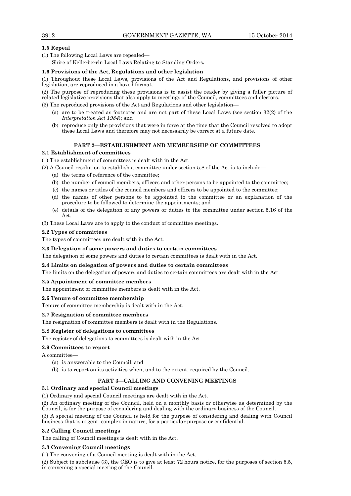### **1.5 Repeal**

(1) The following Local Laws are repealed—

Shire of Kellerberrin Local Laws Relating to Standing Orders**.**

### **1.6 Provisions of the Act, Regulations and other legislation**

(1) Throughout these Local Laws, provisions of the Act and Regulations, and provisions of other legislation, are reproduced in a boxed format.

(2) The purpose of reproducing these provisions is to assist the reader by giving a fuller picture of related legislative provisions that also apply to meetings of the Council, committees and electors.

(3) The reproduced provisions of the Act and Regulations and other legislation—

- (a) are to be treated as footnotes and are not part of these Local Laws (see section 32(2) of the *Interpretation Act 1984*); and
- (b) reproduce only the provisions that were in force at the time that the Council resolved to adopt these Local Laws and therefore may not necessarily be correct at a future date.

### **PART 2—ESTABLISHMENT AND MEMBERSHIP OF COMMITTEES**

### **2.1 Establishment of committees**

(1) The establishment of committees is dealt with in the Act.

(2) A Council resolution to establish a committee under section 5.8 of the Act is to include—

- (a) the terms of reference of the committee;
- (b) the number of council members, officers and other persons to be appointed to the committee;
- (c) the names or titles of the council members and officers to be appointed to the committee;
- (d) the names of other persons to be appointed to the committee or an explanation of the procedure to be followed to determine the appointments; and
- (e) details of the delegation of any powers or duties to the committee under section 5.16 of the Act.

(3) These Local Laws are to apply to the conduct of committee meetings.

### **2.2 Types of committees**

The types of committees are dealt with in the Act.

### **2.3 Delegation of some powers and duties to certain committees**

The delegation of some powers and duties to certain committees is dealt with in the Act.

### **2.4 Limits on delegation of powers and duties to certain committees**

The limits on the delegation of powers and duties to certain committees are dealt with in the Act.

### **2.5 Appointment of committee members**

The appointment of committee members is dealt with in the Act.

### **2.6 Tenure of committee membership**

Tenure of committee membership is dealt with in the Act.

### **2.7 Resignation of committee members**

The resignation of committee members is dealt with in the Regulations.

### **2.8 Register of delegations to committees**

The register of delegations to committees is dealt with in the Act.

### **2.9 Committees to report**

A committee—

- (a) is answerable to the Council; and
- (b) is to report on its activities when, and to the extent, required by the Council.

### **PART 3—CALLING AND CONVENING MEETINGS**

### **3.1 Ordinary and special Council meetings**

(1) Ordinary and special Council meetings are dealt with in the Act.

(2) An ordinary meeting of the Council, held on a monthly basis or otherwise as determined by the Council, is for the purpose of considering and dealing with the ordinary business of the Council.

(3) A special meeting of the Council is held for the purpose of considering and dealing with Council business that is urgent, complex in nature, for a particular purpose or confidential.

### **3.2 Calling Council meetings**

The calling of Council meetings is dealt with in the Act.

### **3.3 Convening Council meetings**

(1) The convening of a Council meeting is dealt with in the Act.

(2) Subject to subclause (3), the CEO is to give at least 72 hours notice, for the purposes of section 5.5, in convening a special meeting of the Council.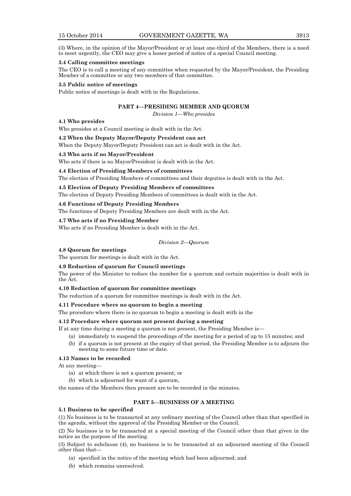(3) Where, in the opinion of the Mayor/President or at least one-third of the Members, there is a need to meet urgently, the CEO may give a lesser period of notice of a special Council meeting.

#### **3.4 Calling committee meetings**

The CEO is to call a meeting of any committee when requested by the Mayor/President, the Presiding Member of a committee or any two members of that committee.

#### **3.5 Public notice of meetings**

Public notice of meetings is dealt with in the Regulations.

### **PART 4—PRESIDING MEMBER AND QUORUM**

*Division 1—Who presides*

#### **4.1 Who presides**

Who presides at a Council meeting is dealt with in the Act.

#### **4.2 When the Deputy Mayor/Deputy President can act**

When the Deputy Mayor/Deputy President can act is dealt with in the Act.

### **4.3 Who acts if no Mayor/President**

Who acts if there is no Mayor/President is dealt with in the Act.

#### **4.4 Election of Presiding Members of committees**

The election of Presiding Members of committees and their deputies is dealt with in the Act.

**4.5 Election of Deputy Presiding Members of committees**

The election of Deputy Presiding Members of committees is dealt with in the Act.

### **4.6 Functions of Deputy Presiding Members**

The functions of Deputy Presiding Members are dealt with in the Act.

#### **4.7 Who acts if no Presiding Member**

Who acts if no Presiding Member is dealt with in the Act.

#### *Division 2—Quorum*

### **4.8 Quorum for meetings**

The quorum for meetings is dealt with in the Act.

#### **4.9 Reduction of quorum for Council meetings**

The power of the Minister to reduce the number for a quorum and certain majorities is dealt with in the Act.

#### **4.10 Reduction of quorum for committee meetings**

The reduction of a quorum for committee meetings is dealt with in the Act.

### **4.11 Procedure where no quorum to begin a meeting**

The procedure where there is no quorum to begin a meeting is dealt with in the

#### **4.12 Procedure where quorum not present during a meeting**

If at any time during a meeting a quorum is not present, the Presiding Member is—

- (a) immediately to suspend the proceedings of the meeting for a period of up to 15 minutes; and
- (b) if a quorum is not present at the expiry of that period, the Presiding Member is to adjourn the meeting to some future time or date.

### **4.13 Names to be recorded**

At any meeting—

- (a) at which there is not a quorum present; or
- (b) which is adjourned for want of a quorum,

the names of the Members then present are to be recorded in the minutes.

### **PART 5—BUSINESS OF A MEETING**

#### **5.1 Business to be specified**

(1) No business is to be transacted at any ordinary meeting of the Council other than that specified in the agenda, without the approval of the Presiding Member or the Council.

(2) No business is to be transacted at a special meeting of the Council other than that given in the notice as the purpose of the meeting.

(3) Subject to subclause (4), no business is to be transacted at an adjourned meeting of the Council other than that—

- (a) specified in the notice of the meeting which had been adjourned; and
- (b) which remains unresolved.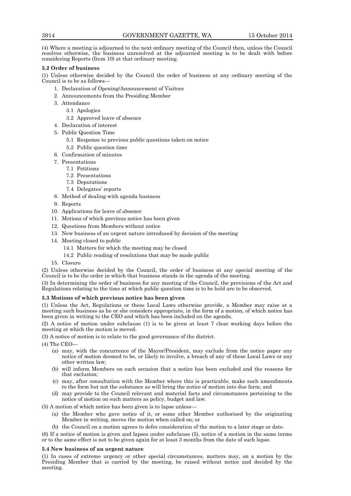(4) Where a meeting is adjourned to the next ordinary meeting of the Council then, unless the Council resolves otherwise, the business unresolved at the adjourned meeting is to be dealt with before considering Reports (Item 10) at that ordinary meeting.

### **5.2 Order of business**

(1) Unless otherwise decided by the Council the order of business at any ordinary meeting of the Council is to be as follows—

- 1. Declaration of Opening/Announcement of Visitors
- 2. Announcements from the Presiding Member
- 3. Attendance
	- 3.1 Apologies
	- 3.2 Approved leave of absence
- 4. Declaration of interest
- 5. Public Question Time
	- 5.1 Response to previous public questions taken on notice
	- 5.2 Public question time
- 6. Confirmation of minutes
- 7. Presentations
	- 7.1 Petitions
		- 7.2 Presentations
		- 7.3 Deputations
		- 7.4 Delegates' reports
- 8. Method of dealing with agenda business
- 9. Reports
- 10. Applications for leave of absence
- 11. Motions of which previous notice has been given
- 12. Questions from Members without notice
- 13. New business of an urgent nature introduced by decision of the meeting
- 14. Meeting closed to public
	- 14.1 Matters for which the meeting may be closed
	- 14.2 Public reading of resolutions that may be made public
- 15. Closure

(2) Unless otherwise decided by the Council, the order of business at any special meeting of the Council is to be the order in which that business stands in the agenda of the meeting.

(3) In determining the order of business for any meeting of the Council, the provisions of the Act and Regulations relating to the time at which public question time is to be held are to be observed.

### **5.3 Motions of which previous notice has been given**

(1) Unless the Act, Regulations or these Local Laws otherwise provide, a Member may raise at a meeting such business as he or she considers appropriate, in the form of a motion, of which notice has been given in writing to the CEO and which has been included on the agenda.

(2) A notice of motion under subclause (1) is to be given at least 7 clear working days before the meeting at which the motion is moved.

(3) A notice of motion is to relate to the good governance of the district.

(4) The CEO—

- (a) may, with the concurrence of the Mayor/President, may exclude from the notice paper any notice of motion deemed to be, or likely to involve, a breach of any of these Local Laws or any other written law;
- (b) will inform Members on each occasion that a notice has been excluded and the reasons for that exclusion;
- (c) may, after consultation with the Member where this is practicable, make such amendments to the form but not the substance as will bring the notice of motion into due form; and
- (d) may provide to the Council relevant and material facts and circumstances pertaining to the notice of motion on such matters as policy, budget and law.

(5) A motion of which notice has been given is to lapse unless—

- (a) the Member who gave notice of it, or some other Member authorised by the originating Member in writing, moves the motion when called on; or
- (b) the Council on a motion agrees to defer consideration of the motion to a later stage or date.

(6) If a notice of motion is given and lapses under subclause (5), notice of a motion in the same terms or to the same effect is not to be given again for at least 3 months from the date of such lapse.

### **5.4 New business of an urgent nature**

(1) In cases of extreme urgency or other special circumstances, matters may, on a motion by the Presiding Member that is carried by the meeting, be raised without notice and decided by the meeting.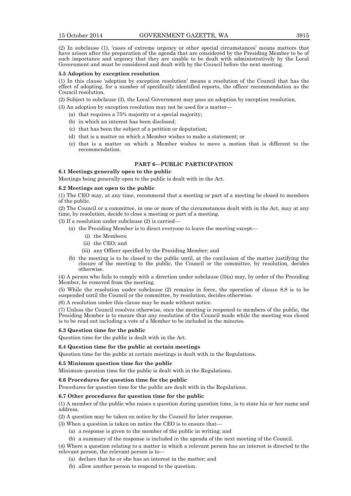(2) In subclause (1), 'cases of extreme urgency or other special circumstances' means matters that have arisen after the preparation of the agenda that are considered by the Presiding Member to be of such importance and urgency that they are unable to be dealt with administratively by the Local Government and must be considered and dealt with by the Council before the next meeting.

### **5.5 Adoption by exception resolution**

(1) In this clause 'adoption by exception resolution' means a resolution of the Council that has the effect of adopting, for a number of specifically identified reports, the officer recommendation as the Council resolution.

(2) Subject to subclause (3), the Local Government may pass an adoption by exception resolution.

(3) An adoption by exception resolution may not be used for a matter—

- (a) that requires a 75% majority or a special majority;
- (b) in which an interest has been disclosed;
- (c) that has been the subject of a petition or deputation;
- (d) that is a matter on which a Member wishes to make a statement; or
- (e) that is a matter on which a Member wishes to move a motion that is different to the recommendation.

### **PART 6—PUBLIC PARTICIPATION**

### **6.1 Meetings generally open to the public**

Meetings being generally open to the public is dealt with in the Act.

#### **6.2 Meetings not open to the public**

(1) The CEO may, at any time, recommend that a meeting or part of a meeting be closed to members of the public.

(2) The Council or a committee, in one or more of the circumstances dealt with in the Act, may at any time, by resolution, decide to close a meeting or part of a meeting.

(3) If a resolution under subclause (2) is carried—

- (a) the Presiding Member is to direct everyone to leave the meeting except—
	- (i) the Members;
	- (ii) the CEO; and
	- (iii) any Officer specified by the Presiding Member; and
- (b) the meeting is to be closed to the public until, at the conclusion of the matter justifying the closure of the meeting to the public, the Council or the committee, by resolution, decides otherwise.

(4) A person who fails to comply with a direction under subclause (3)(a) may, by order of the Presiding Member, be removed from the meeting.

(5) While the resolution under subclause (2) remains in force, the operation of clause 8.8 is to be suspended until the Council or the committee, by resolution, decides otherwise.

(6) A resolution under this clause may be made without notice.

(7) Unless the Council resolves otherwise, once the meeting is reopened to members of the public, the Presiding Member is to ensure that any resolution of the Council made while the meeting was closed is to be read out including a vote of a Member to be included in the minutes.

#### **6.3 Question time for the public**

Question time for the public is dealt with in the Act.

#### **6.4 Question time for the public at certain meetings**

Question time for the public at certain meetings is dealt with in the Regulations.

### **6.5 Minimum question time for the public**

Minimum question time for the public is dealt with in the Regulations.

### **6.6 Procedures for question time for the public**

Procedures for question time for the public are dealt with in the Regulations.

#### **6.7 Other procedures for question time for the public**

(1) A member of the public who raises a question during question time, is to state his or her name and address.

(2) A question may be taken on notice by the Council for later response.

(3) When a question is taken on notice the CEO is to ensure that—

- (a) a response is given to the member of the public in writing; and
- (b) a summary of the response is included in the agenda of the next meeting of the Council.

(4) Where a question relating to a matter in which a relevant person has an interest is directed to the relevant person, the relevant person is to—

- (a) declare that he or she has an interest in the matter; and
- (b) allow another person to respond to the question.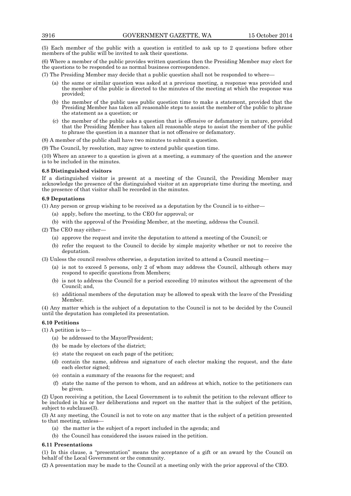(5) Each member of the public with a question is entitled to ask up to 2 questions before other members of the public will be invited to ask their questions.

(6) Where a member of the public provides written questions then the Presiding Member may elect for the questions to be responded to as normal business correspondence.

(7) The Presiding Member may decide that a public question shall not be responded to where—

- (a) the same or similar question was asked at a previous meeting, a response was provided and the member of the public is directed to the minutes of the meeting at which the response was provided;
- (b) the member of the public uses public question time to make a statement, provided that the Presiding Member has taken all reasonable steps to assist the member of the public to phrase the statement as a question; or
- (c) the member of the public asks a question that is offensive or defamatory in nature, provided that the Presiding Member has taken all reasonable steps to assist the member of the public to phrase the question in a manner that is not offensive or defamatory.

(8) A member of the public shall have two minutes to submit a question.

(9) The Council, by resolution, may agree to extend public question time.

(10) Where an answer to a question is given at a meeting, a summary of the question and the answer is to be included in the minutes.

### **6.8 Distinguished visitors**

If a distinguished visitor is present at a meeting of the Council, the Presiding Member may acknowledge the presence of the distinguished visitor at an appropriate time during the meeting, and the presence of that visitor shall be recorded in the minutes.

### **6.9 Deputations**

(1) Any person or group wishing to be received as a deputation by the Council is to either—

- (a) apply, before the meeting, to the CEO for approval; or
- (b) with the approval of the Presiding Member, at the meeting, address the Council.

(2) The CEO may either—

- (a) approve the request and invite the deputation to attend a meeting of the Council; or
- (b) refer the request to the Council to decide by simple majority whether or not to receive the deputation.

(3) Unless the council resolves otherwise, a deputation invited to attend a Council meeting—

- (a) is not to exceed 5 persons, only 2 of whom may address the Council, although others may respond to specific questions from Members;
- (b) is not to address the Council for a period exceeding 10 minutes without the agreement of the Council; and,
- (c) additional members of the deputation may be allowed to speak with the leave of the Presiding Member.

(4) Any matter which is the subject of a deputation to the Council is not to be decided by the Council until the deputation has completed its presentation.

#### **6.10 Petitions**

(1) A petition is to—

- (a) be addressed to the Mayor/President;
- (b) be made by electors of the district;
- (c) state the request on each page of the petition;
- (d) contain the name, address and signature of each elector making the request, and the date each elector signed;
- (e) contain a summary of the reasons for the request; and
- (f) state the name of the person to whom, and an address at which, notice to the petitioners can be given.

(2) Upon receiving a petition, the Local Government is to submit the petition to the relevant officer to be included in his or her deliberations and report on the matter that is the subject of the petition, subject to subclause(3).

(3) At any meeting, the Council is not to vote on any matter that is the subject of a petition presented to that meeting, unless—

- (a) the matter is the subject of a report included in the agenda; and
- (b) the Council has considered the issues raised in the petition.

#### **6.11 Presentations**

(1) In this clause, a "presentation" means the acceptance of a gift or an award by the Council on behalf of the Local Government or the community.

(2) A presentation may be made to the Council at a meeting only with the prior approval of the CEO.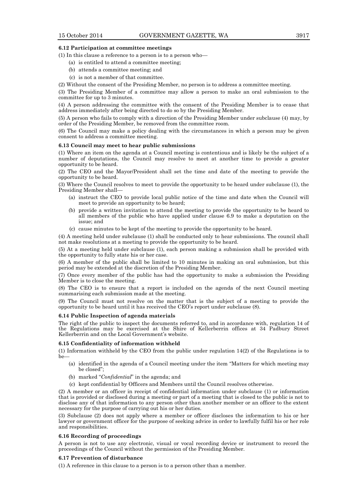### **6.12 Participation at committee meetings**

(1) In this clause a reference to a person is to a person who—

- (a) is entitled to attend a committee meeting;
- (b) attends a committee meeting; and
- (c) is not a member of that committee.

(2) Without the consent of the Presiding Member, no person is to address a committee meeting.

(3) The Presiding Member of a committee may allow a person to make an oral submission to the committee for up to 3 minutes.

(4) A person addressing the committee with the consent of the Presiding Member is to cease that address immediately after being directed to do so by the Presiding Member.

(5) A person who fails to comply with a direction of the Presiding Member under subclause (4) may, by order of the Presiding Member, be removed from the committee room.

(6) The Council may make a policy dealing with the circumstances in which a person may be given consent to address a committee meeting.

### **6.13 Council may meet to hear public submissions**

(1) Where an item on the agenda at a Council meeting is contentious and is likely be the subject of a number of deputations, the Council may resolve to meet at another time to provide a greater opportunity to be heard.

(2) The CEO and the Mayor/President shall set the time and date of the meeting to provide the opportunity to be heard.

(3) Where the Council resolves to meet to provide the opportunity to be heard under subclause (1), the Presiding Member shall-

- (a) instruct the CEO to provide local public notice of the time and date when the Council will meet to provide an opportunity to be heard;
- (b) provide a written invitation to attend the meeting to provide the opportunity to be heard to all members of the public who have applied under clause 6.9 to make a deputation on the issue; and
- (c) cause minutes to be kept of the meeting to provide the opportunity to be heard.

(4) A meeting held under subclause (1) shall be conducted only to hear submissions. The council shall not make resolutions at a meeting to provide the opportunity to be heard.

(5) At a meeting held under subclause (1), each person making a submission shall be provided with the opportunity to fully state his or her case.

(6) A member of the public shall be limited to 10 minutes in making an oral submission, but this period may be extended at the discretion of the Presiding Member.

(7) Once every member of the public has had the opportunity to make a submission the Presiding Member is to close the meeting.

(8) The CEO is to ensure that a report is included on the agenda of the next Council meeting summarising each submission made at the meeting.

(9) The Council must not resolve on the matter that is the subject of a meeting to provide the opportunity to be heard until it has received the CEO's report under subclause (8).

#### **6.14 Public Inspection of agenda materials**

The right of the public to inspect the documents referred to, and in accordance with, regulation 14 of the Regulations may be exercised at the Shire of Kellerberrin offices at 34 Padbury Street Kellerberrin and on the Local Government's website.

### **6.15 Confidentiality of information withheld**

(1) Information withheld by the CEO from the public under regulation 14(2) of the Regulations is to  $he$ 

- (a) identified in the agenda of a Council meeting under the item "Matters for which meeting may be closed";
- (b) marked "*Confidential*" in the agenda; and
- (c) kept confidential by Officers and Members until the Council resolves otherwise.

(2) A member or an officer in receipt of confidential information under subclause (1) or information that is provided or disclosed during a meeting or part of a meeting that is closed to the public is not to disclose any of that information to any person other than another member or an officer to the extent necessary for the purpose of carrying out his or her duties.

(3) Subclause (2) does not apply where a member or officer discloses the information to his or her lawyer or government officer for the purpose of seeking advice in order to lawfully fulfil his or her role and responsibilities.

### **6.16 Recording of proceedings**

A person is not to use any electronic, visual or vocal recording device or instrument to record the proceedings of the Council without the permission of the Presiding Member.

#### **6.17 Prevention of disturbance**

(1) A reference in this clause to a person is to a person other than a member.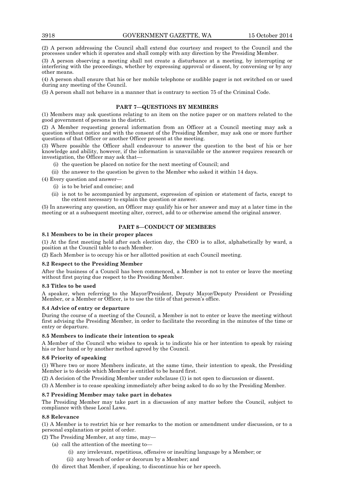(2) A person addressing the Council shall extend due courtesy and respect to the Council and the processes under which it operates and shall comply with any direction by the Presiding Member.

(3) A person observing a meeting shall not create a disturbance at a meeting, by interrupting or interfering with the proceedings, whether by expressing approval or dissent, by conversing or by any other means.

(4) A person shall ensure that his or her mobile telephone or audible pager is not switched on or used during any meeting of the Council.

(5) A person shall not behave in a manner that is contrary to section 75 of the Criminal Code.

### **PART 7—QUESTIONS BY MEMBERS**

(1) Members may ask questions relating to an item on the notice paper or on matters related to the good government of persons in the district.

(2) A Member requesting general information from an Officer at a Council meeting may ask a question without notice and with the consent of the Presiding Member, may ask one or more further questions of that Officer or another Officer present at the meeting.

(3) Where possible the Officer shall endeavour to answer the question to the best of his or her knowledge and ability, however, if the information is unavailable or the answer requires research or investigation, the Officer may ask that—

- (i) the question be placed on notice for the next meeting of Council; and
- (ii) the answer to the question be given to the Member who asked it within 14 days.

(4) Every question and answer—

- (i) is to be brief and concise; and
- (ii) is not to be accompanied by argument, expression of opinion or statement of facts, except to the extent necessary to explain the question or answer.

(5) In answering any question, an Officer may qualify his or her answer and may at a later time in the meeting or at a subsequent meeting alter, correct, add to or otherwise amend the original answer.

### **PART 8—CONDUCT OF MEMBERS**

### **8.1 Members to be in their proper places**

(1) At the first meeting held after each election day, the CEO is to allot, alphabetically by ward, a position at the Council table to each Member.

(2) Each Member is to occupy his or her allotted position at each Council meeting.

### **8.2 Respect to the Presiding Member**

After the business of a Council has been commenced, a Member is not to enter or leave the meeting without first paying due respect to the Presiding Member.

#### **8.3 Titles to be used**

A speaker, when referring to the Mayor/President, Deputy Mayor/Deputy President or Presiding Member, or a Member or Officer, is to use the title of that person's office.

#### **8.4 Advice of entry or departure**

During the course of a meeting of the Council, a Member is not to enter or leave the meeting without first advising the Presiding Member, in order to facilitate the recording in the minutes of the time or entry or departure.

### **8.5 Members to indicate their intention to speak**

A Member of the Council who wishes to speak is to indicate his or her intention to speak by raising his or her hand or by another method agreed by the Council.

### **8.6 Priority of speaking**

(1) Where two or more Members indicate, at the same time, their intention to speak, the Presiding Member is to decide which Member is entitled to be heard first.

(2) A decision of the Presiding Member under subclause (1) is not open to discussion or dissent.

(3) A Member is to cease speaking immediately after being asked to do so by the Presiding Member.

### **8.7 Presiding Member may take part in debates**

The Presiding Member may take part in a discussion of any matter before the Council, subject to compliance with these Local Laws.

### **8.8 Relevance**

(1) A Member is to restrict his or her remarks to the motion or amendment under discussion, or to a personal explanation or point of order.

(2) The Presiding Member, at any time, may—

(a) call the attention of the meeting to—

- (i) any irrelevant, repetitious, offensive or insulting language by a Member; or
- (ii) any breach of order or decorum by a Member; and
- (b) direct that Member, if speaking, to discontinue his or her speech.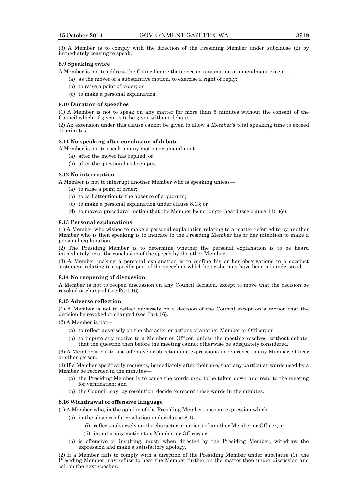(3) A Member is to comply with the direction of the Presiding Member under subclause (2) by immediately ceasing to speak.

#### **8.9 Speaking twice**

A Member is not to address the Council more than once on any motion or amendment except—

(a) as the mover of a substantive motion, to exercise a right of reply;

- (b) to raise a point of order; or
- (c) to make a personal explanation.

#### **8.10 Duration of speeches**

(1) A Member is not to speak on any matter for more than 5 minutes without the consent of the Council which, if given, is to be given without debate.

(2) An extension under this clause cannot be given to allow a Member's total speaking time to exceed 10 minutes.

#### **8.11 No speaking after conclusion of debate**

A Member is not to speak on any motion or amendment—

- (a) after the mover has replied; or
- (b) after the question has been put.

#### **8.12 No interruption**

A Member is not to interrupt another Member who is speaking unless—

- (a) to raise a point of order;
- (b) to call attention to the absence of a quorum;
- (c) to make a personal explanation under clause 8.13; or
- (d) to move a procedural motion that the Member be no longer heard (see clause  $11(1)(e)$ .

#### **8.13 Personal explanations**

(1) A Member who wishes to make a personal explanation relating to a matter referred to by another Member who is then speaking is to indicate to the Presiding Member his or her intention to make a personal explanation.

(2) The Presiding Member is to determine whether the personal explanation is to be heard immediately or at the conclusion of the speech by the other Member.

(3) A Member making a personal explanation is to confine his or her observations to a succinct statement relating to a specific part of the speech at which he or she may have been misunderstood.

#### **8.14 No reopening of discussion**

A Member is not to reopen discussion on any Council decision, except to move that the decision be revoked or changed (see Part 16).

#### **8.15 Adverse reflection**

(1) A Member is not to reflect adversely on a decision of the Council except on a motion that the decision be revoked or changed (see Part 16).

(2) A Member is not—

- (a) to reflect adversely on the character or actions of another Member or Officer; or
- (b) to impute any motive to a Member or Officer, unless the meeting resolves, without debate, that the question then before the meeting cannot otherwise be adequately considered.

(3) A Member is not to use offensive or objectionable expressions in reference to any Member, Officer or other person.

(4) If a Member specifically requests, immediately after their use, that any particular words used by a Member be recorded in the minutes—

- (a) the Presiding Member is to cause the words used to be taken down and read to the meeting for verification; and
- (b) the Council may, by resolution, decide to record those words in the minutes.

### **8.16 Withdrawal of offensive language**

(1) A Member who, in the opinion of the Presiding Member, uses an expression which—

- (a) in the absence of a resolution under clause 8.15—
	- (i) reflects adversely on the character or actions of another Member or Officer; or
	- (ii) imputes any motive to a Member or Officer; or
- (b) is offensive or insulting, must, when directed by the Presiding Member, withdraw the expression and make a satisfactory apology.

(2) If a Member fails to comply with a direction of the Presiding Member under subclause (1), the Presiding Member may refuse to hear the Member further on the matter then under discussion and call on the next speaker.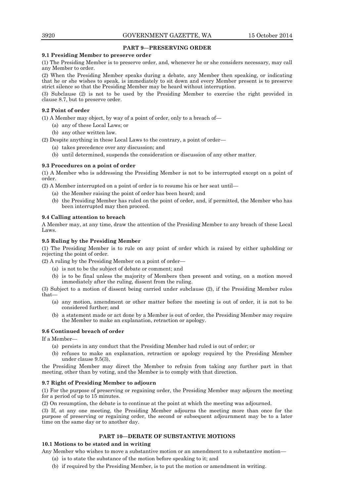### **PART 9—PRESERVING ORDER**

### **9.1 Presiding Member to preserve order**

(1) The Presiding Member is to preserve order, and, whenever he or she considers necessary, may call any Member to order.

(2) When the Presiding Member speaks during a debate, any Member then speaking, or indicating that he or she wishes to speak, is immediately to sit down and every Member present is to preserve strict silence so that the Presiding Member may be heard without interruption.

(3) Subclause (2) is not to be used by the Presiding Member to exercise the right provided in clause 8.7, but to preserve order.

### **9.2 Point of order**

(1) A Member may object, by way of a point of order, only to a breach of—

- (a) any of these Local Laws; or
- (b) any other written law.

(2) Despite anything in these Local Laws to the contrary, a point of order—

- (a) takes precedence over any discussion; and
- (b) until determined, suspends the consideration or discussion of any other matter.

### **9.3 Procedures on a point of order**

(1) A Member who is addressing the Presiding Member is not to be interrupted except on a point of order.

(2) A Member interrupted on a point of order is to resume his or her seat until—

- (a) the Member raising the point of order has been heard; and
- (b) the Presiding Member has ruled on the point of order, and, if permitted, the Member who has been interrupted may then proceed.

### **9.4 Calling attention to breach**

A Member may, at any time, draw the attention of the Presiding Member to any breach of these Local Laws.

### **9.5 Ruling by the Presiding Member**

(1) The Presiding Member is to rule on any point of order which is raised by either upholding or rejecting the point of order.

(2) A ruling by the Presiding Member on a point of order—

- (a) is not to be the subject of debate or comment; and
- (b) is to be final unless the majority of Members then present and voting, on a motion moved immediately after the ruling, dissent from the ruling.

(3) Subject to a motion of dissent being carried under subclause (2), if the Presiding Member rules that—

- (a) any motion, amendment or other matter before the meeting is out of order, it is not to be considered further; and
- (b) a statement made or act done by a Member is out of order, the Presiding Member may require the Member to make an explanation, retraction or apology.

#### **9.6 Continued breach of order**

If a Member—

- (a) persists in any conduct that the Presiding Member had ruled is out of order; or
- (b) refuses to make an explanation, retraction or apology required by the Presiding Member under clause 9.5(3),

the Presiding Member may direct the Member to refrain from taking any further part in that meeting, other than by voting, and the Member is to comply with that direction.

### **9.7 Right of Presiding Member to adjourn**

(1) For the purpose of preserving or regaining order, the Presiding Member may adjourn the meeting for a period of up to 15 minutes.

(2) On resumption, the debate is to continue at the point at which the meeting was adjourned.

(3) If, at any one meeting, the Presiding Member adjourns the meeting more than once for the purpose of preserving or regaining order, the second or subsequent adjournment may be to a later time on the same day or to another day.

### **PART 10—DEBATE OF SUBSTANTIVE MOTIONS**

### **10.1 Motions to be stated and in writing**

Any Member who wishes to move a substantive motion or an amendment to a substantive motion—

- (a) is to state the substance of the motion before speaking to it; and
- (b) if required by the Presiding Member, is to put the motion or amendment in writing.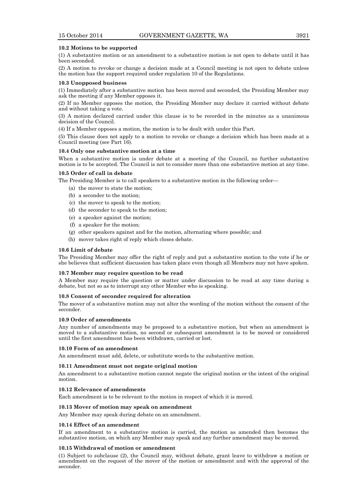### **10.2 Motions to be supported**

(1) A substantive motion or an amendment to a substantive motion is not open to debate until it has been seconded.

(2) A motion to revoke or change a decision made at a Council meeting is not open to debate unless the motion has the support required under regulation 10 of the Regulations.

#### **10.3 Unopposed business**

(1) Immediately after a substantive motion has been moved and seconded, the Presiding Member may ask the meeting if any Member opposes it.

(2) If no Member opposes the motion, the Presiding Member may declare it carried without debate and without taking a vote.

(3) A motion declared carried under this clause is to be recorded in the minutes as a unanimous decision of the Council.

(4) If a Member opposes a motion, the motion is to be dealt with under this Part.

(5) This clause does not apply to a motion to revoke or change a decision which has been made at a Council meeting (see Part 16).

#### **10.4 Only one substantive motion at a time**

When a substantive motion is under debate at a meeting of the Council, no further substantive motion is to be accepted. The Council is not to consider more than one substantive motion at any time.

### **10.5 Order of call in debate**

The Presiding Member is to call speakers to a substantive motion in the following order—

- (a) the mover to state the motion;
- (b) a seconder to the motion;
- (c) the mover to speak to the motion;
- (d) the seconder to speak to the motion;
- (e) a speaker against the motion;
- (f) a speaker for the motion;
- (g) other speakers against and for the motion, alternating where possible; and
- (h) mover takes right of reply which closes debate.

#### **10.6 Limit of debate**

The Presiding Member may offer the right of reply and put a substantive motion to the vote if he or she believes that sufficient discussion has taken place even though all Members may not have spoken.

#### **10.7 Member may require question to be read**

A Member may require the question or matter under discussion to be read at any time during a debate, but not so as to interrupt any other Member who is speaking.

#### **10.8 Consent of seconder required for alteration**

The mover of a substantive motion may not alter the wording of the motion without the consent of the seconder.

### **10.9 Order of amendments**

Any number of amendments may be proposed to a substantive motion, but when an amendment is moved to a substantive motion, no second or subsequent amendment is to be moved or considered until the first amendment has been withdrawn, carried or lost.

#### **10.10 Form of an amendment**

An amendment must add, delete, or substitute words to the substantive motion.

### **10.11 Amendment must not negate original motion**

An amendment to a substantive motion cannot negate the original motion or the intent of the original motion.

#### **10.12 Relevance of amendments**

Each amendment is to be relevant to the motion in respect of which it is moved.

#### **10.13 Mover of motion may speak on amendment**

Any Member may speak during debate on an amendment.

### **10.14 Effect of an amendment**

If an amendment to a substantive motion is carried, the motion as amended then becomes the substantive motion, on which any Member may speak and any further amendment may be moved.

#### **10.15 Withdrawal of motion or amendment**

(1) Subject to subclause (2), the Council may, without debate, grant leave to withdraw a motion or amendment on the request of the mover of the motion or amendment and with the approval of the seconder.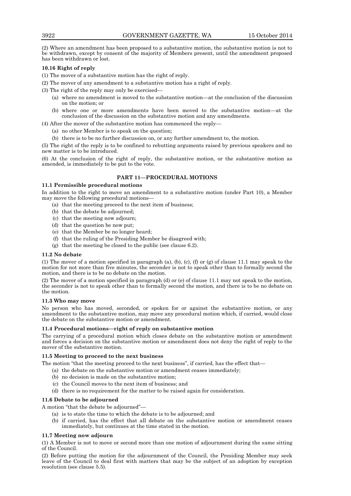(2) Where an amendment has been proposed to a substantive motion, the substantive motion is not to be withdrawn, except by consent of the majority of Members present, until the amendment proposed has been withdrawn or lost.

### **10.16 Right of reply**

(1) The mover of a substantive motion has the right of reply.

(2) The mover of any amendment to a substantive motion has a right of reply.

(3) The right of the reply may only be exercised—

- (a) where no amendment is moved to the substantive motion—at the conclusion of the discussion on the motion; or
- (b) where one or more amendments have been moved to the substantive motion—at the conclusion of the discussion on the substantive motion and any amendments.
- (4) After the mover of the substantive motion has commenced the reply—
	- (a) no other Member is to speak on the question;
	- (b) there is to be no further discussion on, or any further amendment to, the motion.

(5) The right of the reply is to be confined to rebutting arguments raised by previous speakers and no new matter is to be introduced.

(6) At the conclusion of the right of reply, the substantive motion, or the substantive motion as amended, is immediately to be put to the vote.

### **PART 11—PROCEDURAL MOTIONS**

### **11.1 Permissible procedural motions**

In addition to the right to move an amendment to a substantive motion (under Part 10), a Member may move the following procedural motions—

- (a) that the meeting proceed to the next item of business;
- (b) that the debate be adjourned;
- (c) that the meeting now adjourn;
- (d) that the question be now put;
- (e) that the Member be no longer heard;
- (f) that the ruling of the Presiding Member be disagreed with;
- (g) that the meeting be closed to the public (see clause 6.2).

#### **11.2 No debate**

(1) The mover of a motion specified in paragraph (a), (b), (c), (f) or (g) of clause 11.1 may speak to the motion for not more than five minutes, the seconder is not to speak other than to formally second the motion, and there is to be no debate on the motion.

(2) The mover of a motion specified in paragraph (d) or (e) of clause 11.1 may not speak to the motion, the seconder is not to speak other than to formally second the motion, and there is to be no debate on the motion.

#### **11.3 Who may move**

No person who has moved, seconded, or spoken for or against the substantive motion, or any amendment to the substantive motion, may move any procedural motion which, if carried, would close the debate on the substantive motion or amendment.

#### **11.4 Procedural motions—right of reply on substantive motion**

The carrying of a procedural motion which closes debate on the substantive motion or amendment and forces a decision on the substantive motion or amendment does not deny the right of reply to the mover of the substantive motion.

#### **11.5 Meeting to proceed to the next business**

The motion "that the meeting proceed to the next business", if carried, has the effect that—

- (a) the debate on the substantive motion or amendment ceases immediately;
	- (b) no decision is made on the substantive motion;
	- (c) the Council moves to the next item of business; and
- (d) there is no requirement for the matter to be raised again for consideration.

#### **11.6 Debate to be adjourned**

A motion "that the debate be adjourned"—

- (a) is to state the time to which the debate is to be adjourned; and
- (b) if carried, has the effect that all debate on the substantive motion or amendment ceases immediately, but continues at the time stated in the motion.

#### **11.7 Meeting now adjourn**

(1) A Member is not to move or second more than one motion of adjournment during the same sitting of the Council.

(2) Before putting the motion for the adjournment of the Council, the Presiding Member may seek leave of the Council to deal first with matters that may be the subject of an adoption by exception resolution (see clause 5.5).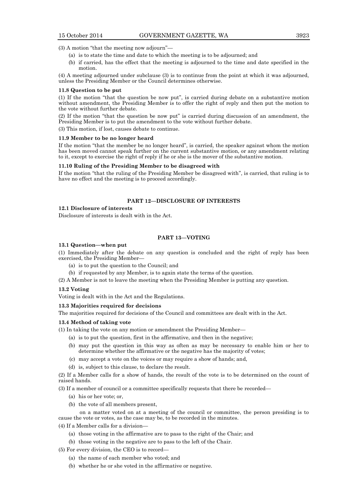(3) A motion "that the meeting now adjourn"—

- (a) is to state the time and date to which the meeting is to be adjourned; and
- (b) if carried, has the effect that the meeting is adjourned to the time and date specified in the motion.

(4) A meeting adjourned under subclause (3) is to continue from the point at which it was adjourned, unless the Presiding Member or the Council determines otherwise.

#### **11.8 Question to be put**

(1) If the motion "that the question be now put", is carried during debate on a substantive motion without amendment, the Presiding Member is to offer the right of reply and then put the motion to the vote without further debate.

(2) If the motion "that the question be now put" is carried during discussion of an amendment, the Presiding Member is to put the amendment to the vote without further debate.

(3) This motion, if lost, causes debate to continue.

#### **11.9 Member to be no longer heard**

If the motion "that the member be no longer heard", is carried, the speaker against whom the motion has been moved cannot speak further on the current substantive motion, or any amendment relating to it, except to exercise the right of reply if he or she is the mover of the substantive motion.

#### **11.10 Ruling of the Presiding Member to be disagreed with**

If the motion "that the ruling of the Presiding Member be disagreed with", is carried, that ruling is to have no effect and the meeting is to proceed accordingly.

### **PART 12—DISCLOSURE OF INTERESTS**

### **12.1 Disclosure of interests**

Disclosure of interests is dealt with in the Act.

### **PART 13—VOTING**

### **13.1 Question—when put**

(1) Immediately after the debate on any question is concluded and the right of reply has been exercised, the Presiding Member—

- (a) is to put the question to the Council; and
- (b) if requested by any Member, is to again state the terms of the question.

(2) A Member is not to leave the meeting when the Presiding Member is putting any question.

#### **13.2 Voting**

Voting is dealt with in the Act and the Regulations.

### **13.3 Majorities required for decisions**

The majorities required for decisions of the Council and committees are dealt with in the Act.

### **13.4 Method of taking vote**

(1) In taking the vote on any motion or amendment the Presiding Member—

- (a) is to put the question, first in the affirmative, and then in the negative;
- (b) may put the question in this way as often as may be necessary to enable him or her to determine whether the affirmative or the negative has the majority of votes;
- (c) may accept a vote on the voices or may require a show of hands; and,
- (d) is, subject to this clause, to declare the result.

(2) If a Member calls for a show of hands, the result of the vote is to be determined on the count of raised hands.

(3) If a member of council or a committee specifically requests that there be recorded—

- (a) his or her vote; or,
- (b) the vote of all members present,

on a matter voted on at a meeting of the council or committee, the person presiding is to cause the vote or votes, as the case may be, to be recorded in the minutes.

(4) If a Member calls for a division—

- (a) those voting in the affirmative are to pass to the right of the Chair; and
- (b) those voting in the negative are to pass to the left of the Chair.

(5) For every division, the CEO is to record—

- (a) the name of each member who voted; and
- (b) whether he or she voted in the affirmative or negative.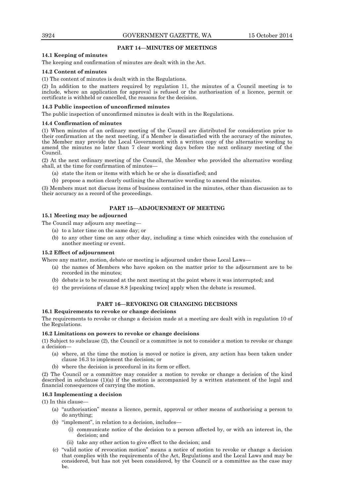### **PART 14—MINUTES OF MEETINGS**

### **14.1 Keeping of minutes**

The keeping and confirmation of minutes are dealt with in the Act.

#### **14.2 Content of minutes**

(1) The content of minutes is dealt with in the Regulations.

(2) In addition to the matters required by regulation 11, the minutes of a Council meeting is to include, where an application for approval is refused or the authorisation of a licence, permit or certificate is withheld or cancelled, the reasons for the decision.

#### **14.3 Public inspection of unconfirmed minutes**

The public inspection of unconfirmed minutes is dealt with in the Regulations.

#### **14.4 Confirmation of minutes**

(1) When minutes of an ordinary meeting of the Council are distributed for consideration prior to their confirmation at the next meeting, if a Member is dissatisfied with the accuracy of the minutes, the Member may provide the Local Government with a written copy of the alternative wording to amend the minutes no later than 7 clear working days before the next ordinary meeting of the Council.

(2) At the next ordinary meeting of the Council, the Member who provided the alternative wording shall, at the time for confirmation of minutes—

- (a) state the item or items with which he or she is dissatisfied; and
- (b) propose a motion clearly outlining the alternative wording to amend the minutes.

(3) Members must not discuss items of business contained in the minutes, other than discussion as to their accuracy as a record of the proceedings.

### **PART 15—ADJOURNMENT OF MEETING**

#### **15.1 Meeting may be adjourned**

The Council may adjourn any meeting—

- (a) to a later time on the same day; or
- (b) to any other time on any other day, including a time which coincides with the conclusion of another meeting or event.

### **15.2 Effect of adjournment**

Where any matter, motion, debate or meeting is adjourned under these Local Laws—

- (a) the names of Members who have spoken on the matter prior to the adjournment are to be recorded in the minutes;
- (b) debate is to be resumed at the next meeting at the point where it was interrupted; and
- (c) the provisions of clause 8.8 [speaking twice] apply when the debate is resumed.

### **PART 16—REVOKING OR CHANGING DECISIONS**

#### **16.1 Requirements to revoke or change decisions**

The requirements to revoke or change a decision made at a meeting are dealt with in regulation 10 of the Regulations.

#### **16.2 Limitations on powers to revoke or change decisions**

(1) Subject to subclause (2), the Council or a committee is not to consider a motion to revoke or change a decision—

- (a) where, at the time the motion is moved or notice is given, any action has been taken under clause 16.3 to implement the decision; or
- (b) where the decision is procedural in its form or effect.

(2) The Council or a committee may consider a motion to revoke or change a decision of the kind described in subclause (1)(a) if the motion is accompanied by a written statement of the legal and financial consequences of carrying the motion.

#### **16.3 Implementing a decision**

(1) In this clause—

- (a) "authorisation" means a licence, permit, approval or other means of authorising a person to do anything;
- (b) "implement", in relation to a decision, includes—
	- (i) communicate notice of the decision to a person affected by, or with an interest in, the decision; and
	- (ii) take any other action to give effect to the decision; and
- (c) "valid notice of revocation motion" means a notice of motion to revoke or change a decision that complies with the requirements of the Act, Regulations and the Local Laws and may be considered, but has not yet been considered, by the Council or a committee as the case may be.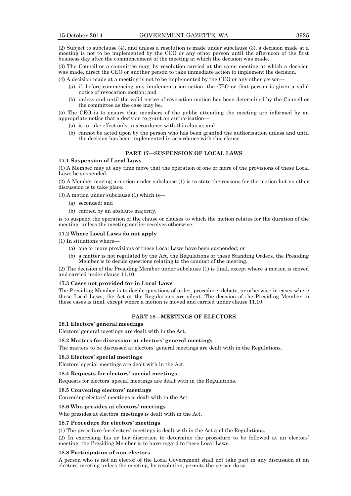(2) Subject to subclause (4), and unless a resolution is made under subclause (3), a decision made at a meeting is not to be implemented by the CEO or any other person until the afternoon of the first business day after the commencement of the meeting at which the decision was made.

(3) The Council or a committee may, by resolution carried at the same meeting at which a decision was made, direct the CEO or another person to take immediate action to implement the decision.

(4) A decision made at a meeting is not to be implemented by the CEO or any other person—

- (a) if, before commencing any implementation action, the CEO or that person is given a valid notice of revocation motion; and
- (b) unless and until the valid notice of revocation motion has been determined by the Council or the committee as the case may be.

(5) The CEO is to ensure that members of the public attending the meeting are informed by an appropriate notice that a decision to grant an authorisation—

- (a) is to take effect only in accordance with this clause; and
- (b) cannot be acted upon by the person who has been granted the authorisation unless and until the decision has been implemented in accordance with this clause.

### **PART 17—SUSPENSION OF LOCAL LAWS**

### **17.1 Suspension of Local Laws**

(1) A Member may at any time move that the operation of one or more of the provisions of these Local Laws be suspended.

(2) A Member moving a motion under subclause (1) is to state the reasons for the motion but no other discussion is to take place.

(3) A motion under subclause (1) which is—

- (a) seconded; and
- (b) carried by an absolute majority,

is to suspend the operation of the clause or clauses to which the motion relates for the duration of the meeting, unless the meeting earlier resolves otherwise.

### **17.2 Where Local Laws do not apply**

(1) In situations where—

- (a) one or more provisions of these Local Laws have been suspended; or
- (b) a matter is not regulated by the Act, the Regulations or these Standing Orders, the Presiding Member is to decide questions relating to the conduct of the meeting.

(2) The decision of the Presiding Member under subclause (1) is final, except where a motion is moved and carried under clause 11.10.

#### **17.3 Cases not provided for in Local Laws**

The Presiding Member is to decide questions of order, procedure, debate, or otherwise in cases where these Local Laws, the Act or the Regulations are silent. The decision of the Presiding Member in these cases is final, except where a motion is moved and carried under clause 11.10.

#### **PART 18—MEETINGS OF ELECTORS**

#### **18.1 Electors' general meetings**

Electors' general meetings are dealt with in the Act.

#### **18.2 Matters for discussion at electors' general meetings**

The matters to be discussed at electors' general meetings are dealt with in the Regulations.

### **18.3 Electors' special meetings**

Electors' special meetings are dealt with in the Act.

#### **18.4 Requests for electors' special meetings**

Requests for electors' special meetings are dealt with in the Regulations.

#### **18.5 Convening electors' meetings**

Convening electors' meetings is dealt with in the Act.

#### **18.6 Who presides at electors' meetings**

Who presides at electors' meetings is dealt with in the Act.

### **18.7 Procedure for electors' meetings**

(1) The procedure for electors' meetings is dealt with in the Act and the Regulations.

(2) In exercising his or her discretion to determine the procedure to be followed at an electors' meeting, the Presiding Member is to have regard to these Local Laws.

#### **18.8 Participation of non-electors**

A person who is not an elector of the Local Government shall not take part in any discussion at an electors' meeting unless the meeting, by resolution, permits the person do so.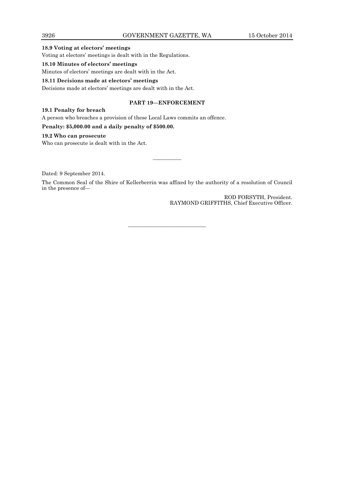### **18.9 Voting at electors' meetings**

Voting at electors' meetings is dealt with in the Regulations.

### **18.10 Minutes of electors' meetings**

Minutes of electors' meetings are dealt with in the Act.

### **18.11 Decisions made at electors' meetings**

Decisions made at electors' meetings are dealt with in the Act.

### **PART 19—ENFORCEMENT**

### **19.1 Penalty for breach**

A person who breaches a provision of these Local Laws commits an offence.

### **Penalty: \$5,000.00 and a daily penalty of \$500.00.**

### **19.2 Who can prosecute**

Who can prosecute is dealt with in the Act.

Dated: 9 September 2014.

The Common Seal of the Shire of Kellerberrin was affixed by the authority of a resolution of Council in the presence of—

———————————

————

ROD FORSYTH, President. RAYMOND GRIFFITHS, Chief Executive Officer.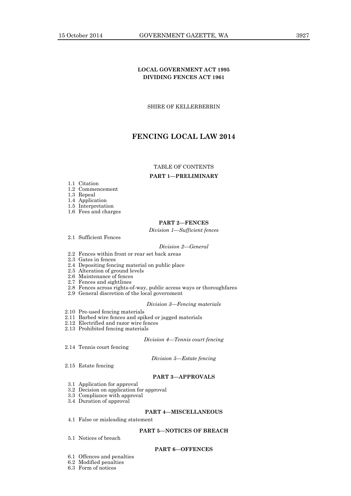### **LOCAL GOVERNMENT ACT 1995 DIVIDING FENCES ACT 1961**

SHIRE OF KELLERBERRIN

### **FENCING LOCAL LAW 2014**

### TABLE OF CONTENTS

#### **PART 1—PRELIMINARY**

- 1.1 Citation
- 1.2 Commencement
- 1.3 Repeal
- 1.4 Application
- 1.5 Interpretation
- 1.6 Fees and charges

### **PART 2—FENCES**

*Division 1—Sufficient fences*

2.1 Sufficient Fences

#### *Division 2—General*

- 2.2 Fences within front or rear set back areas
- 2.3 Gates in fences
- 2.4 Depositing fencing material on public place
- 2.5 Alteration of ground levels
- 2.6 Maintenance of fences
- 2.7 Fences and sightlines
- 2.8 Fences across rights-of-way, public access ways or thoroughfares
- 2.9 General discretion of the local government

#### *Division 3—Fencing materials*

- 2.10 Pre-used fencing materials
- 2.11 Barbed wire fences and spiked or jagged materials
- 2.12 Electrified and razor wire fences
- 2.13 Prohibited fencing materials

### *Division 4—Tennis court fencing*

2.14 Tennis court fencing

*Division 5—Estate fencing*

2.15 Estate fencing

### **PART 3—APPROVALS**

- 3.1 Application for approval
- 3.2 Decision on application for approval
- 3.3 Compliance with approval
- 3.4 Duration of approval

### **PART 4—MISCELLANEOUS**

4.1 False or misleading statement

### **PART 5—NOTICES OF BREACH**

5.1 Notices of breach

### **PART 6—OFFENCES**

- 6.1 Offences and penalties
- 6.2 Modified penalties
- 6.3 Form of notices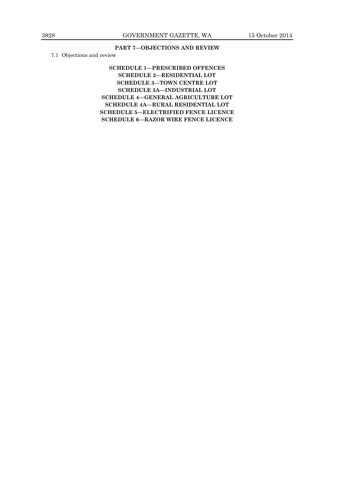### **PART 7—OBJECTIONS AND REVIEW**

7.1 Objections and review

**SCHEDULE 1—PRESCRIBED OFFENCES SCHEDULE 2—RESIDENTIAL LOT SCHEDULE 3—TOWN CENTRE LOT SCHEDULE 3A—INDUSTRIAL LOT SCHEDULE 4—GENERAL AGRICULTURE LOT SCHEDULE 4A—RURAL RESIDENTIAL LOT SCHEDULE 5—ELECTRIFIED FENCE LICENCE SCHEDULE 6—RAZOR WIRE FENCE LICENCE**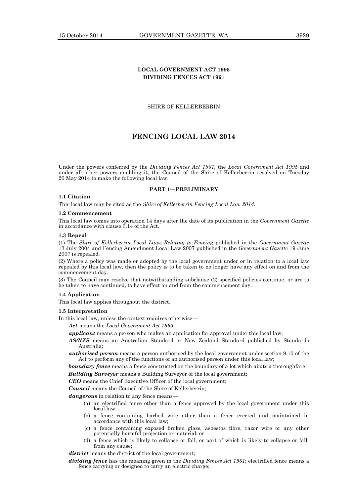### **LOCAL GOVERNMENT ACT 1995 DIVIDING FENCES ACT 1961**

SHIRE OF KELLERBERRIN

### **FENCING LOCAL LAW 2014**

Under the powers conferred by the *Dividing Fences Act 1961*, the *Local Government Act 1995* and under all other powers enabling it, the Council of the Shire of Kellerberrin resolved on Tuesday 20 May 2014 to make the following local law.

### **PART 1—PRELIMINARY**

### **1.1 Citation**

This local law may be cited as the *Shire of Kellerberrin Fencing Local Law 2014*.

#### **1.2 Commencement**

This local law comes into operation 14 days after the date of its publication in the *Government Gazette* in accordance with clause 3.14 of the Act.

#### **1.3 Repeal**

(1) The *Shire of Kellerberrin Local Laws Relating to Fencing* published in the *Government Gazette* 13 July 2004 and Fencing Amendment Local Law 2007 published in the *Government Gazette* 19 June 2007 is repealed.

(2) Where a policy was made or adopted by the local government under or in relation to a local law repealed by this local law, then the policy is to be taken to no longer have any effect on and from the commencement day.

(3) The Council may resolve that notwithstanding subclause (2) specified policies continue, or are to be taken to have continued, to have effect on and from the commencement day.

### **1.4 Application**

This local law applies throughout the district.

#### **1.5 Interpretation**

In this local law, unless the context requires otherwise—

*Act* means the *Local Government Act 1995*;

*applicant* means a person who makes an application for approval under this local law;

- *AS/NZS* means an Australian Standard or New Zealand Standard published by Standards Australia;
- *authorised person* means a person authorised by the local government under section 9.10 of the Act to perform any of the functions of an authorised person under this local law;

**boundary fence** means a fence constructed on the boundary of a lot which abuts a thoroughfare;

*Building Surveyor* means a Building Surveyor of the local government;

*CEO* means the Chief Executive Officer of the local government;

*Council* means the Council of the Shire of Kellerberrin;

*dangerous* in relation to any fence means—

- (a) an electrified fence other than a fence approved by the local government under this local law;
- (b) a fence containing barbed wire other than a fence erected and maintained in accordance with this local law;
- (c) a fence containing exposed broken glass, asbestos fibre, razor wire or any other potentially harmful projection or material; or
- (d) a fence which is likely to collapse or fall, or part of which is likely to collapse or fall, from any cause;

*district* means the district of the local government;

*dividing fence* has the meaning given in the *Dividing Fences Act 1961*; electrified fence means a fence carrying or designed to carry an electric charge;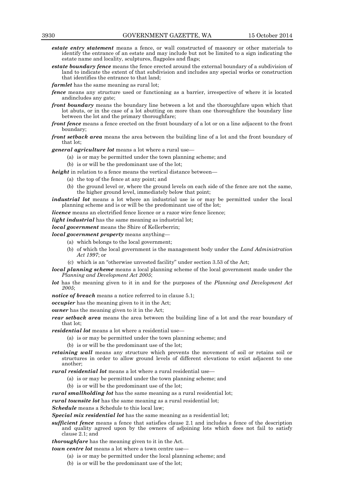- *estate entry statement* means a fence, or wall constructed of masonry or other materials to identify the entrance of an estate and may include but not be limited to a sign indicating the estate name and locality, sculptures, flagpoles and flags;
- *estate boundary fence* means the fence erected around the external boundary of a subdivision of land to indicate the extent of that subdivision and includes any special works or construction that identifies the entrance to that land;
- *farmlet* has the same meaning as rural lot;
- *fence* means any structure used or functioning as a barrier, irrespective of where it is located andincludes any gate;
- *front boundary* means the boundary line between a lot and the thoroughfare upon which that lot abuts, or in the case of a lot abutting on more than one thoroughfare the boundary line between the lot and the primary thoroughfare;
- *front fence* means a fence erected on the front boundary of a lot or on a line adjacent to the front boundary;
- *front setback area* means the area between the building line of a lot and the front boundary of that lot;
- *general agriculture lot* means a lot where a rural use—
	- (a) is or may be permitted under the town planning scheme; and
	- (b) is or will be the predominant use of the lot;
- *height* in relation to a fence means the vertical distance between—
	- (a) the top of the fence at any point; and
	- (b) the ground level or, where the ground levels on each side of the fence are not the same, the higher ground level, immediately below that point;
- *industrial lot* means a lot where an industrial use is or may be permitted under the local planning scheme and is or will be the predominant use of the lot;
- *licence* means an electrified fence licence or a razor wire fence licence;

*light industrial* has the same meaning as industrial lot;

*local government* means the Shire of Kellerberrin;

- *local government property* means anything—
	- (a) which belongs to the local government;
	- (b) of which the local government is the management body under the *Land Administration Act 1997*; or
	- (c) which is an "otherwise unvested facility" under section 3.53 of the Act;
- *local planning scheme* means a local planning scheme of the local government made under the *Planning and Development Act 2005*;
- *lot* has the meaning given to it in and for the purposes of the *Planning and Development Act 2005*;
- *notice of breach* means a notice referred to in clause 5.1;
- *occupier* has the meaning given to it in the Act;
- *owner* has the meaning given to it in the Act;
- *rear setback area* means the area between the building line of a lot and the rear boundary of that lot;
- *residential lot* means a lot where a residential use—
	- (a) is or may be permitted under the town planning scheme; and
	- (b) is or will be the predominant use of the lot;
- *retaining wall* means any structure which prevents the movement of soil or retains soil or structures in order to allow ground levels of different elevations to exist adjacent to one another;
- *rural residential lot* means a lot where a rural residential use—
	- (a) is or may be permitted under the town planning scheme; and
	- (b) is or will be the predominant use of the lot;
- *rural smallholding lot* has the same meaning as a rural residential lot;

*rural townsite lot* has the same meaning as a rural residential lot;

*Schedule* means a Schedule to this local law;

*Special mix residential lot* has the same meaning as a residential lot;

*sufficient fence* means a fence that satisfies clause 2.1 and includes a fence of the description and quality agreed upon by the owners of adjoining lots which does not fail to satisfy clause 2.1; and

*thoroughfare* has the meaning given to it in the Act.

*town centre lot* means a lot where a town centre use-

- (a) is or may be permitted under the local planning scheme; and
- (b) is or will be the predominant use of the lot;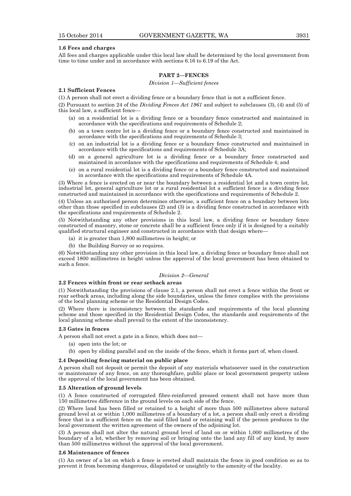#### **1.6 Fees and charges**

All fees and charges applicable under this local law shall be determined by the local government from time to time under and in accordance with sections 6.16 to 6.19 of the Act.

### **PART 2—FENCES**

#### *Division 1—Sufficient fences*

#### **2.1 Sufficient Fences**

(1) A person shall not erect a dividing fence or a boundary fence that is not a sufficient fence.

(2) Pursuant to section 24 of the *Dividing Fences Act 1961* and subject to subclauses (3), (4) and (5) of this local law, a sufficient fence—

- (a) on a residential lot is a dividing fence or a boundary fence constructed and maintained in accordance with the specifications and requirements of Schedule 2;
- (b) on a town centre lot is a dividing fence or a boundary fence constructed and maintained in accordance with the specifications and requirements of Schedule 3;
- (c) on an industrial lot is a dividing fence or a boundary fence constructed and maintained in accordance with the specifications and requirements of Schedule 3A;
- (d) on a general agriculture lot is a dividing fence or a boundary fence constructed and maintained in accordance with the specifications and requirements of Schedule 4; and
- (e) on a rural residential lot is a dividing fence or a boundary fence constructed and maintained in accordance with the specifications and requirements of Schedule 4A.

(3) Where a fence is erected on or near the boundary between a residential lot and a town centre lot, industrial lot, general agriculture lot or a rural residential lot a sufficient fence is a dividing fence constructed and maintained in accordance with the specifications and requirements of Schedule 2.

(4) Unless an authorised person determines otherwise, a sufficient fence on a boundary between lots other than those specified in subclauses (2) and (3) is a dividing fence constructed in accordance with the specifications and requirements of Schedule 2.

(5) Notwithstanding any other provisions in this local law, a dividing fence or boundary fence constructed of masonry, stone or concrete shall be a sufficient fence only if it is designed by a suitably qualified structural engineer and constructed in accordance with that design where—

- (a) it is greater than 1,800 millimetres in height; or
- (b) the Building Survey or so requires.

(6) Notwithstanding any other provision in this local law, a dividing fence or boundary fence shall not exceed 1800 millimetres in height unless the approval of the local government has been obtained to such a fence.

#### *Division 2—General*

### **2.2 Fences within front or rear setback areas**

(1) Notwithstanding the provisions of clause 2.1, a person shall not erect a fence within the front or rear setback areas, including along the side boundaries, unless the fence complies with the provisions of the local planning scheme or the Residential Design Codes.

(2) Where there is inconsistency between the standards and requirements of the local planning scheme and those specified in the Residential Design Codes, the standards and requirements of the local planning scheme shall prevail to the extent of the inconsistency.

#### **2.3 Gates in fences**

A person shall not erect a gate in a fence, which does not—

- (a) open into the lot; or
- (b) open by sliding parallel and on the inside of the fence, which it forms part of, when closed.

#### **2.4 Depositing fencing material on public place**

A person shall not deposit or permit the deposit of any materials whatsoever used in the construction or maintenance of any fence, on any thoroughfare, public place or local government property unless the approval of the local government has been obtained.

#### **2.5 Alteration of ground levels**

(1) A fence constructed of corrugated fibre-reinforced pressed cement shall not have more than 150 millimetres difference in the ground levels on each side of the fence.

(2) Where land has been filled or retained to a height of more than 500 millimetres above natural ground level at or within 1,000 millimetres of a boundary of a lot, a person shall only erect a dividing fence that is a sufficient fence on the said filled land or retaining wall if the person produces to the local government the written agreement of the owners of the adjoining lot.

(3) A person shall not alter the natural ground level of land on or within 1,000 millimetres of the boundary of a lot, whether by removing soil or bringing onto the land any fill of any kind, by more than 500 millimetres without the approval of the local government.

#### **2.6 Maintenance of fences**

(1) An owner of a lot on which a fence is erected shall maintain the fence in good condition so as to prevent it from becoming dangerous, dilapidated or unsightly to the amenity of the locality.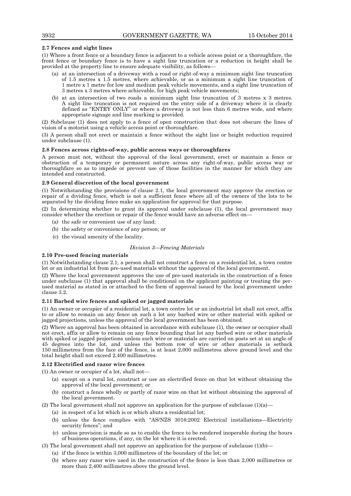### **2.7 Fences and sight lines**

(1) Where a front fence or a boundary fence is adjacent to a vehicle access point or a thoroughfare, the front fence or boundary fence is to have a sight line truncation or a reduction in height shall be provided at the property line to ensure adequate visibility, as follows—

- (a) at an intersection of a driveway with a road or right-of-way a minimum sight line truncation of 1.5 metres x 1.5 metres, where achievable, or as a minimum a sight line truncation of 1 metre x 1 metre for low and medium peak vehicle movements, and a sight line truncation of 3 metres x 3 metres where achievable, for high peak vehicle movements;
- (b) at an intersection of two roads a minimum sight line truncation of 3 metres x 3 metres. A sight line truncation is not required on the entry side of a driveway where it is clearly defined as "ENTRY ONLY" or where a driveway is not less than 6 metres wide, and where appropriate signage and line marking is provided.

(2) Subclause (1) does not apply to a fence of open construction that does not obscure the lines of vision of a motorist using a vehicle access point or thoroughfare.

(3) A person shall not erect or maintain a fence without the sight line or height reduction required under subclause (1).

#### **2.8 Fences across rights-of-way, public access ways or thoroughfares**

A person must not, without the approval of the local government, erect or maintain a fence or obstruction of a temporary or permanent nature across any right-of-way, public access way or thoroughfare so as to impede or prevent use of those facilities in the manner for which they are intended and constructed.

#### **2.9 General discretion of the local government**

(1) Notwithstanding the provisions of clause 2.1, the local government may approve the erection or repair of a dividing fence, which is not a sufficient fence where all of the owners of the lots to be separated by the dividing fence make an application for approval for that purpose.

(2) In determining whether to grant its approval under subclause (1), the local government may consider whether the erection or repair of the fence would have an adverse effect on—

- (a) the safe or convenient use of any land;
- (b) the safety or convenience of any person; or
- (c) the visual amenity of the locality.

### *Division 3—Fencing Materials*

#### **2.10 Pre-used fencing materials**

(1) Notwithstanding clause 2.1, a person shall not construct a fence on a residential lot, a town centre lot or an industrial lot from pre-used materials without the approval of the local government.

(2) Where the local government approves the use of pre-used materials in the construction of a fence under subclause (1) that approval shall be conditional on the applicant painting or treating the perused material as stated in or attached to the form of approval issued by the local government under clause 3.2.

#### **2.11 Barbed wire fences and spiked or jagged materials**

(1) An owner or occupier of a residential lot, a town centre lot or an industrial lot shall not erect, affix to or allow to remain on any fence on such a lot any barbed wire or other material with spiked or jagged projections, unless the approval of the local government has been obtained.

(2) Where an approval has been obtained in accordance with subclause (1), the owner or occupier shall not erect, affix or allow to remain on any fence bounding that lot any barbed wire or other materials with spiked or jagged projections unless such wire or materials are carried on posts set at an angle of 45 degrees into the lot, and unless the bottom row of wire or other materials is setback 150 millimetres from the face of the fence, is at least 2,000 millimetres above ground level and the total height shall not exceed 2,400 millimetres.

### **2.12 Electrified and razor wire fences**

(1) An owner or occupier of a lot, shall not—

- (a) except on a rural lot, construct or use an electrified fence on that lot without obtaining the approval of the local government; or
- (b) construct a fence wholly or partly of razor wire on that lot without obtaining the approval of the local government.

(2) The local government shall not approve an application for the purpose of subclause  $(1)(a)$ —

- (a) in respect of a lot which is or which abuts a residential lot;
- (b) unless the fence complies with "AS/NZS 3016:2002 Electrical installations—Electricity security fences"; and
- (c) unless provision is made so as to enable the fence to be rendered inoperable during the hours of business operations, if any, on the lot where it is erected.

(3) The local government shall not approve an application for the purpose of subclause  $(1)(b)$ —

- (a) if the fence is within 3,000 millimetres of the boundary of the lot; or
- (b) where any razor wire used in the construction of the fence is less than 2,000 millimetres or more than 2,400 millimetres above the ground level.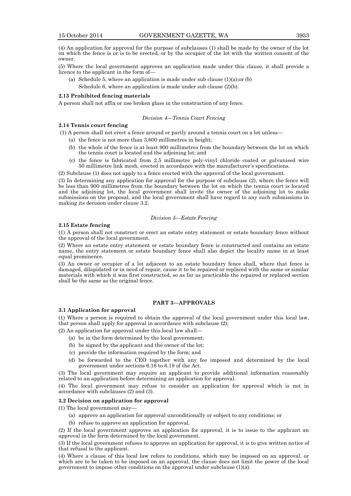(4) An application for approval for the purpose of subclauses (1) shall be made by the owner of the lot on which the fence is or is to be erected, or by the occupier of the lot with the written consent of the owner.

(5) Where the local government approves an application made under this clause, it shall provide a licence to the applicant in the form of—

(a) Schedule 5, where an application is made under sub clause  $(1)(a)$ ; or  $(b)$ Schedule 6, where an application is made under sub clause (2)(b).

#### **2.13 Prohibited fencing materials**

A person shall not affix or use broken glass in the construction of any fence.

#### *Division 4—Tennis Court Fencing*

### **2.14 Tennis court fencing**

(1) A person shall not erect a fence around or partly around a tennis court on a lot unless—

- (a) the fence is not more than 3,600 millimetres in height;
- (b) the whole of the fence is at least 900 millimetres from the boundary between the lot on which the tennis court is located and the adjoining lot; and
- (c) the fence is fabricated from 2.5 millimetre poly-vinyl chloride coated or galvanised wire 50 millimetre link mesh, erected in accordance with the manufacturer's specifications.

(2) Subclause (1) does not apply to a fence erected with the approval of the local government.

(3) In determining any application for approval for the purpose of subclause (2), where the fence will be less than 900 millimetres from the boundary between the lot on which the tennis court is located and the adjoining lot, the local government shall invite the owner of the adjoining lot to make submissions on the proposal, and the local government shall have regard to any such submissions in making its decision under clause 3.2.

#### *Division 5—Estate Fencing*

#### **2.15 Estate fencing**

(1) A person shall not construct or erect an estate entry statement or estate boundary fence without the approval of the local government.

(2) Where an estate entry statement or estate boundary fence is constructed and contains an estate name, the entry statement or estate boundary fence shall also depict the locality name in at least equal prominence.

(3) An owner or occupier of a lot adjacent to an estate boundary fence shall, where that fence is damaged, dilapidated or in need of repair, cause it to be repaired or replaced with the same or similar materials with which it was first constructed, so as far as practicable the repaired or replaced section shall be the same as the original fence.

### **PART 3—APPROVALS**

#### **3.1 Application for approval**

(1) Where a person is required to obtain the approval of the local government under this local law, that person shall apply for approval in accordance with subclause (2);

- (2) An application for approval under this local law shall—
	- (a) be in the form determined by the local government;
	- (b) be signed by the applicant and the owner of the lot;
	- (c) provide the information required by the form; and
	- (d) be forwarded to the CEO together with any fee imposed and determined by the local government under sections 6.16 to 6.19 of the Act.

(3) The local government may require an applicant to provide additional information reasonably related to an application before determining an application for approval.

(4) The local government may refuse to consider an application for approval which is not in accordance with subclauses (2) and (3).

### **3.2 Decision on application for approval**

(1) The local government may—

- (a) approve an application for approval unconditionally or subject to any conditions; or
- (b) refuse to approve an application for approval.

(2) If the local government approves an application for approval, it is to issue to the applicant an approval in the form determined by the local government.

(3) If the local government refuses to approve an application for approval, it is to give written notice of that refusal to the applicant.

(4) Where a clause of this local law refers to conditions, which may be imposed on an approval, or which are to be taken to be imposed on an approval, the clause does not limit the power of the local government to impose other conditions on the approval under subclause (1)(a).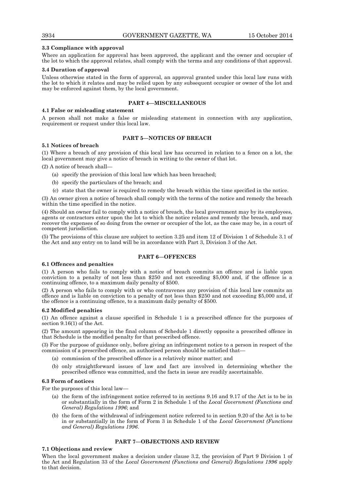### **3.3 Compliance with approval**

Where an application for approval has been approved, the applicant and the owner and occupier of the lot to which the approval relates, shall comply with the terms and any conditions of that approval.

#### **3.4 Duration of approval**

Unless otherwise stated in the form of approval, an approval granted under this local law runs with the lot to which it relates and may be relied upon by any subsequent occupier or owner of the lot and may be enforced against them, by the local government.

### **PART 4—MISCELLANEOUS**

### **4.1 False or misleading statement**

A person shall not make a false or misleading statement in connection with any application, requirement or request under this local law.

### **PART 5—NOTICES OF BREACH**

### **5.1 Notices of breach**

(1) Where a breach of any provision of this local law has occurred in relation to a fence on a lot, the local government may give a notice of breach in writing to the owner of that lot.

(2) A notice of breach shall—

- (a) specify the provision of this local law which has been breached;
- (b) specify the particulars of the breach; and
- (c) state that the owner is required to remedy the breach within the time specified in the notice.

(3) An owner given a notice of breach shall comply with the terms of the notice and remedy the breach within the time specified in the notice.

(4) Should an owner fail to comply with a notice of breach, the local government may by its employees, agents or contractors enter upon the lot to which the notice relates and remedy the breach, and may recover the expenses of so doing from the owner or occupier of the lot, as the case may be, in a court of competent jurisdiction.

(5) The provisions of this clause are subject to section 3.25 and item 12 of Division 1 of Schedule 3.1 of the Act and any entry on to land will be in accordance with Part 3, Division 3 of the Act.

### **PART 6—OFFENCES**

#### **6.1 Offences and penalties**

(1) A person who fails to comply with a notice of breach commits an offence and is liable upon conviction to a penalty of not less than \$250 and not exceeding \$5,000 and, if the offence is a continuing offence, to a maximum daily penalty of \$500.

(2) A person who fails to comply with or who contravenes any provision of this local law commits an offence and is liable on conviction to a penalty of not less than \$250 and not exceeding \$5,000 and, if the offence is a continuing offence, to a maximum daily penalty of \$500.

#### **6.2 Modified penalties**

(1) An offence against a clause specified in Schedule 1 is a prescribed offence for the purposes of section 9.16(1) of the Act.

(2) The amount appearing in the final column of Schedule 1 directly opposite a prescribed offence in that Schedule is the modified penalty for that prescribed offence.

(3) For the purpose of guidance only, before giving an infringement notice to a person in respect of the commission of a prescribed offence, an authorised person should be satisfied that—

- (a) commission of the prescribed offence is a relatively minor matter; and
- (b) only straightforward issues of law and fact are involved in determining whether the prescribed offence was committed, and the facts in issue are readily ascertainable.

#### **6.3 Form of notices**

For the purposes of this local law—

- (a) the form of the infringement notice referred to in sections 9.16 and 9.17 of the Act is to be in or substantially in the form of Form 2 in Schedule 1 of the *Local Government (Functions and General) Regulations 1996*; and
- (b) the form of the withdrawal of infringement notice referred to in section 9.20 of the Act is to be in or substantially in the form of Form 3 in Schedule 1 of the *Local Government (Functions and General) Regulations 1996*.

### **PART 7—OBJECTIONS AND REVIEW**

#### **7.1 Objections and review**

When the local government makes a decision under clause 3.2, the provision of Part 9 Division 1 of the Act and Regulation 33 of the *Local Government (Functions and General) Regulations 1996* apply to that decision.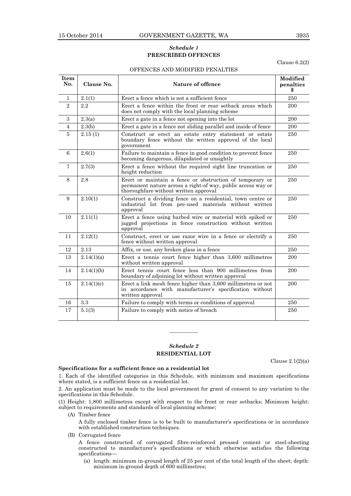### *Schedule 1* **PRESCRIBED OFFENCES**

Clause 6.2(2)

### OFFENCES AND MODIFIED PENALTIES

| Item<br>No.    | Clause No. | Nature of offence                                                                                                                                                 | Modified<br>penalties<br>\$ |
|----------------|------------|-------------------------------------------------------------------------------------------------------------------------------------------------------------------|-----------------------------|
| $\mathbf{1}$   | 2.1(1)     | Erect a fence which is not a sufficient fence                                                                                                                     | 250                         |
| $\overline{2}$ | 2.2        | Erect a fence within the front or rear setback areas which<br>does not comply with the local planning scheme                                                      | 200                         |
| 3              | 2.3(a)     | Erect a gate in a fence not opening into the lot                                                                                                                  | 200                         |
| 4              | 2.3(b)     | Erect a gate in a fence not sliding parallel and inside of fence                                                                                                  | 200                         |
| 5              | 2.15(1)    | Construct or erect an estate entry statement or estate<br>boundary fence without the written approval of the local<br>government                                  | 250                         |
| 6              | 2.6(1)     | Failure to maintain a fence in good condition to prevent fence<br>becoming dangerous, dilapidated or unsightly                                                    | 250                         |
| 7              | 2.7(3)     | Erect a fence without the required sight line truncation or<br>height reduction                                                                                   | 250                         |
| 8              | 2.8        | Erect or maintain a fence or obstruction of temporary or<br>permanent nature across a right-of way, public access way or<br>thoroughfare without written approval | 250                         |
| 9              | 2.10(1)    | Construct a dividing fence on a residential, town centre or<br>industrial lot from pre-used materials without written<br>approval                                 | 250                         |
| 10             | 2.11(1)    | Erect a fence using barbed wire or material with spiked or<br>jagged projections in fence construction without written<br>approval                                | 250                         |
| 11             | 2.12(1)    | Construct, erect or use razor wire in a fence or electrify a<br>fence without written approval                                                                    | 250                         |
| 12             | 2.13       | Affix, or use, any broken glass in a fence                                                                                                                        | 250                         |
| 13             | 2.14(1)(a) | Erect a tennis court fence higher than 3,600 millimetres<br>without written approval                                                                              | 200                         |
| 14             | 2.14(1)(b) | Erect tennis court fence less than 900 millimetres from<br>boundary of adjoining lot without written approval                                                     | 200                         |
| 15             | 2.14(1)(c) | Erect a link mesh fence higher than 3,600 millimetres or not<br>in accordance with manufacturer's specification without<br>written approval                       | 200                         |
| 16             | 3.3        | Failure to comply with terms or conditions of approval                                                                                                            | 250                         |
| 17             | 5.1(3)     | Failure to comply with notice of breach                                                                                                                           | 250                         |

### *Schedule 2* **RESIDENTIAL LOT**

————

Clause  $2.1(2)(a)$ 

#### **Specifications for a sufficient fence on a residential lot**

1. Each of the identified categories in this Schedule, with minimum and maximum specifications where stated, is a sufficient fence on a residential lot.

2. An application must be made to the local government for grant of consent to any variation to the specifications in this Schedule.

(1) Height: 1,800 millimetres except with respect to the front or rear setbacks; Minimum height: subject to requirements and standards of local planning scheme;

(A) Timber fence

A fully enclosed timber fence is to be built to manufacturer's specifications or in accordance with established construction techniques.

(B) Corrugated fence

A fence constructed of corrugated fibre-reinforced pressed cement or steel-sheeting constructed to manufacturer's specifications or which otherwise satisfies the following specifications—

(a) length: minimum in-ground length of 25 per cent of the total length of the sheet; depth: minimum in-ground depth of 600 millimetres;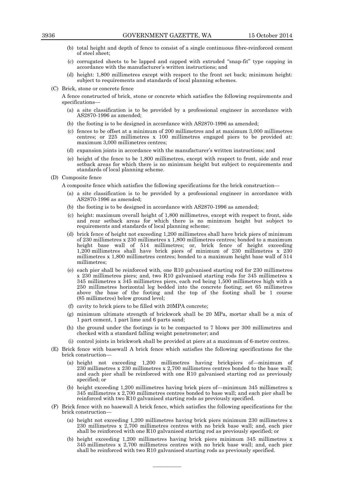- (b) total height and depth of fence to consist of a single continuous fibre-reinforced cement of steel sheet;
- (c) corrugated sheets to be lapped and capped with extruded "snap-fit" type capping in accordance with the manufacturer's written instructions; and
- (d) height: 1,800 millimetres except with respect to the front set back; minimum height: subject to requirements and standards of local planning schemes.
- (C) Brick, stone or concrete fence

A fence constructed of brick, stone or concrete which satisfies the following requirements and specifications—

- (a) a site classification is to be provided by a professional engineer in accordance with AS2870-1996 as amended;
- (b) the footing is to be designed in accordance with AS2870-1996 as amended;
- (c) fences to be offset at a minimum of 200 millimetres and at maximum 3,000 millimetres centres; or 225 millimetres x 100 millimetres engaged piers to be provided at: maximum 3,000 millimetres centres;
- (d) expansion joints in accordance with the manufacturer's written instructions; and
- (e) height of the fence to be 1,800 millimetres, except with respect to front, side and rear setback areas for which there is no minimum height but subject to requirements and standards of local planning scheme.
- (D) Composite fence
	- A composite fence which satisfies the following specifications for the brick construction—
		- (a) a site classification is to be provided by a professional engineer in accordance with AS2870-1996 as amended;
		- (b) the footing is to be designed in accordance with AS2870-1996 as amended;
		- (c) height: maximum overall height of 1,800 millimetres, except with respect to front, side and rear setback areas for which there is no minimum height but subject to requirements and standards of local planning scheme;
		- (d) brick fence of height not exceeding 1,200 millimetres shall have brick piers of minimum of 230 millimetres x 230 millimetres x 1,800 millimetres centres; bonded to a maximum height base wall of 514 millimetres; or, brick fence of height exceeding 1,200 millimetres shall have brick piers of minimum of 230 millimetres x 230 millimetres x 1,800 millimetres centres; bonded to a maximum height base wall of 514 millimetres;
		- (e) each pier shall be reinforced with, one R10 galvanised starting rod for 230 millimetres x 230 millimetres piers; and, two R10 galvanised starting rods for 345 millimetres x 345 millimetres x 345 millimetres piers, each rod being 1,500 millimetres high with a 250 millimetres horizontal leg bedded into the concrete footing; set 65 millimetres above the base of the footing and the top of the footing shall be 1 course (85 millimetres) below ground level;
		- (f) cavity to brick piers to be filled with 20MPA concrete;
		- (g) minimum ultimate strength of brickwork shall be 20 MPa, mortar shall be a mix of 1 part cement, 1 part lime and 6 parts sand;
		- (h) the ground under the footings is to be compacted to 7 blows per 300 millimetres and checked with a standard falling weight penetrometer; and
		- (i) control joints in brickwork shall be provided at piers at a maximum of 6-metre centres.
- (E) Brick fence with basewall A brick fence which satisfies the following specifications for the brick construction—
	- (a) height not exceeding 1,200 millimetres having brickpiers of—minimum of 230 millimetres x 230 millimetres x 2,700 millimetres centres bonded to the base wall; and each pier shall be reinforced with one R10 galvanised starting rod as previously specified; or
	- (b) height exceeding 1,200 millimetres having brick piers of—minimum 345 millimetres x 345 millimetres x 2,700 millimetres centres bonded to base wall; and each pier shall be reinforced with two R10 galvanised starting rods as previously specified.
- (F) Brick fence with no basewall A brick fence, which satisfies the following specifications for the brick construction—
	- (a) height not exceeding 1,200 millimetres having brick piers minimum 230 millimetres x 230 millimetres x 2,700 millimetres centres with no brick base wall; and, each pier shall be reinforced with one R10 galvanised starting rod as previously specified; or
	- (b) height exceeding 1,200 millimetres having brick piers minimum 345 millimetres x 345 millimetres x 2,700 millimetres centres with no brick base wall; and, each pier shall be reinforced with two R10 galvanised starting rods as previously specified.

————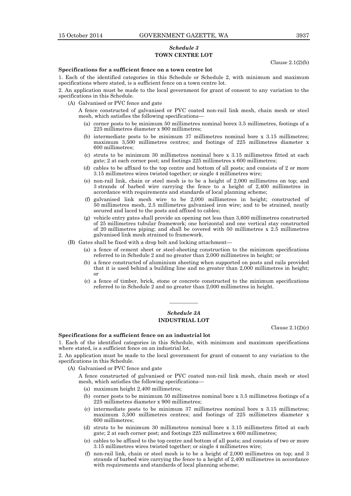### *Schedule 3* **TOWN CENTRE LOT**

Clause 2.1(2)(b)

### **Specifications for a sufficient fence on a town centre lot**

1. Each of the identified categories in this Schedule or Schedule 2, with minimum and maximum specifications where stated, is a sufficient fence on a town centre lot.

2. An application must be made to the local government for grant of consent to any variation to the specifications in this Schedule.

(A) Galvanised or PVC fence and gate

A fence constructed of galvanised or PVC coated non-rail link mesh, chain mesh or steel mesh, which satisfies the following specifications—

- (a) corner posts to be minimum 50 millimetres nominal borex 3.5 millimetres, footings of a 225 millimetres diameter x 900 millimetres;
- (b) intermediate posts to be minimum 37 millimetres nominal bore x 3.15 millimetres; maximum 3,500 millimetres centres; and footings of 225 millimetres diameter x 600 millimetres;
- (c) struts to be minimum 30 millimetres nominal bore x 3.15 millimetres fitted at each gate; 2 at each corner post; and footings 225 millimetres x 600 millimetres;
- (d) cables to be affixed to the top centre and bottom of all posts; and consists of 2 or more 3.15 millimetres wires twisted together; or single 4 millimetres wire;
- (e) non-rail link, chain or steel mesh is to be a height of 2,000 millimetres on top; and 3 strands of barbed wire carrying the fence to a height of 2,400 millimetres in accordance with requirements and standards of local planning scheme;
- (f) galvanised link mesh wire to be 2,000 millimetres in height; constructed of 50 millimetres mesh, 2.5 millimetres galvanised iron wire; and to be strained, neatly secured and laced to the posts and affixed to cables;
- (g) vehicle entry gates shall provide an opening not less than 3,600 millimetres constructed of 25 millimetres tubular framework; one horizontal and one vertical stay constructed of 20 millimetres piping; and shall be covered with 50 millimetres x 2.5 millimetres galvanised link mesh strained to framework.
- (B) Gates shall be fixed with a drop bolt and locking attachment—
	- (a) a fence of cement sheet or steel-sheeting construction to the minimum specifications referred to in Schedule 2 and no greater than 2,000 millimetres in height; or
	- (b) a fence constructed of aluminium sheeting when supported on posts and rails provided that it is used behind a building line and no greater than 2,000 millimetres in height; or
	- (c) a fence of timber, brick, stone or concrete constructed to the minimum specifications referred to in Schedule 2 and no greater than 2,000 millimetres in height.

### *Schedule 3A* **INDUSTRIAL LOT**

————

Clause 2.1(2)(c)

### **Specifications for a sufficient fence on an industrial lot**

1. Each of the identified categories in this Schedule, with minimum and maximum specifications where stated, is a sufficient fence on an industrial lot.

2. An application must be made to the local government for grant of consent to any variation to the specifications in this Schedule.

- (A) Galvanised or PVC fence and gate
	- A fence constructed of galvanised or PVC coated non-rail link mesh, chain mesh or steel mesh, which satisfies the following specifications—
		- (a) maximum height 2,400 millimetres;
		- (b) corner posts to be minimum 50 millimetres nominal bore x 3.5 millimetres footings of a 225 millimetres diameter x 900 millimetres;
		- (c) intermediate posts to be minimum 37 millimetres nominal bore x 3.15 millimetres; maximum 3,500 millimetres centres; and footings of 225 millimetres diameter x 600 millimetres;
		- (d) struts to be minimum 30 millimetres nominal bore x 3.15 millimetres fitted at each gate; 2 at each corner post; and footings 225 millimetres x 600 millimetres;
		- (e) cables to be affixed to the top centre and bottom of all posts; and consists of two or more 3.15 millimetres wires twisted together; or single 4 millimetres wire;
		- (f) non-rail link, chain or steel mesh is to be a height of 2,000 millimetres on top; and 3 strands of barbed wire carrying the fence to a height of 2,400 millimetres in accordance with requirements and standards of local planning scheme;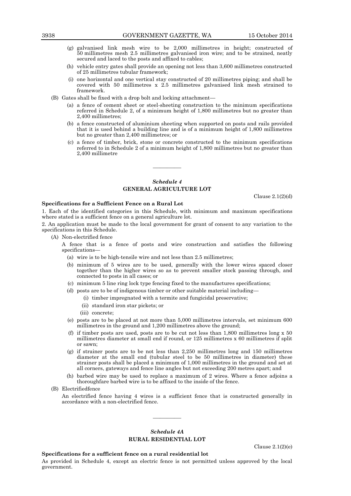- (g) galvanised link mesh wire to be 2,000 millimetres in height; constructed of 50 millimetres mesh 2.5 millimetres galvanised iron wire; and to be strained, neatly secured and laced to the posts and affixed to cables;
- (h) vehicle entry gates shall provide an opening not less than 3,600 millimetres constructed of 25 millimetres tubular framework;
- (i) one horizontal and one vertical stay constructed of 20 millimetres piping; and shall be covered with 50 millimetres x 2.5 millimetres galvanised link mesh strained to framework.
- (B) Gates shall be fixed with a drop bolt and locking attachment—
	- (a) a fence of cement sheet or steel-sheeting construction to the minimum specifications referred in Schedule 2, of a minimum height of 1,800 millimetres but no greater than 2,400 millimetres;
	- (b) a fence constructed of aluminium sheeting when supported on posts and rails provided that it is used behind a building line and is of a minimum height of 1,800 millimetres but no greater than 2,400 millimetres; or
	- (c) a fence of timber, brick, stone or concrete constructed to the minimum specifications referred to in Schedule 2 of a minimum height of 1,800 millimetres but no greater than 2,400 millimetre

### *Schedule 4* **GENERAL AGRICULTURE LOT**

————

Clause 2.1(2)(d)

### **Specifications for a Sufficient Fence on a Rural Lot**

1. Each of the identified categories in this Schedule, with minimum and maximum specifications where stated is a sufficient fence on a general agriculture lot.

2. An application must be made to the local government for grant of consent to any variation to the specifications in this Schedule.

- (A) Non-electrified fence
	- A fence that is a fence of posts and wire construction and satisfies the following specifications-
		- (a) wire is to be high-tensile wire and not less than 2.5 millimetres;
		- (b) minimum of 5 wires are to be used, generally with the lower wires spaced closer together than the higher wires so as to prevent smaller stock passing through, and connected to posts in all cases; or
		- (c) minimum 5 line ring lock type fencing fixed to the manufactures specifications;
		- (d) posts are to be of indigenous timber or other suitable material including—
			- (i) timber impregnated with a termite and fungicidal preservative;
			- (ii) standard iron star pickets; or
			- (iii) concrete;
		- (e) posts are to be placed at not more than 5,000 millimetres intervals, set minimum 600 millimetres in the ground and 1,200 millimetres above the ground;
		- (f) if timber posts are used, posts are to be cut not less than 1,800 millimetres long x 50 millimetres diameter at small end if round, or 125 millimetres x 60 millimetres if split or sawn;
		- (g) if strainer posts are to be not less than 2,250 millimetres long and 150 millimetres diameter at the small end (tubular steel to be 50 millimetres in diameter) these strainer posts shall be placed a minimum of 1,000 millimetres in the ground and set at all corners, gateways and fence line angles but not exceeding 200 metres apart; and
		- (h) barbed wire may be used to replace a maximum of 2 wires. Where a fence adjoins a thoroughfare barbed wire is to be affixed to the inside of the fence.
- (B) Electrifiedfence

An electrified fence having 4 wires is a sufficient fence that is constructed generally in accordance with a non-electrified fence.

### *Schedule 4A* **RURAL RESIDENTIAL LOT**

————

Clause 2.1(2)(e)

**Specifications for a sufficient fence on a rural residential lot**

As provided in Schedule 4, except an electric fence is not permitted unless approved by the local government.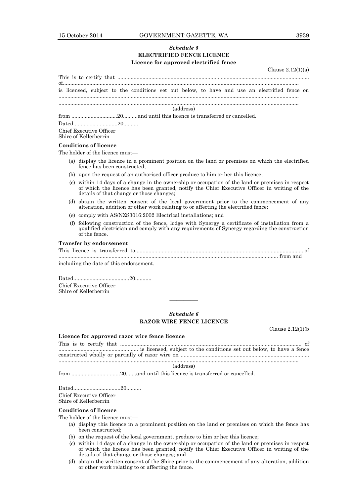### *Schedule 5* **ELECTRIFIED FENCE LICENCE Licence for approved electrified fence**

|  |  |                                                                                               |  |           |  |  | Clause $2.12(1)(a)$ |  |
|--|--|-----------------------------------------------------------------------------------------------|--|-----------|--|--|---------------------|--|
|  |  | is licensed, subject to the conditions set out below, to have and use an electrified fence on |  |           |  |  |                     |  |
|  |  |                                                                                               |  | (address) |  |  |                     |  |

|--|--|

Dated..............................20..........

Chief Executive Officer Shire of Kellerberrin

#### **Conditions of licence**

The holder of the licence must—

- (a) display the licence in a prominent position on the land or premises on which the electrified fence has been constructed;
- (b) upon the request of an authorised officer produce to him or her this licence;
- (c) within 14 days of a change in the ownership or occupation of the land or premises in respect of which the licence has been granted, notify the Chief Executive Officer in writing of the details of that change or those changes;
- (d) obtain the written consent of the local government prior to the commencement of any alteration, addition or other work relating to or affecting the electrified fence;
- (e) comply with AS/NZS3016:2002 Electrical installations; and
- (f) following construction of the fence, lodge with Synergy a certificate of installation from a qualified electrician and comply with any requirements of Synergy regarding the construction of the fence.

### **Transfer by endorsement**

This licence is transferred to...................................................................................................................of ..................................................................................................................................................... from and

including the date of this endorsement.

Dated......................................20........... Chief Executive Officer Shire of Kellerberrin

**Licence for approved razor wire fence licence**

### *Schedule 6* **RAZOR WIRE FENCE LICENCE**

————

Clause 2.12(1)(b

This is to certify that ........................................................................................................................... of ...................................................... is licensed, subject to the conditions set out below, to have a fence

constructed wholly or partially of razor wire on ....................................................................................... ...................................................................................................................................................................

#### (address)

from .................................20.......and until this licence is transferred or cancelled.

Dated................................20..........

Chief Executive Officer Shire of Kellerberrin

### **Conditions of licence**

The holder of the licence must—

- (a) display this licence in a prominent position on the land or premises on which the fence has been constructed;
- (b) on the request of the local government, produce to him or her this licence;
- (c) within 14 days of a change in the ownership or occupation of the land or premises in respect of which the licence has been granted, notify the Chief Executive Officer in writing of the details of that change or those changes; and
- (d) obtain the written consent of the Shire prior to the commencement of any alteration, addition or other work relating to or affecting the fence.